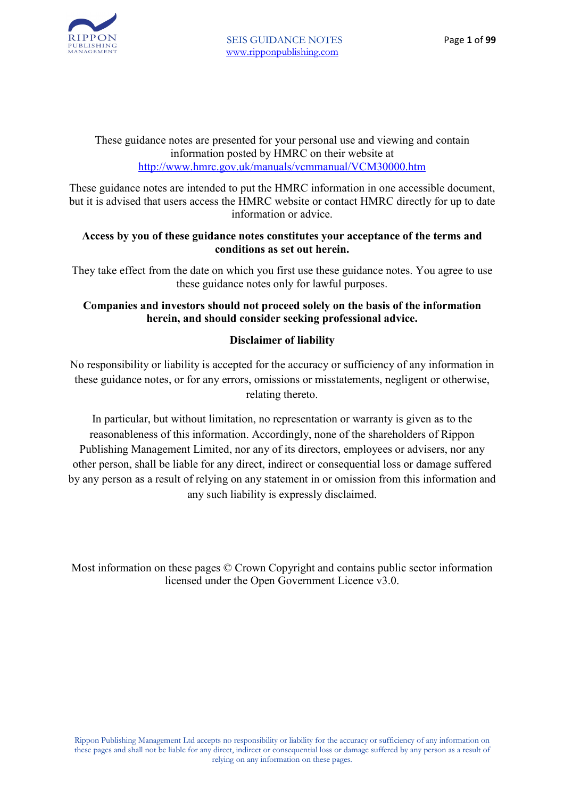

These guidance notes are presented for your personal use and viewing and contain information posted by HMRC on their website at http://www.hmrc.gov.uk/manuals/vcmmanual/VCM30000.htm

These guidance notes are intended to put the HMRC information in one accessible document, but it is advised that users access the HMRC website or contact HMRC directly for up to date information or advice.

#### **Access by you of these guidance notes constitutes your acceptance of the terms and conditions as set out herein.**

They take effect from the date on which you first use these guidance notes. You agree to use these guidance notes only for lawful purposes.

#### **Companies and investors should not proceed solely on the basis of the information herein, and should consider seeking professional advice.**

#### **Disclaimer of liability**

No responsibility or liability is accepted for the accuracy or sufficiency of any information in these guidance notes, or for any errors, omissions or misstatements, negligent or otherwise, relating thereto.

In particular, but without limitation, no representation or warranty is given as to the reasonableness of this information. Accordingly, none of the shareholders of Rippon Publishing Management Limited, nor any of its directors, employees or advisers, nor any other person, shall be liable for any direct, indirect or consequential loss or damage suffered by any person as a result of relying on any statement in or omission from this information and any such liability is expressly disclaimed.

Most information on these pages © Crown Copyright and contains public sector information licensed under the Open Government Licence v3.0.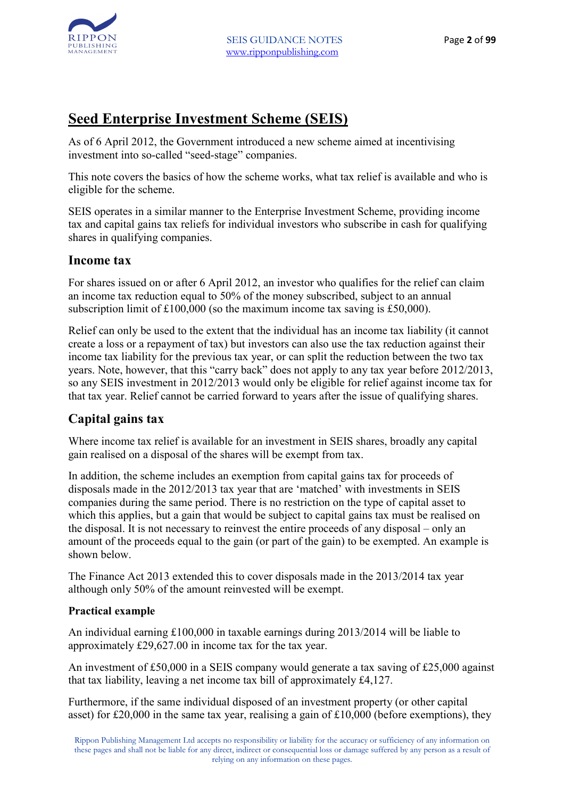

#### **Seed Enterprise Investment Scheme (SEIS)**

As of 6 April 2012, the Government introduced a new scheme aimed at incentivising investment into so-called "seed-stage" companies.

This note covers the basics of how the scheme works, what tax relief is available and who is eligible for the scheme.

SEIS operates in a similar manner to the Enterprise Investment Scheme, providing income tax and capital gains tax reliefs for individual investors who subscribe in cash for qualifying shares in qualifying companies.

#### **Income tax**

For shares issued on or after 6 April 2012, an investor who qualifies for the relief can claim an income tax reduction equal to 50% of the money subscribed, subject to an annual subscription limit of £100,000 (so the maximum income tax saving is £50,000).

Relief can only be used to the extent that the individual has an income tax liability (it cannot create a loss or a repayment of tax) but investors can also use the tax reduction against their income tax liability for the previous tax year, or can split the reduction between the two tax years. Note, however, that this "carry back" does not apply to any tax year before 2012/2013, so any SEIS investment in 2012/2013 would only be eligible for relief against income tax for that tax year. Relief cannot be carried forward to years after the issue of qualifying shares.

#### **Capital gains tax**

Where income tax relief is available for an investment in SEIS shares, broadly any capital gain realised on a disposal of the shares will be exempt from tax.

In addition, the scheme includes an exemption from capital gains tax for proceeds of disposals made in the 2012/2013 tax year that are 'matched' with investments in SEIS companies during the same period. There is no restriction on the type of capital asset to which this applies, but a gain that would be subject to capital gains tax must be realised on the disposal. It is not necessary to reinvest the entire proceeds of any disposal – only an amount of the proceeds equal to the gain (or part of the gain) to be exempted. An example is shown below.

The Finance Act 2013 extended this to cover disposals made in the 2013/2014 tax year although only 50% of the amount reinvested will be exempt.

#### **Practical example**

An individual earning £100,000 in taxable earnings during 2013/2014 will be liable to approximately £29,627.00 in income tax for the tax year.

An investment of £50,000 in a SEIS company would generate a tax saving of £25,000 against that tax liability, leaving a net income tax bill of approximately £4,127.

Furthermore, if the same individual disposed of an investment property (or other capital asset) for £20,000 in the same tax year, realising a gain of £10,000 (before exemptions), they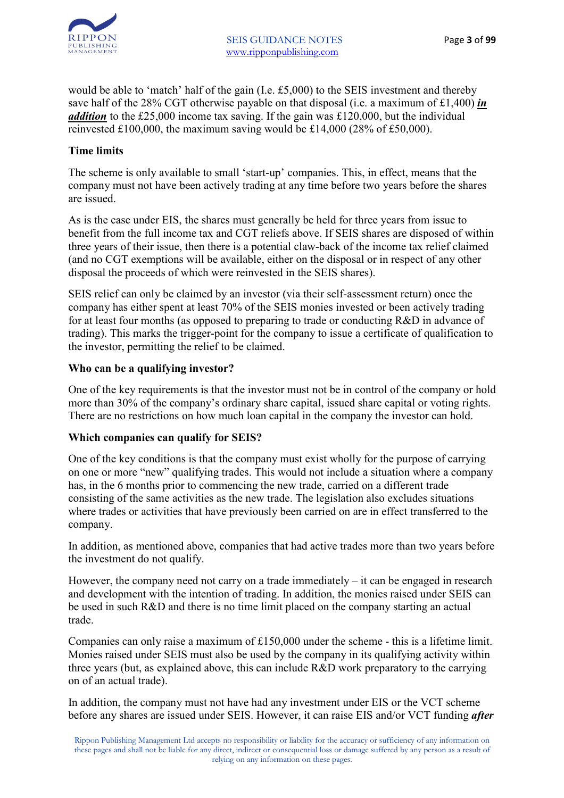

would be able to 'match' half of the gain (I.e. £5,000) to the SEIS investment and thereby save half of the 28% CGT otherwise payable on that disposal (i.e. a maximum of £1,400) *in addition* to the £25,000 income tax saving. If the gain was £120,000, but the individual reinvested £100,000, the maximum saving would be £14,000 (28% of £50,000).

#### **Time limits**

The scheme is only available to small 'start-up' companies. This, in effect, means that the company must not have been actively trading at any time before two years before the shares are issued.

As is the case under EIS, the shares must generally be held for three years from issue to benefit from the full income tax and CGT reliefs above. If SEIS shares are disposed of within three years of their issue, then there is a potential claw-back of the income tax relief claimed (and no CGT exemptions will be available, either on the disposal or in respect of any other disposal the proceeds of which were reinvested in the SEIS shares).

SEIS relief can only be claimed by an investor (via their self-assessment return) once the company has either spent at least 70% of the SEIS monies invested or been actively trading for at least four months (as opposed to preparing to trade or conducting R&D in advance of trading). This marks the trigger-point for the company to issue a certificate of qualification to the investor, permitting the relief to be claimed.

#### **Who can be a qualifying investor?**

One of the key requirements is that the investor must not be in control of the company or hold more than 30% of the company's ordinary share capital, issued share capital or voting rights. There are no restrictions on how much loan capital in the company the investor can hold.

#### **Which companies can qualify for SEIS?**

One of the key conditions is that the company must exist wholly for the purpose of carrying on one or more "new" qualifying trades. This would not include a situation where a company has, in the 6 months prior to commencing the new trade, carried on a different trade consisting of the same activities as the new trade. The legislation also excludes situations where trades or activities that have previously been carried on are in effect transferred to the company.

In addition, as mentioned above, companies that had active trades more than two years before the investment do not qualify.

However, the company need not carry on a trade immediately – it can be engaged in research and development with the intention of trading. In addition, the monies raised under SEIS can be used in such R&D and there is no time limit placed on the company starting an actual trade.

Companies can only raise a maximum of £150,000 under the scheme - this is a lifetime limit. Monies raised under SEIS must also be used by the company in its qualifying activity within three years (but, as explained above, this can include R&D work preparatory to the carrying on of an actual trade).

In addition, the company must not have had any investment under EIS or the VCT scheme before any shares are issued under SEIS. However, it can raise EIS and/or VCT funding *after*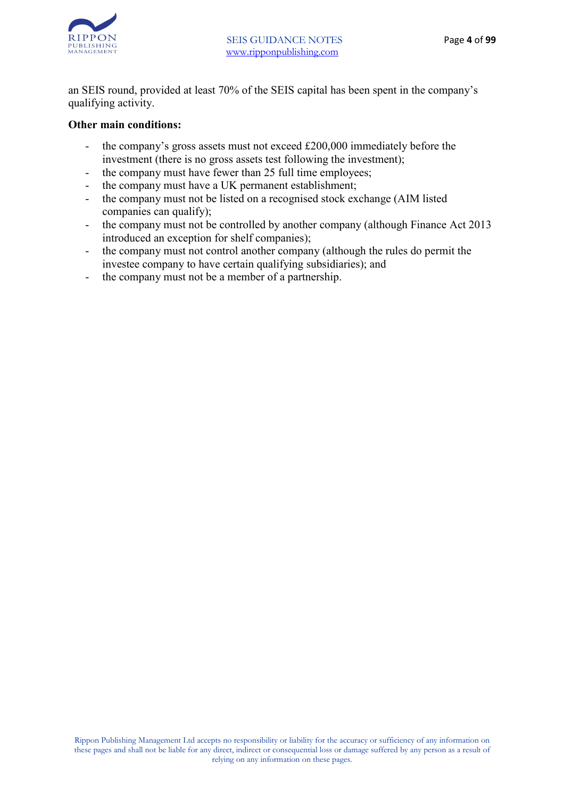

an SEIS round, provided at least 70% of the SEIS capital has been spent in the company's qualifying activity.

#### **Other main conditions:**

- the company's gross assets must not exceed £200,000 immediately before the investment (there is no gross assets test following the investment);
- the company must have fewer than 25 full time employees;
- the company must have a UK permanent establishment;
- the company must not be listed on a recognised stock exchange (AIM listed companies can qualify);
- the company must not be controlled by another company (although Finance Act 2013) introduced an exception for shelf companies);
- the company must not control another company (although the rules do permit the investee company to have certain qualifying subsidiaries); and
- the company must not be a member of a partnership.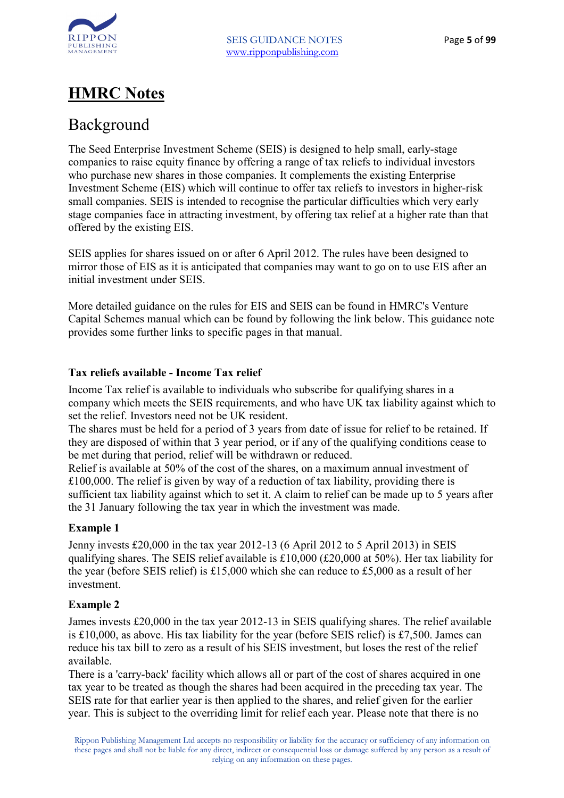

### **HMRC Notes**

#### Background

The Seed Enterprise Investment Scheme (SEIS) is designed to help small, early-stage companies to raise equity finance by offering a range of tax reliefs to individual investors who purchase new shares in those companies. It complements the existing Enterprise Investment Scheme (EIS) which will continue to offer tax reliefs to investors in higher-risk small companies. SEIS is intended to recognise the particular difficulties which very early stage companies face in attracting investment, by offering tax relief at a higher rate than that offered by the existing EIS.

SEIS applies for shares issued on or after 6 April 2012. The rules have been designed to mirror those of EIS as it is anticipated that companies may want to go on to use EIS after an initial investment under SEIS.

More detailed guidance on the rules for EIS and SEIS can be found in HMRC's Venture Capital Schemes manual which can be found by following the link below. This guidance note provides some further links to specific pages in that manual.

#### **Tax reliefs available - Income Tax relief**

Income Tax relief is available to individuals who subscribe for qualifying shares in a company which meets the SEIS requirements, and who have UK tax liability against which to set the relief. Investors need not be UK resident.

The shares must be held for a period of 3 years from date of issue for relief to be retained. If they are disposed of within that 3 year period, or if any of the qualifying conditions cease to be met during that period, relief will be withdrawn or reduced.

Relief is available at 50% of the cost of the shares, on a maximum annual investment of £100,000. The relief is given by way of a reduction of tax liability, providing there is sufficient tax liability against which to set it. A claim to relief can be made up to 5 years after the 31 January following the tax year in which the investment was made.

#### **Example 1**

Jenny invests £20,000 in the tax year 2012-13 (6 April 2012 to 5 April 2013) in SEIS qualifying shares. The SEIS relief available is £10,000 (£20,000 at 50%). Her tax liability for the year (before SEIS relief) is £15,000 which she can reduce to £5,000 as a result of her investment.

#### **Example 2**

James invests £20,000 in the tax year 2012-13 in SEIS qualifying shares. The relief available is £10,000, as above. His tax liability for the year (before SEIS relief) is £7,500. James can reduce his tax bill to zero as a result of his SEIS investment, but loses the rest of the relief available.

There is a 'carry-back' facility which allows all or part of the cost of shares acquired in one tax year to be treated as though the shares had been acquired in the preceding tax year. The SEIS rate for that earlier year is then applied to the shares, and relief given for the earlier year. This is subject to the overriding limit for relief each year. Please note that there is no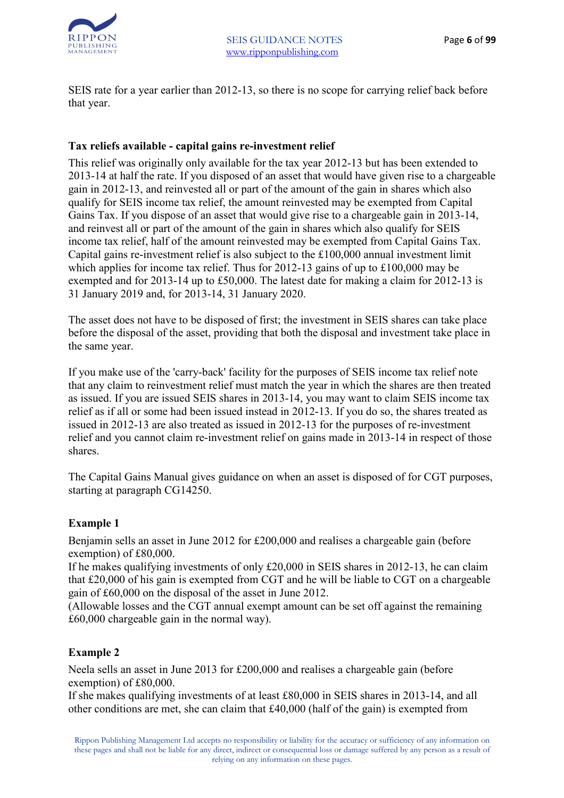

SEIS rate for a year earlier than 2012-13, so there is no scope for carrying relief back before that year.

#### **Tax reliefs available - capital gains re-investment relief**

This relief was originally only available for the tax year 2012-13 but has been extended to 2013-14 at half the rate. If you disposed of an asset that would have given rise to a chargeable gain in 2012-13, and reinvested all or part of the amount of the gain in shares which also qualify for SEIS income tax relief, the amount reinvested may be exempted from Capital Gains Tax. If you dispose of an asset that would give rise to a chargeable gain in 2013-14, and reinvest all or part of the amount of the gain in shares which also qualify for SEIS income tax relief, half of the amount reinvested may be exempted from Capital Gains Tax. Capital gains re-investment relief is also subject to the £100,000 annual investment limit which applies for income tax relief. Thus for 2012-13 gains of up to £100,000 may be exempted and for 2013-14 up to £50,000. The latest date for making a claim for 2012-13 is 31 January 2019 and, for 2013-14, 31 January 2020.

The asset does not have to be disposed of first; the investment in SEIS shares can take place before the disposal of the asset, providing that both the disposal and investment take place in the same year.

If you make use of the 'carry-back' facility for the purposes of SEIS income tax relief note that any claim to reinvestment relief must match the year in which the shares are then treated as issued. If you are issued SEIS shares in 2013-14, you may want to claim SEIS income tax relief as if all or some had been issued instead in 2012-13. If you do so, the shares treated as issued in 2012-13 are also treated as issued in 2012-13 for the purposes of re-investment relief and you cannot claim re-investment relief on gains made in 2013-14 in respect of those shares.

The Capital Gains Manual gives guidance on when an asset is disposed of for CGT purposes, starting at paragraph CG14250.

#### **Example 1**

Benjamin sells an asset in June 2012 for £200,000 and realises a chargeable gain (before exemption) of £80,000.

If he makes qualifying investments of only £20,000 in SEIS shares in 2012-13, he can claim that £20,000 of his gain is exempted from CGT and he will be liable to CGT on a chargeable gain of £60,000 on the disposal of the asset in June 2012.

(Allowable losses and the CGT annual exempt amount can be set off against the remaining £60,000 chargeable gain in the normal way).

#### **Example 2**

Neela sells an asset in June 2013 for £200,000 and realises a chargeable gain (before exemption) of £80,000.

If she makes qualifying investments of at least £80,000 in SEIS shares in 2013-14, and all other conditions are met, she can claim that £40,000 (half of the gain) is exempted from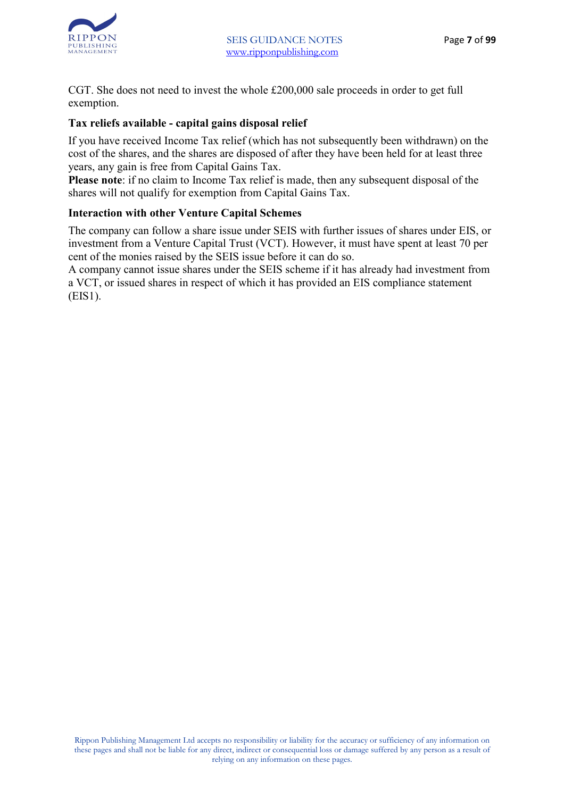

CGT. She does not need to invest the whole £200,000 sale proceeds in order to get full exemption.

#### **Tax reliefs available - capital gains disposal relief**

If you have received Income Tax relief (which has not subsequently been withdrawn) on the cost of the shares, and the shares are disposed of after they have been held for at least three years, any gain is free from Capital Gains Tax.

**Please note**: if no claim to Income Tax relief is made, then any subsequent disposal of the shares will not qualify for exemption from Capital Gains Tax.

#### **Interaction with other Venture Capital Schemes**

The company can follow a share issue under SEIS with further issues of shares under EIS, or investment from a Venture Capital Trust (VCT). However, it must have spent at least 70 per cent of the monies raised by the SEIS issue before it can do so.

A company cannot issue shares under the SEIS scheme if it has already had investment from a VCT, or issued shares in respect of which it has provided an EIS compliance statement (EIS1).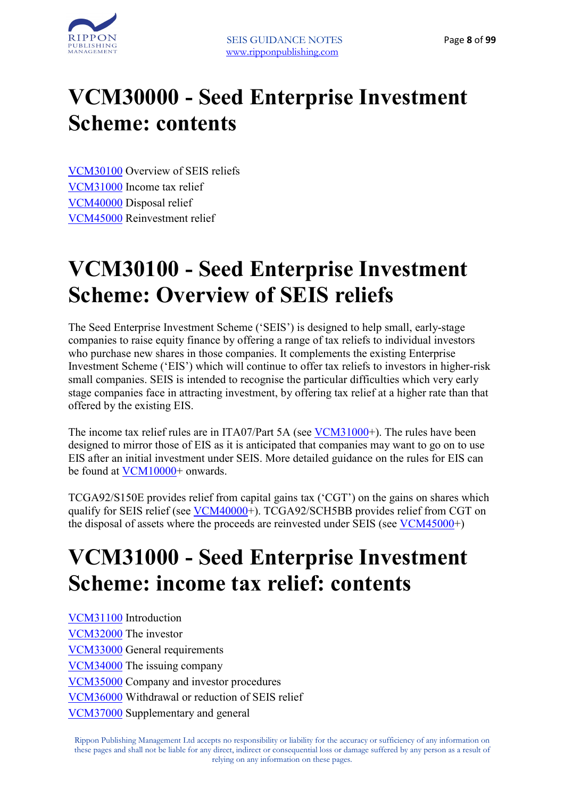

# **VCM30000 - Seed Enterprise Investment Scheme: contents**

VCM30100 Overview of SEIS reliefs VCM31000 Income tax relief VCM40000 Disposal relief VCM45000 Reinvestment relief

## **VCM30100 - Seed Enterprise Investment Scheme: Overview of SEIS reliefs**

The Seed Enterprise Investment Scheme ('SEIS') is designed to help small, early-stage companies to raise equity finance by offering a range of tax reliefs to individual investors who purchase new shares in those companies. It complements the existing Enterprise Investment Scheme ('EIS') which will continue to offer tax reliefs to investors in higher-risk small companies. SEIS is intended to recognise the particular difficulties which very early stage companies face in attracting investment, by offering tax relief at a higher rate than that offered by the existing EIS.

The income tax relief rules are in ITA07/Part 5A (see VCM31000+). The rules have been designed to mirror those of EIS as it is anticipated that companies may want to go on to use EIS after an initial investment under SEIS. More detailed guidance on the rules for EIS can be found at VCM10000+ onwards.

TCGA92/S150E provides relief from capital gains tax ('CGT') on the gains on shares which qualify for SEIS relief (see VCM40000+). TCGA92/SCH5BB provides relief from CGT on the disposal of assets where the proceeds are reinvested under SEIS (see VCM45000+)

# **VCM31000 - Seed Enterprise Investment Scheme: income tax relief: contents**

VCM31100 Introduction VCM32000 The investor VCM33000 General requirements VCM34000 The issuing company VCM35000 Company and investor procedures VCM36000 Withdrawal or reduction of SEIS relief VCM37000 Supplementary and general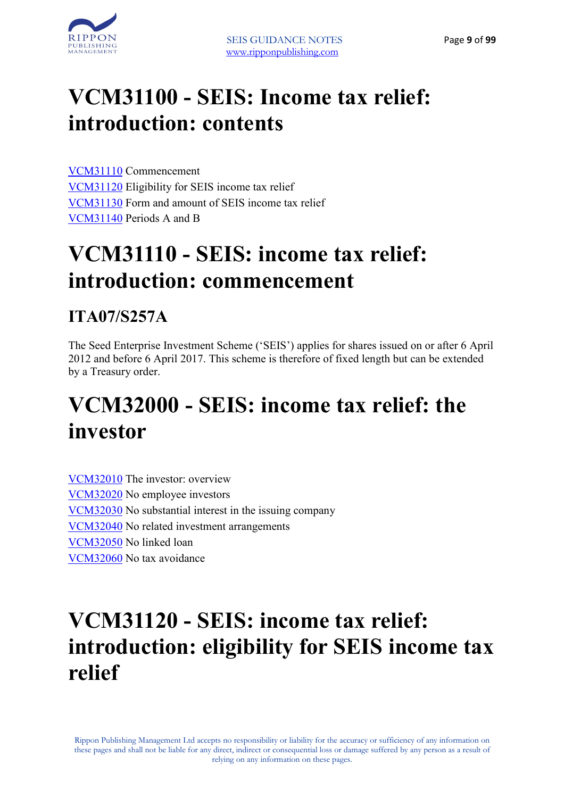

## **VCM31100 - SEIS: Income tax relief: introduction: contents**

VCM31110 Commencement VCM31120 Eligibility for SEIS income tax relief VCM31130 Form and amount of SEIS income tax relief VCM31140 Periods A and B

## **VCM31110 - SEIS: income tax relief: introduction: commencement**

#### **ITA07/S257A**

The Seed Enterprise Investment Scheme ('SEIS') applies for shares issued on or after 6 April 2012 and before 6 April 2017. This scheme is therefore of fixed length but can be extended by a Treasury order.

## **VCM32000 - SEIS: income tax relief: the investor**

VCM32010 The investor: overview VCM32020 No employee investors VCM32030 No substantial interest in the issuing company VCM32040 No related investment arrangements VCM32050 No linked loan VCM32060 No tax avoidance

## **VCM31120 - SEIS: income tax relief: introduction: eligibility for SEIS income tax relief**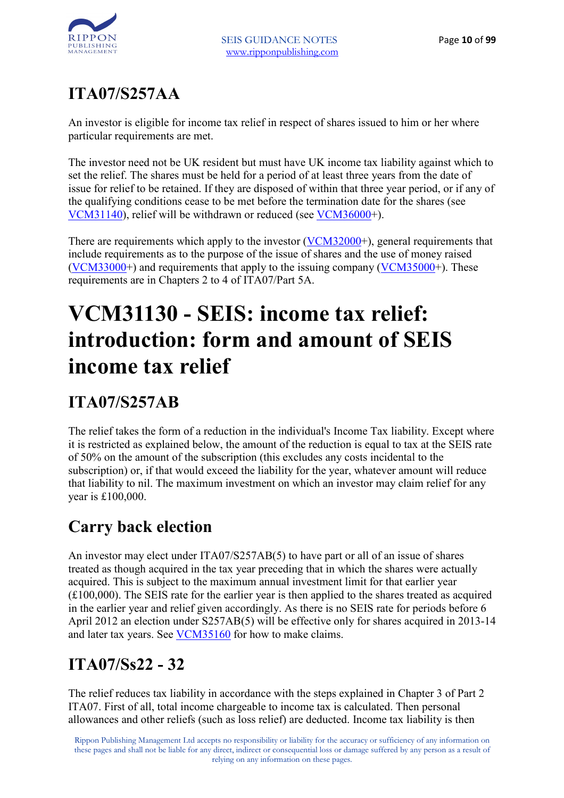## **ITA07/S257AA**

An investor is eligible for income tax relief in respect of shares issued to him or her where particular requirements are met.

The investor need not be UK resident but must have UK income tax liability against which to set the relief. The shares must be held for a period of at least three years from the date of issue for relief to be retained. If they are disposed of within that three year period, or if any of the qualifying conditions cease to be met before the termination date for the shares (see VCM31140), relief will be withdrawn or reduced (see VCM36000+).

There are requirements which apply to the investor (VCM32000+), general requirements that include requirements as to the purpose of the issue of shares and the use of money raised (VCM33000+) and requirements that apply to the issuing company ( $VCM35000+$ ). These requirements are in Chapters 2 to 4 of ITA07/Part 5A.

# **VCM31130 - SEIS: income tax relief: introduction: form and amount of SEIS income tax relief**

## **ITA07/S257AB**

The relief takes the form of a reduction in the individual's Income Tax liability. Except where it is restricted as explained below, the amount of the reduction is equal to tax at the SEIS rate of 50% on the amount of the subscription (this excludes any costs incidental to the subscription) or, if that would exceed the liability for the year, whatever amount will reduce that liability to nil. The maximum investment on which an investor may claim relief for any year is £100,000.

### **Carry back election**

An investor may elect under ITA07/S257AB(5) to have part or all of an issue of shares treated as though acquired in the tax year preceding that in which the shares were actually acquired. This is subject to the maximum annual investment limit for that earlier year (£100,000). The SEIS rate for the earlier year is then applied to the shares treated as acquired in the earlier year and relief given accordingly. As there is no SEIS rate for periods before 6 April 2012 an election under S257AB(5) will be effective only for shares acquired in 2013-14 and later tax years. See VCM35160 for how to make claims.

## **ITA07/Ss22 - 32**

The relief reduces tax liability in accordance with the steps explained in Chapter 3 of Part 2 ITA07. First of all, total income chargeable to income tax is calculated. Then personal allowances and other reliefs (such as loss relief) are deducted. Income tax liability is then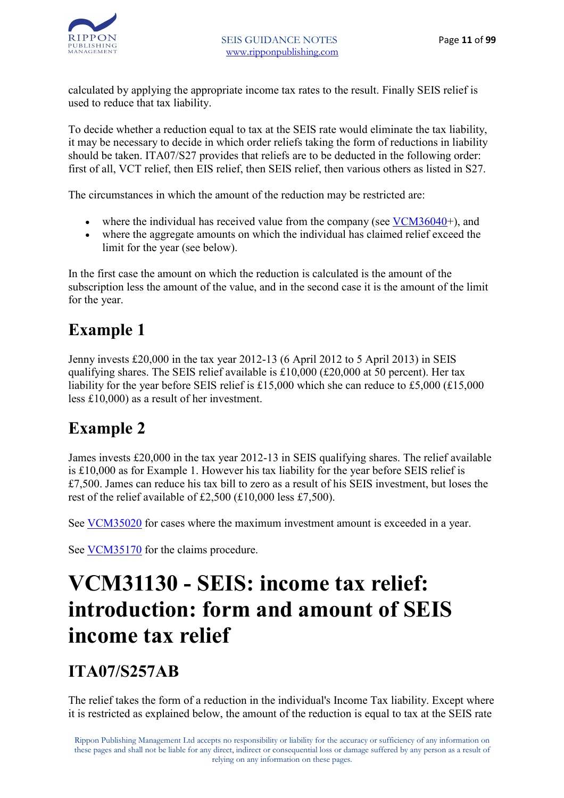calculated by applying the appropriate income tax rates to the result. Finally SEIS relief is used to reduce that tax liability.

To decide whether a reduction equal to tax at the SEIS rate would eliminate the tax liability, it may be necessary to decide in which order reliefs taking the form of reductions in liability should be taken. ITA07/S27 provides that reliefs are to be deducted in the following order: first of all, VCT relief, then EIS relief, then SEIS relief, then various others as listed in S27.

The circumstances in which the amount of the reduction may be restricted are:

- where the individual has received value from the company (see  $VCM36040+$ ), and
- where the aggregate amounts on which the individual has claimed relief exceed the limit for the year (see below).

In the first case the amount on which the reduction is calculated is the amount of the subscription less the amount of the value, and in the second case it is the amount of the limit for the year.

### **Example 1**

Jenny invests £20,000 in the tax year 2012-13 (6 April 2012 to 5 April 2013) in SEIS qualifying shares. The SEIS relief available is £10,000 (£20,000 at 50 percent). Her tax liability for the year before SEIS relief is £15,000 which she can reduce to £5,000 (£15,000) less £10,000) as a result of her investment.

### **Example 2**

James invests £20,000 in the tax year 2012-13 in SEIS qualifying shares. The relief available is £10,000 as for Example 1. However his tax liability for the year before SEIS relief is £7,500. James can reduce his tax bill to zero as a result of his SEIS investment, but loses the rest of the relief available of £2,500 (£10,000 less £7,500).

See VCM35020 for cases where the maximum investment amount is exceeded in a year.

See VCM35170 for the claims procedure.

# **VCM31130 - SEIS: income tax relief: introduction: form and amount of SEIS income tax relief**

#### **ITA07/S257AB**

The relief takes the form of a reduction in the individual's Income Tax liability. Except where it is restricted as explained below, the amount of the reduction is equal to tax at the SEIS rate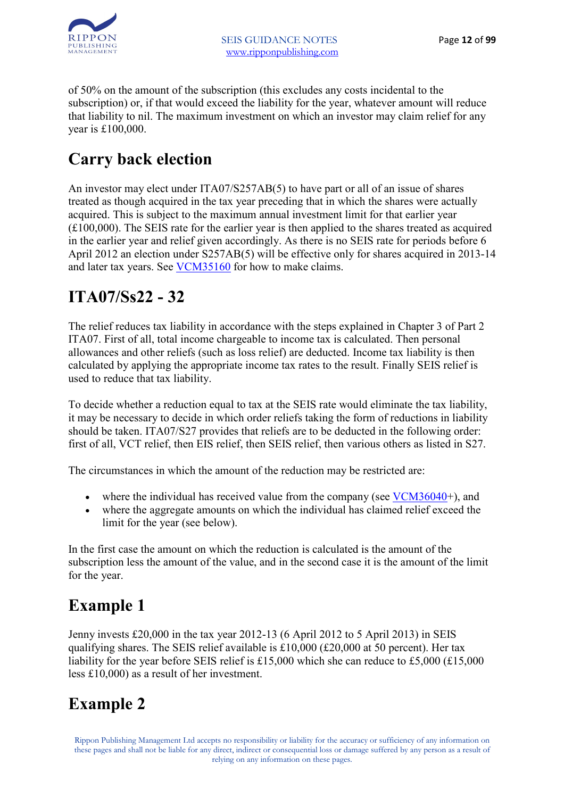

of 50% on the amount of the subscription (this excludes any costs incidental to the subscription) or, if that would exceed the liability for the year, whatever amount will reduce that liability to nil. The maximum investment on which an investor may claim relief for any year is £100,000.

### **Carry back election**

An investor may elect under ITA07/S257AB(5) to have part or all of an issue of shares treated as though acquired in the tax year preceding that in which the shares were actually acquired. This is subject to the maximum annual investment limit for that earlier year (£100,000). The SEIS rate for the earlier year is then applied to the shares treated as acquired in the earlier year and relief given accordingly. As there is no SEIS rate for periods before 6 April 2012 an election under S257AB(5) will be effective only for shares acquired in 2013-14 and later tax years. See VCM35160 for how to make claims.

### **ITA07/Ss22 - 32**

The relief reduces tax liability in accordance with the steps explained in Chapter 3 of Part 2 ITA07. First of all, total income chargeable to income tax is calculated. Then personal allowances and other reliefs (such as loss relief) are deducted. Income tax liability is then calculated by applying the appropriate income tax rates to the result. Finally SEIS relief is used to reduce that tax liability.

To decide whether a reduction equal to tax at the SEIS rate would eliminate the tax liability, it may be necessary to decide in which order reliefs taking the form of reductions in liability should be taken. ITA07/S27 provides that reliefs are to be deducted in the following order: first of all, VCT relief, then EIS relief, then SEIS relief, then various others as listed in S27.

The circumstances in which the amount of the reduction may be restricted are:

- where the individual has received value from the company (see  $VCM36040+$ ), and
- where the aggregate amounts on which the individual has claimed relief exceed the limit for the year (see below).

In the first case the amount on which the reduction is calculated is the amount of the subscription less the amount of the value, and in the second case it is the amount of the limit for the year.

### **Example 1**

Jenny invests £20,000 in the tax year 2012-13 (6 April 2012 to 5 April 2013) in SEIS qualifying shares. The SEIS relief available is £10,000 (£20,000 at 50 percent). Her tax liability for the year before SEIS relief is £15,000 which she can reduce to £5,000 (£15,000 less £10,000) as a result of her investment.

### **Example 2**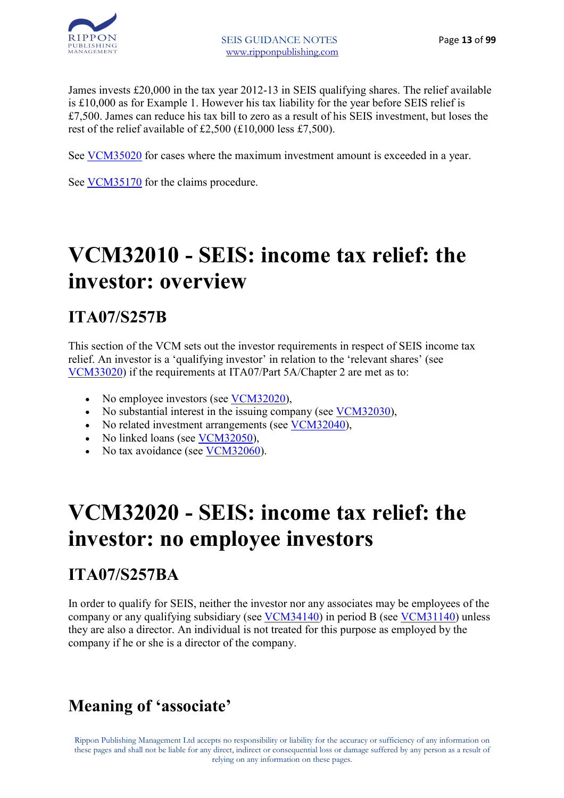

James invests £20,000 in the tax year 2012-13 in SEIS qualifying shares. The relief available is £10,000 as for Example 1. However his tax liability for the year before SEIS relief is £7,500. James can reduce his tax bill to zero as a result of his SEIS investment, but loses the rest of the relief available of £2,500 (£10,000 less £7,500).

See VCM35020 for cases where the maximum investment amount is exceeded in a year.

See VCM35170 for the claims procedure.

## **VCM32010 - SEIS: income tax relief: the investor: overview**

#### **ITA07/S257B**

This section of the VCM sets out the investor requirements in respect of SEIS income tax relief. An investor is a 'qualifying investor' in relation to the 'relevant shares' (see VCM33020) if the requirements at ITA07/Part 5A/Chapter 2 are met as to:

- No employee investors (see VCM32020),
- No substantial interest in the issuing company (see VCM32030),
- No related investment arrangements (see VCM32040),
- No linked loans (see VCM32050),
- No tax avoidance (see VCM32060).

## **VCM32020 - SEIS: income tax relief: the investor: no employee investors**

#### **ITA07/S257BA**

In order to qualify for SEIS, neither the investor nor any associates may be employees of the company or any qualifying subsidiary (see VCM34140) in period B (see VCM31140) unless they are also a director. An individual is not treated for this purpose as employed by the company if he or she is a director of the company.

### **Meaning of 'associate'**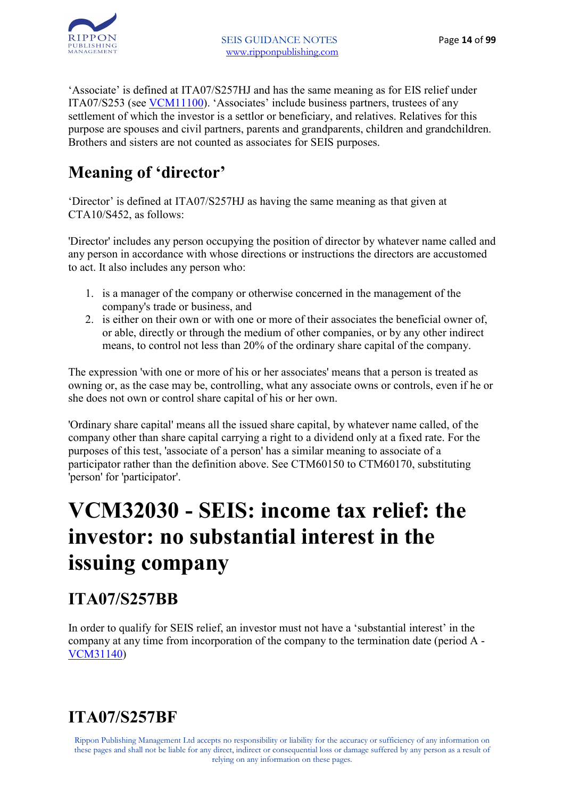

'Associate' is defined at ITA07/S257HJ and has the same meaning as for EIS relief under ITA07/S253 (see VCM11100). 'Associates' include business partners, trustees of any settlement of which the investor is a settlor or beneficiary, and relatives. Relatives for this purpose are spouses and civil partners, parents and grandparents, children and grandchildren. Brothers and sisters are not counted as associates for SEIS purposes.

### **Meaning of 'director'**

'Director' is defined at ITA07/S257HJ as having the same meaning as that given at CTA10/S452, as follows:

'Director' includes any person occupying the position of director by whatever name called and any person in accordance with whose directions or instructions the directors are accustomed to act. It also includes any person who:

- 1. is a manager of the company or otherwise concerned in the management of the company's trade or business, and
- 2. is either on their own or with one or more of their associates the beneficial owner of, or able, directly or through the medium of other companies, or by any other indirect means, to control not less than 20% of the ordinary share capital of the company.

The expression 'with one or more of his or her associates' means that a person is treated as owning or, as the case may be, controlling, what any associate owns or controls, even if he or she does not own or control share capital of his or her own.

'Ordinary share capital' means all the issued share capital, by whatever name called, of the company other than share capital carrying a right to a dividend only at a fixed rate. For the purposes of this test, 'associate of a person' has a similar meaning to associate of a participator rather than the definition above. See CTM60150 to CTM60170, substituting 'person' for 'participator'.

# **VCM32030 - SEIS: income tax relief: the investor: no substantial interest in the issuing company**

## **ITA07/S257BB**

In order to qualify for SEIS relief, an investor must not have a 'substantial interest' in the company at any time from incorporation of the company to the termination date (period A - VCM31140)

## **ITA07/S257BF**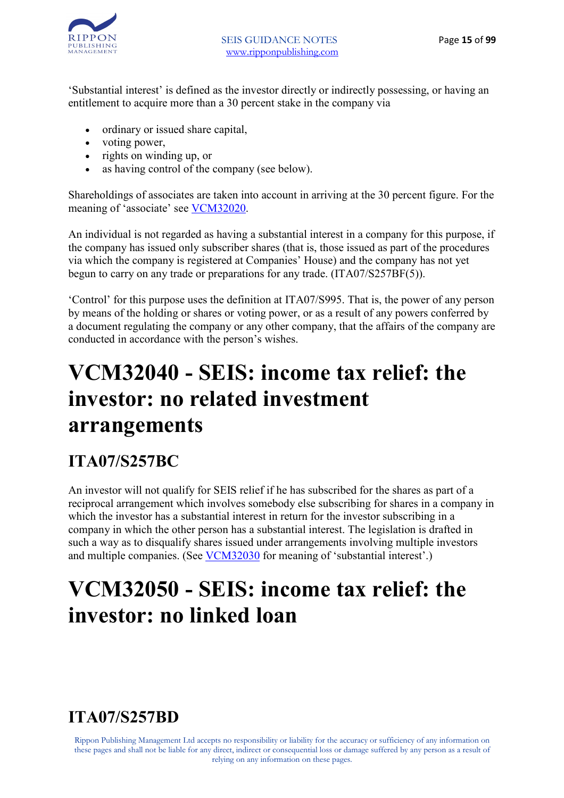

'Substantial interest' is defined as the investor directly or indirectly possessing, or having an entitlement to acquire more than a 30 percent stake in the company via

- ordinary or issued share capital,
- voting power,
- rights on winding up, or
- as having control of the company (see below).

Shareholdings of associates are taken into account in arriving at the 30 percent figure. For the meaning of 'associate' see VCM32020.

An individual is not regarded as having a substantial interest in a company for this purpose, if the company has issued only subscriber shares (that is, those issued as part of the procedures via which the company is registered at Companies' House) and the company has not yet begun to carry on any trade or preparations for any trade. (ITA07/S257BF(5)).

'Control' for this purpose uses the definition at ITA07/S995. That is, the power of any person by means of the holding or shares or voting power, or as a result of any powers conferred by a document regulating the company or any other company, that the affairs of the company are conducted in accordance with the person's wishes.

## **VCM32040 - SEIS: income tax relief: the investor: no related investment arrangements**

### **ITA07/S257BC**

An investor will not qualify for SEIS relief if he has subscribed for the shares as part of a reciprocal arrangement which involves somebody else subscribing for shares in a company in which the investor has a substantial interest in return for the investor subscribing in a company in which the other person has a substantial interest. The legislation is drafted in such a way as to disqualify shares issued under arrangements involving multiple investors and multiple companies. (See VCM32030 for meaning of 'substantial interest'.)

## **VCM32050 - SEIS: income tax relief: the investor: no linked loan**

### **ITA07/S257BD**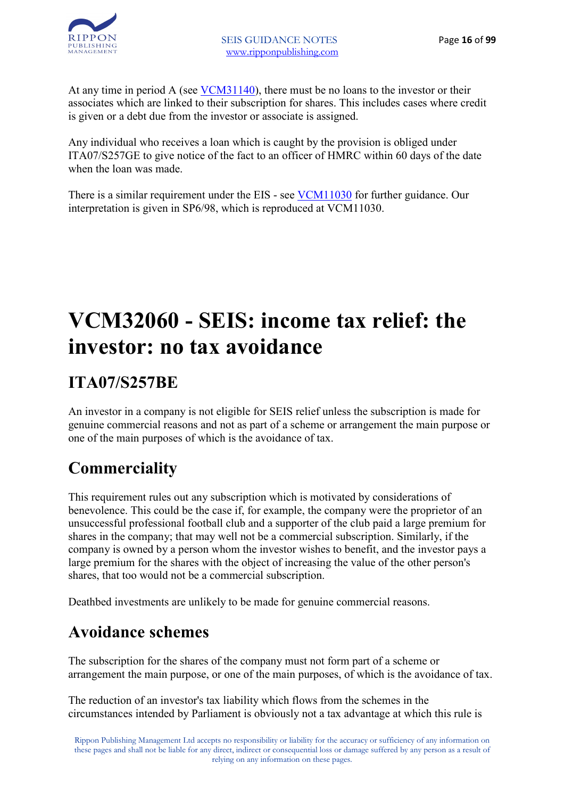At any time in period A (see VCM31140), there must be no loans to the investor or their associates which are linked to their subscription for shares. This includes cases where credit is given or a debt due from the investor or associate is assigned.

Any individual who receives a loan which is caught by the provision is obliged under ITA07/S257GE to give notice of the fact to an officer of HMRC within 60 days of the date when the loan was made.

There is a similar requirement under the EIS - see VCM11030 for further guidance. Our interpretation is given in SP6/98, which is reproduced at VCM11030.

# **VCM32060 - SEIS: income tax relief: the investor: no tax avoidance**

## **ITA07/S257BE**

An investor in a company is not eligible for SEIS relief unless the subscription is made for genuine commercial reasons and not as part of a scheme or arrangement the main purpose or one of the main purposes of which is the avoidance of tax.

### **Commerciality**

This requirement rules out any subscription which is motivated by considerations of benevolence. This could be the case if, for example, the company were the proprietor of an unsuccessful professional football club and a supporter of the club paid a large premium for shares in the company; that may well not be a commercial subscription. Similarly, if the company is owned by a person whom the investor wishes to benefit, and the investor pays a large premium for the shares with the object of increasing the value of the other person's shares, that too would not be a commercial subscription.

Deathbed investments are unlikely to be made for genuine commercial reasons.

### **Avoidance schemes**

The subscription for the shares of the company must not form part of a scheme or arrangement the main purpose, or one of the main purposes, of which is the avoidance of tax.

The reduction of an investor's tax liability which flows from the schemes in the circumstances intended by Parliament is obviously not a tax advantage at which this rule is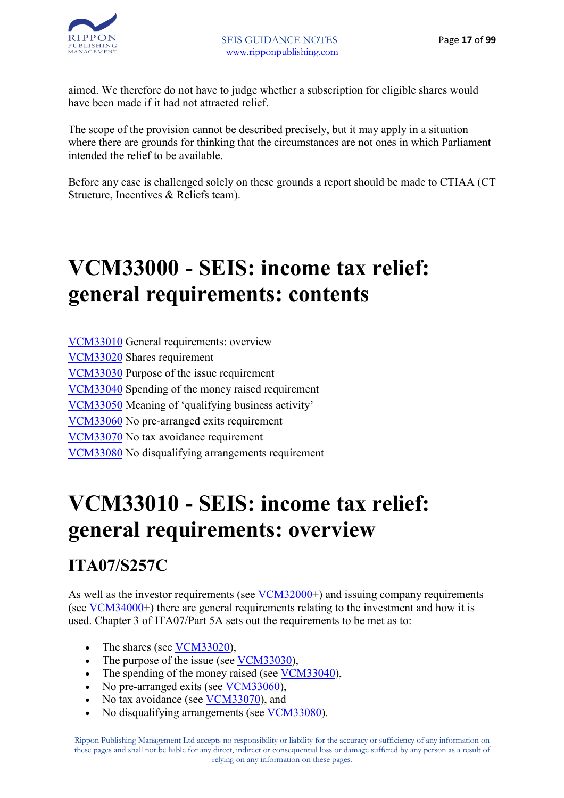aimed. We therefore do not have to judge whether a subscription for eligible shares would have been made if it had not attracted relief.

The scope of the provision cannot be described precisely, but it may apply in a situation where there are grounds for thinking that the circumstances are not ones in which Parliament intended the relief to be available.

Before any case is challenged solely on these grounds a report should be made to CTIAA (CT Structure, Incentives & Reliefs team).

# **VCM33000 - SEIS: income tax relief: general requirements: contents**

VCM33010 General requirements: overview VCM33020 Shares requirement VCM33030 Purpose of the issue requirement VCM33040 Spending of the money raised requirement VCM33050 Meaning of 'qualifying business activity' VCM33060 No pre-arranged exits requirement VCM33070 No tax avoidance requirement VCM33080 No disqualifying arrangements requirement

# **VCM33010 - SEIS: income tax relief: general requirements: overview**

### **ITA07/S257C**

As well as the investor requirements (see VCM32000+) and issuing company requirements (see VCM34000+) there are general requirements relating to the investment and how it is used. Chapter 3 of ITA07/Part 5A sets out the requirements to be met as to:

- The shares (see VCM33020),
- The purpose of the issue (see VCM33030),
- The spending of the money raised (see VCM33040),
- No pre-arranged exits (see <u>VCM33060</u>),
- No tax avoidance (see VCM33070), and
- No disqualifying arrangements (see VCM33080).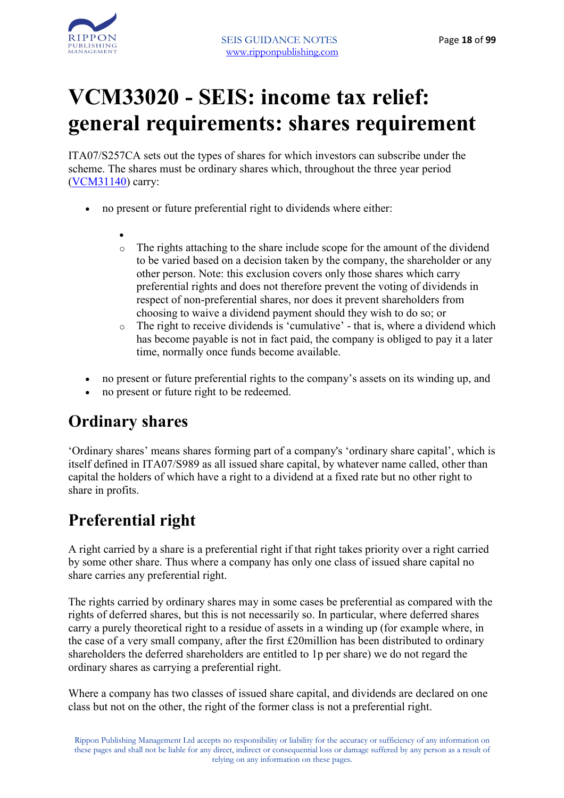

# **VCM33020 - SEIS: income tax relief: general requirements: shares requirement**

ITA07/S257CA sets out the types of shares for which investors can subscribe under the scheme. The shares must be ordinary shares which, throughout the three year period (VCM31140) carry:

- no present or future preferential right to dividends where either:
	- o The rights attaching to the share include scope for the amount of the dividend to be varied based on a decision taken by the company, the shareholder or any other person. Note: this exclusion covers only those shares which carry preferential rights and does not therefore prevent the voting of dividends in respect of non-preferential shares, nor does it prevent shareholders from choosing to waive a dividend payment should they wish to do so; or
	- o The right to receive dividends is 'cumulative' that is, where a dividend which has become payable is not in fact paid, the company is obliged to pay it a later time, normally once funds become available.
- no present or future preferential rights to the company's assets on its winding up, and
- no present or future right to be redeemed.

#### **Ordinary shares**

'Ordinary shares' means shares forming part of a company's 'ordinary share capital', which is itself defined in ITA07/S989 as all issued share capital, by whatever name called, other than capital the holders of which have a right to a dividend at a fixed rate but no other right to share in profits.

### **Preferential right**

A right carried by a share is a preferential right if that right takes priority over a right carried by some other share. Thus where a company has only one class of issued share capital no share carries any preferential right.

The rights carried by ordinary shares may in some cases be preferential as compared with the rights of deferred shares, but this is not necessarily so. In particular, where deferred shares carry a purely theoretical right to a residue of assets in a winding up (for example where, in the case of a very small company, after the first £20million has been distributed to ordinary shareholders the deferred shareholders are entitled to 1p per share) we do not regard the ordinary shares as carrying a preferential right.

Where a company has two classes of issued share capital, and dividends are declared on one class but not on the other, the right of the former class is not a preferential right.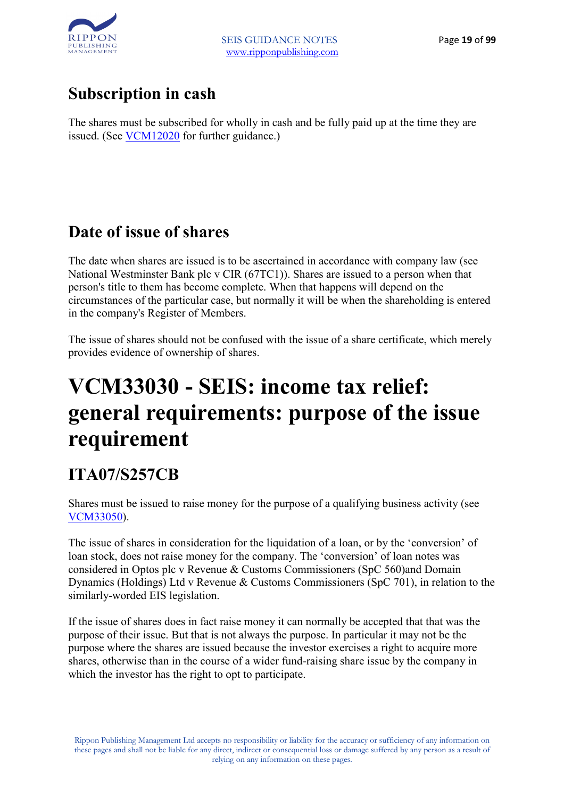

### **Subscription in cash**

The shares must be subscribed for wholly in cash and be fully paid up at the time they are issued. (See VCM12020 for further guidance.)

### **Date of issue of shares**

The date when shares are issued is to be ascertained in accordance with company law (see National Westminster Bank plc v CIR (67TC1)). Shares are issued to a person when that person's title to them has become complete. When that happens will depend on the circumstances of the particular case, but normally it will be when the shareholding is entered in the company's Register of Members.

The issue of shares should not be confused with the issue of a share certificate, which merely provides evidence of ownership of shares.

# **VCM33030 - SEIS: income tax relief: general requirements: purpose of the issue requirement**

### **ITA07/S257CB**

Shares must be issued to raise money for the purpose of a qualifying business activity (see VCM33050).

The issue of shares in consideration for the liquidation of a loan, or by the 'conversion' of loan stock, does not raise money for the company. The 'conversion' of loan notes was considered in Optos plc v Revenue & Customs Commissioners (SpC 560)and Domain Dynamics (Holdings) Ltd v Revenue & Customs Commissioners (SpC 701), in relation to the similarly-worded EIS legislation.

If the issue of shares does in fact raise money it can normally be accepted that that was the purpose of their issue. But that is not always the purpose. In particular it may not be the purpose where the shares are issued because the investor exercises a right to acquire more shares, otherwise than in the course of a wider fund-raising share issue by the company in which the investor has the right to opt to participate.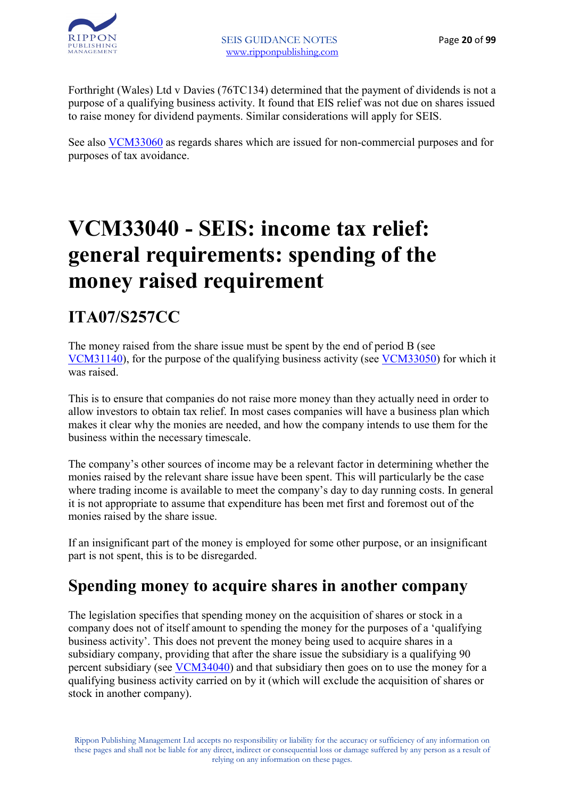

Forthright (Wales) Ltd v Davies (76TC134) determined that the payment of dividends is not a purpose of a qualifying business activity. It found that EIS relief was not due on shares issued to raise money for dividend payments. Similar considerations will apply for SEIS.

See also VCM33060 as regards shares which are issued for non-commercial purposes and for purposes of tax avoidance.

# **VCM33040 - SEIS: income tax relief: general requirements: spending of the money raised requirement**

### **ITA07/S257CC**

The money raised from the share issue must be spent by the end of period B (see VCM31140), for the purpose of the qualifying business activity (see VCM33050) for which it was raised.

This is to ensure that companies do not raise more money than they actually need in order to allow investors to obtain tax relief. In most cases companies will have a business plan which makes it clear why the monies are needed, and how the company intends to use them for the business within the necessary timescale.

The company's other sources of income may be a relevant factor in determining whether the monies raised by the relevant share issue have been spent. This will particularly be the case where trading income is available to meet the company's day to day running costs. In general it is not appropriate to assume that expenditure has been met first and foremost out of the monies raised by the share issue.

If an insignificant part of the money is employed for some other purpose, or an insignificant part is not spent, this is to be disregarded.

#### **Spending money to acquire shares in another company**

The legislation specifies that spending money on the acquisition of shares or stock in a company does not of itself amount to spending the money for the purposes of a 'qualifying business activity'. This does not prevent the money being used to acquire shares in a subsidiary company, providing that after the share issue the subsidiary is a qualifying 90 percent subsidiary (see VCM34040) and that subsidiary then goes on to use the money for a qualifying business activity carried on by it (which will exclude the acquisition of shares or stock in another company).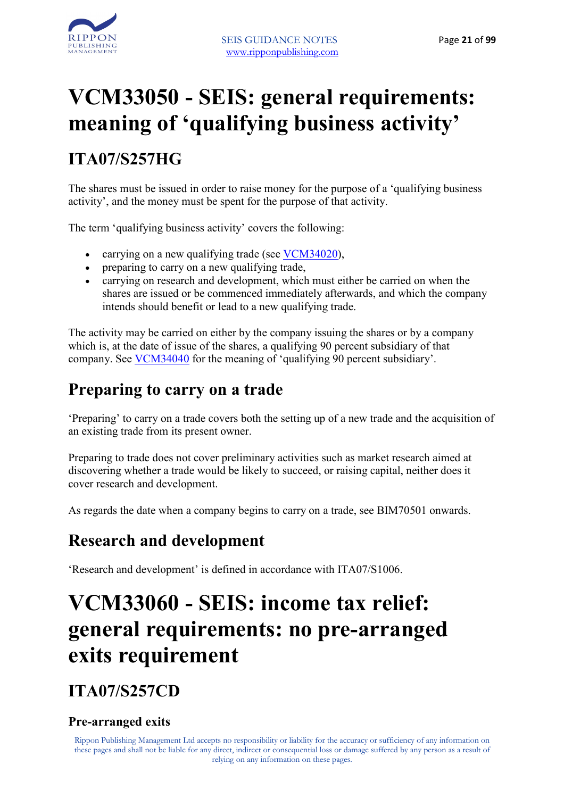# **VCM33050 - SEIS: general requirements: meaning of 'qualifying business activity'**

### **ITA07/S257HG**

The shares must be issued in order to raise money for the purpose of a 'qualifying business activity', and the money must be spent for the purpose of that activity.

The term 'qualifying business activity' covers the following:

- carrying on a new qualifying trade (see VCM34020),
- preparing to carry on a new qualifying trade,
- carrying on research and development, which must either be carried on when the shares are issued or be commenced immediately afterwards, and which the company intends should benefit or lead to a new qualifying trade.

The activity may be carried on either by the company issuing the shares or by a company which is, at the date of issue of the shares, a qualifying 90 percent subsidiary of that company. See VCM34040 for the meaning of 'qualifying 90 percent subsidiary'.

#### **Preparing to carry on a trade**

'Preparing' to carry on a trade covers both the setting up of a new trade and the acquisition of an existing trade from its present owner.

Preparing to trade does not cover preliminary activities such as market research aimed at discovering whether a trade would be likely to succeed, or raising capital, neither does it cover research and development.

As regards the date when a company begins to carry on a trade, see BIM70501 onwards.

### **Research and development**

'Research and development' is defined in accordance with ITA07/S1006.

# **VCM33060 - SEIS: income tax relief: general requirements: no pre-arranged exits requirement**

**ITA07/S257CD** 

#### **Pre-arranged exits**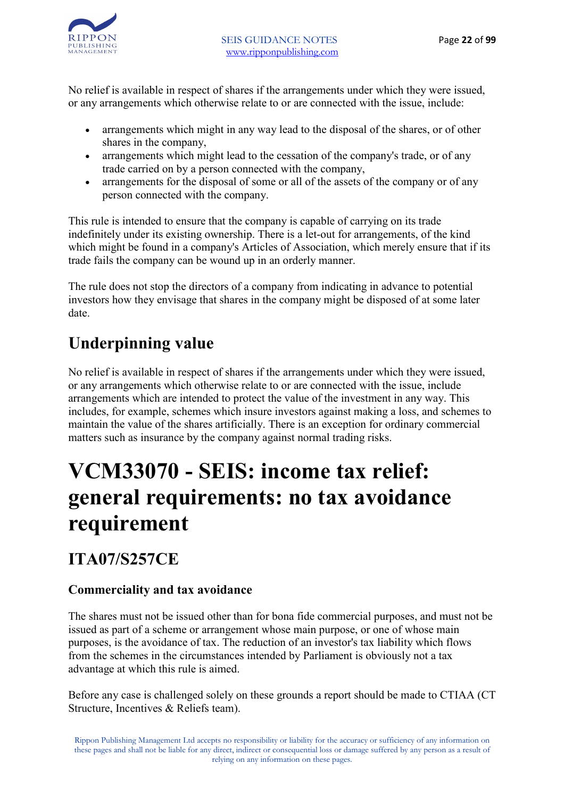

No relief is available in respect of shares if the arrangements under which they were issued, or any arrangements which otherwise relate to or are connected with the issue, include:

- arrangements which might in any way lead to the disposal of the shares, or of other shares in the company,
- arrangements which might lead to the cessation of the company's trade, or of any trade carried on by a person connected with the company,
- arrangements for the disposal of some or all of the assets of the company or of any person connected with the company.

This rule is intended to ensure that the company is capable of carrying on its trade indefinitely under its existing ownership. There is a let-out for arrangements, of the kind which might be found in a company's Articles of Association, which merely ensure that if its trade fails the company can be wound up in an orderly manner.

The rule does not stop the directors of a company from indicating in advance to potential investors how they envisage that shares in the company might be disposed of at some later date.

### **Underpinning value**

No relief is available in respect of shares if the arrangements under which they were issued, or any arrangements which otherwise relate to or are connected with the issue, include arrangements which are intended to protect the value of the investment in any way. This includes, for example, schemes which insure investors against making a loss, and schemes to maintain the value of the shares artificially. There is an exception for ordinary commercial matters such as insurance by the company against normal trading risks.

# **VCM33070 - SEIS: income tax relief: general requirements: no tax avoidance requirement**

#### **ITA07/S257CE**

#### **Commerciality and tax avoidance**

The shares must not be issued other than for bona fide commercial purposes, and must not be issued as part of a scheme or arrangement whose main purpose, or one of whose main purposes, is the avoidance of tax. The reduction of an investor's tax liability which flows from the schemes in the circumstances intended by Parliament is obviously not a tax advantage at which this rule is aimed.

Before any case is challenged solely on these grounds a report should be made to CTIAA (CT Structure, Incentives & Reliefs team).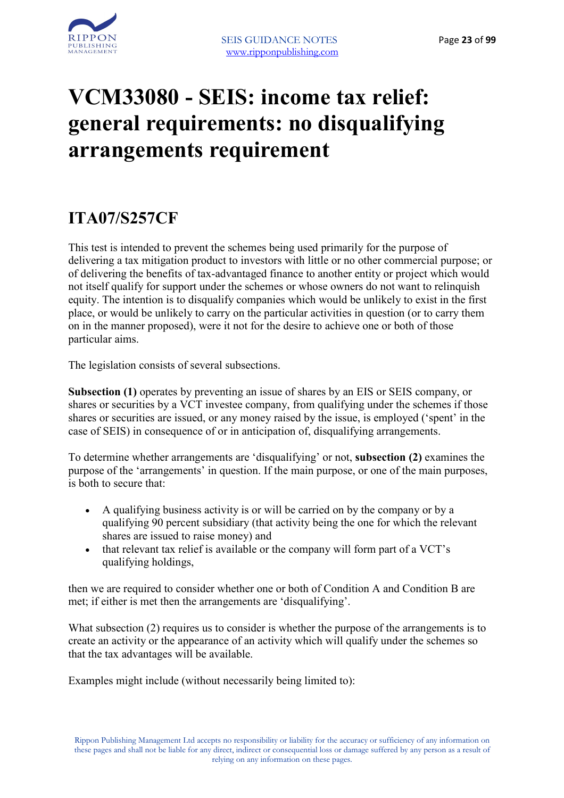

# **VCM33080 - SEIS: income tax relief: general requirements: no disqualifying arrangements requirement**

#### **ITA07/S257CF**

This test is intended to prevent the schemes being used primarily for the purpose of delivering a tax mitigation product to investors with little or no other commercial purpose; or of delivering the benefits of tax-advantaged finance to another entity or project which would not itself qualify for support under the schemes or whose owners do not want to relinquish equity. The intention is to disqualify companies which would be unlikely to exist in the first place, or would be unlikely to carry on the particular activities in question (or to carry them on in the manner proposed), were it not for the desire to achieve one or both of those particular aims.

The legislation consists of several subsections.

**Subsection (1)** operates by preventing an issue of shares by an EIS or SEIS company, or shares or securities by a VCT investee company, from qualifying under the schemes if those shares or securities are issued, or any money raised by the issue, is employed ('spent' in the case of SEIS) in consequence of or in anticipation of, disqualifying arrangements.

To determine whether arrangements are 'disqualifying' or not, **subsection (2)** examines the purpose of the 'arrangements' in question. If the main purpose, or one of the main purposes, is both to secure that:

- A qualifying business activity is or will be carried on by the company or by a qualifying 90 percent subsidiary (that activity being the one for which the relevant shares are issued to raise money) and
- that relevant tax relief is available or the company will form part of a VCT's qualifying holdings,

then we are required to consider whether one or both of Condition A and Condition B are met; if either is met then the arrangements are 'disqualifying'.

What subsection (2) requires us to consider is whether the purpose of the arrangements is to create an activity or the appearance of an activity which will qualify under the schemes so that the tax advantages will be available.

Examples might include (without necessarily being limited to):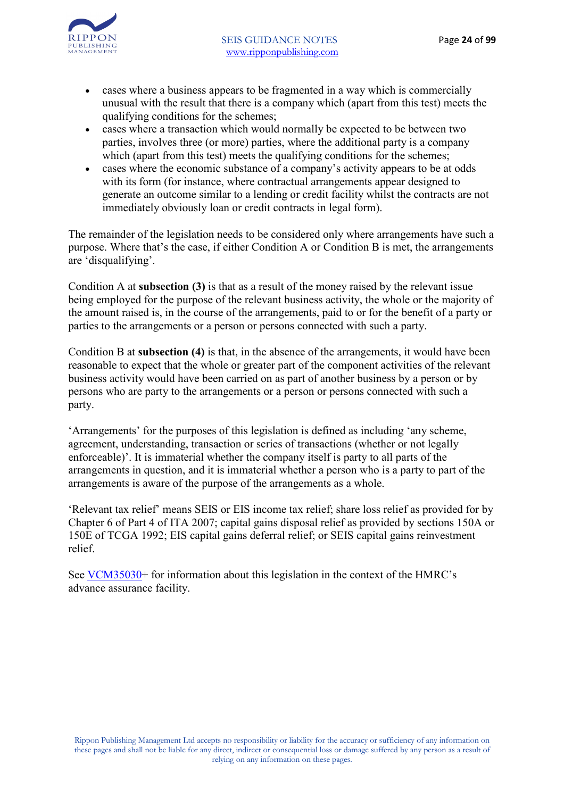

- cases where a business appears to be fragmented in a way which is commercially unusual with the result that there is a company which (apart from this test) meets the qualifying conditions for the schemes;
- cases where a transaction which would normally be expected to be between two parties, involves three (or more) parties, where the additional party is a company which (apart from this test) meets the qualifying conditions for the schemes;
- cases where the economic substance of a company's activity appears to be at odds with its form (for instance, where contractual arrangements appear designed to generate an outcome similar to a lending or credit facility whilst the contracts are not immediately obviously loan or credit contracts in legal form).

The remainder of the legislation needs to be considered only where arrangements have such a purpose. Where that's the case, if either Condition A or Condition B is met, the arrangements are 'disqualifying'.

Condition A at **subsection (3)** is that as a result of the money raised by the relevant issue being employed for the purpose of the relevant business activity, the whole or the majority of the amount raised is, in the course of the arrangements, paid to or for the benefit of a party or parties to the arrangements or a person or persons connected with such a party.

Condition B at **subsection (4)** is that, in the absence of the arrangements, it would have been reasonable to expect that the whole or greater part of the component activities of the relevant business activity would have been carried on as part of another business by a person or by persons who are party to the arrangements or a person or persons connected with such a party.

'Arrangements' for the purposes of this legislation is defined as including 'any scheme, agreement, understanding, transaction or series of transactions (whether or not legally enforceable)'. It is immaterial whether the company itself is party to all parts of the arrangements in question, and it is immaterial whether a person who is a party to part of the arrangements is aware of the purpose of the arrangements as a whole.

'Relevant tax relief' means SEIS or EIS income tax relief; share loss relief as provided for by Chapter 6 of Part 4 of ITA 2007; capital gains disposal relief as provided by sections 150A or 150E of TCGA 1992; EIS capital gains deferral relief; or SEIS capital gains reinvestment relief.

See VCM35030+ for information about this legislation in the context of the HMRC's advance assurance facility.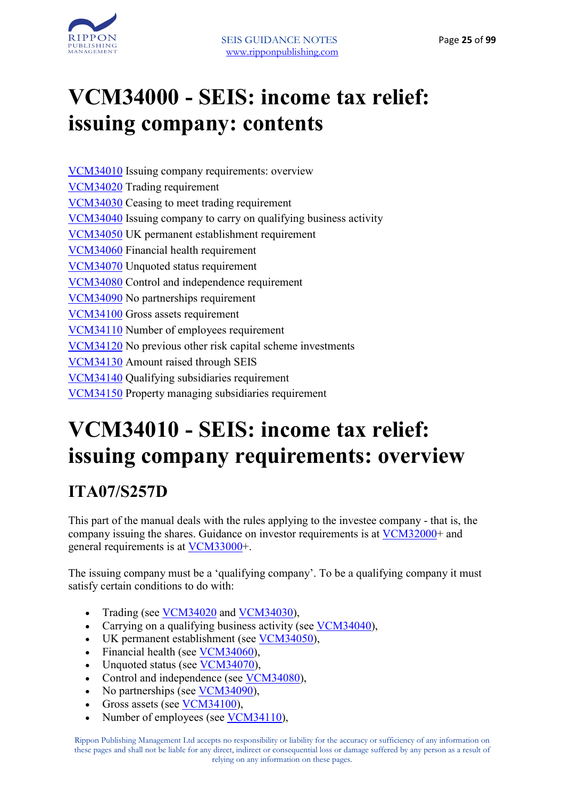

# **VCM34000 - SEIS: income tax relief: issuing company: contents**

VCM34010 Issuing company requirements: overview VCM34020 Trading requirement VCM34030 Ceasing to meet trading requirement VCM34040 Issuing company to carry on qualifying business activity VCM34050 UK permanent establishment requirement VCM34060 Financial health requirement VCM34070 Unquoted status requirement VCM34080 Control and independence requirement VCM34090 No partnerships requirement VCM34100 Gross assets requirement VCM34110 Number of employees requirement VCM34120 No previous other risk capital scheme investments VCM34130 Amount raised through SEIS VCM34140 Qualifying subsidiaries requirement VCM34150 Property managing subsidiaries requirement

# **VCM34010 - SEIS: income tax relief: issuing company requirements: overview**

### **ITA07/S257D**

This part of the manual deals with the rules applying to the investee company - that is, the company issuing the shares. Guidance on investor requirements is at VCM32000+ and general requirements is at VCM33000+.

The issuing company must be a 'qualifying company'. To be a qualifying company it must satisfy certain conditions to do with:

- Trading (see VCM34020 and VCM34030),
- Carrying on a qualifying business activity (see VCM34040),
- UK permanent establishment (see VCM34050),
- Financial health (see VCM34060),
- Unquoted status (see VCM34070),
- Control and independence (see VCM34080),
- No partnerships (see VCM34090).
- Gross assets (see VCM34100),
- Number of employees (see VCM34110),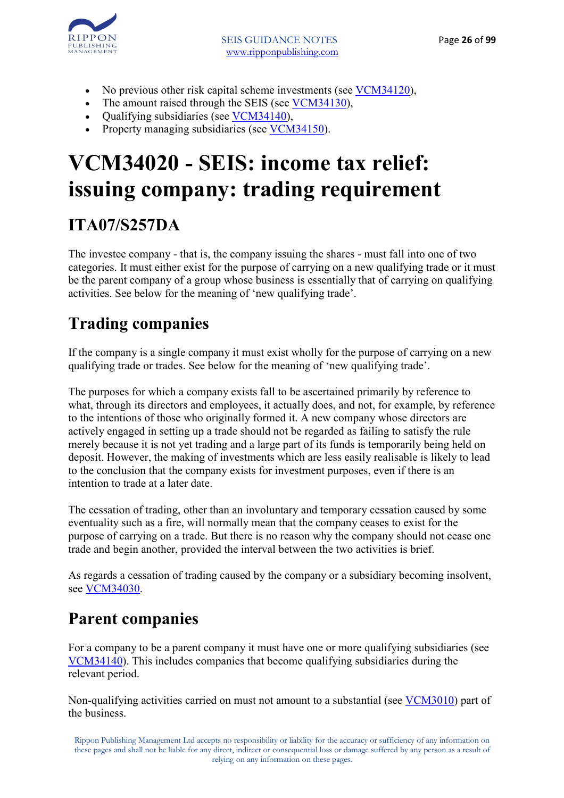

- No previous other risk capital scheme investments (see VCM34120),
- The amount raised through the SEIS (see VCM34130),
- Qualifying subsidiaries (see VCM34140),
- Property managing subsidiaries (see VCM34150).

# **VCM34020 - SEIS: income tax relief: issuing company: trading requirement**

## **ITA07/S257DA**

The investee company - that is, the company issuing the shares - must fall into one of two categories. It must either exist for the purpose of carrying on a new qualifying trade or it must be the parent company of a group whose business is essentially that of carrying on qualifying activities. See below for the meaning of 'new qualifying trade'.

## **Trading companies**

If the company is a single company it must exist wholly for the purpose of carrying on a new qualifying trade or trades. See below for the meaning of 'new qualifying trade'.

The purposes for which a company exists fall to be ascertained primarily by reference to what, through its directors and employees, it actually does, and not, for example, by reference to the intentions of those who originally formed it. A new company whose directors are actively engaged in setting up a trade should not be regarded as failing to satisfy the rule merely because it is not yet trading and a large part of its funds is temporarily being held on deposit. However, the making of investments which are less easily realisable is likely to lead to the conclusion that the company exists for investment purposes, even if there is an intention to trade at a later date.

The cessation of trading, other than an involuntary and temporary cessation caused by some eventuality such as a fire, will normally mean that the company ceases to exist for the purpose of carrying on a trade. But there is no reason why the company should not cease one trade and begin another, provided the interval between the two activities is brief.

As regards a cessation of trading caused by the company or a subsidiary becoming insolvent, see VCM34030.

### **Parent companies**

For a company to be a parent company it must have one or more qualifying subsidiaries (see VCM34140). This includes companies that become qualifying subsidiaries during the relevant period.

Non-qualifying activities carried on must not amount to a substantial (see VCM3010) part of the business.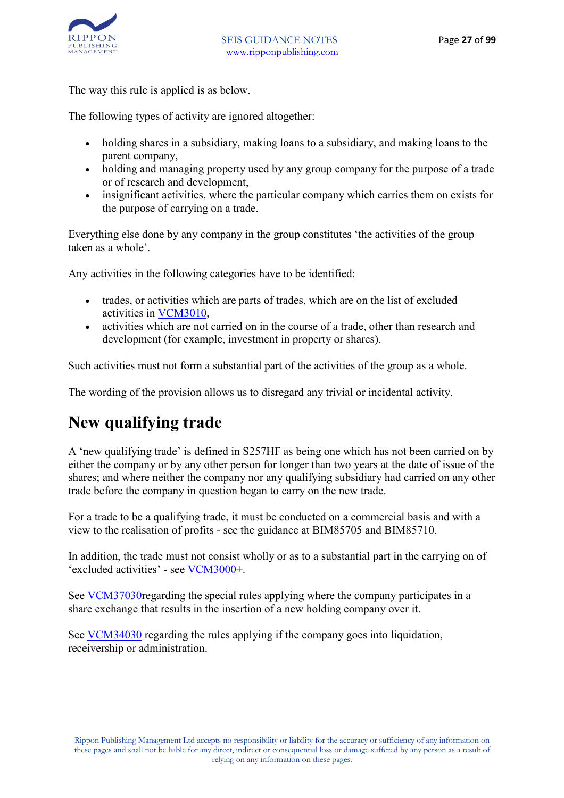

The way this rule is applied is as below.

The following types of activity are ignored altogether:

- holding shares in a subsidiary, making loans to a subsidiary, and making loans to the parent company,
- holding and managing property used by any group company for the purpose of a trade or of research and development,
- insignificant activities, where the particular company which carries them on exists for the purpose of carrying on a trade.

Everything else done by any company in the group constitutes 'the activities of the group taken as a whole'.

Any activities in the following categories have to be identified:

- trades, or activities which are parts of trades, which are on the list of excluded activities in VCM3010,
- activities which are not carried on in the course of a trade, other than research and development (for example, investment in property or shares).

Such activities must not form a substantial part of the activities of the group as a whole.

The wording of the provision allows us to disregard any trivial or incidental activity.

#### **New qualifying trade**

A 'new qualifying trade' is defined in S257HF as being one which has not been carried on by either the company or by any other person for longer than two years at the date of issue of the shares; and where neither the company nor any qualifying subsidiary had carried on any other trade before the company in question began to carry on the new trade.

For a trade to be a qualifying trade, it must be conducted on a commercial basis and with a view to the realisation of profits - see the guidance at BIM85705 and BIM85710.

In addition, the trade must not consist wholly or as to a substantial part in the carrying on of 'excluded activities' - see VCM3000+.

See VCM37030regarding the special rules applying where the company participates in a share exchange that results in the insertion of a new holding company over it.

See VCM34030 regarding the rules applying if the company goes into liquidation, receivership or administration.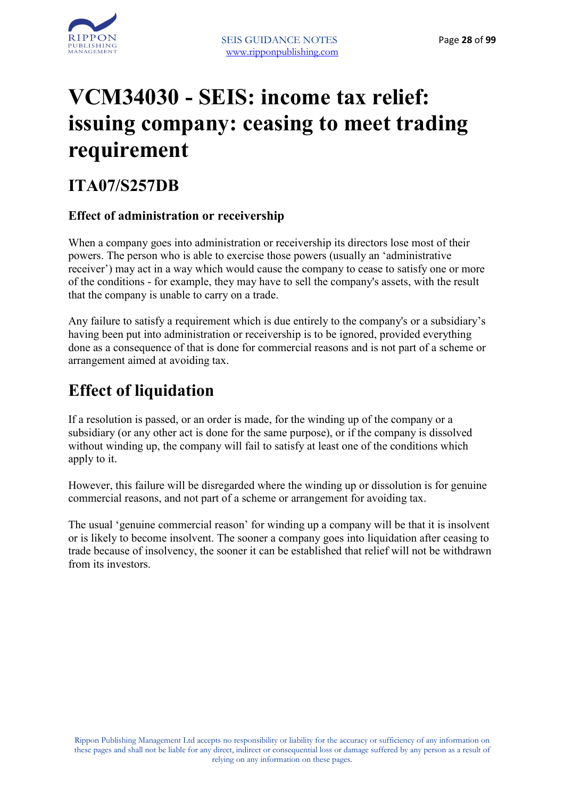

# **VCM34030 - SEIS: income tax relief: issuing company: ceasing to meet trading requirement**

#### **ITA07/S257DB**

#### **Effect of administration or receivership**

When a company goes into administration or receivership its directors lose most of their powers. The person who is able to exercise those powers (usually an 'administrative receiver') may act in a way which would cause the company to cease to satisfy one or more of the conditions - for example, they may have to sell the company's assets, with the result that the company is unable to carry on a trade.

Any failure to satisfy a requirement which is due entirely to the company's or a subsidiary's having been put into administration or receivership is to be ignored, provided everything done as a consequence of that is done for commercial reasons and is not part of a scheme or arrangement aimed at avoiding tax.

### **Effect of liquidation**

If a resolution is passed, or an order is made, for the winding up of the company or a subsidiary (or any other act is done for the same purpose), or if the company is dissolved without winding up, the company will fail to satisfy at least one of the conditions which apply to it.

However, this failure will be disregarded where the winding up or dissolution is for genuine commercial reasons, and not part of a scheme or arrangement for avoiding tax.

The usual 'genuine commercial reason' for winding up a company will be that it is insolvent or is likely to become insolvent. The sooner a company goes into liquidation after ceasing to trade because of insolvency, the sooner it can be established that relief will not be withdrawn from its investors.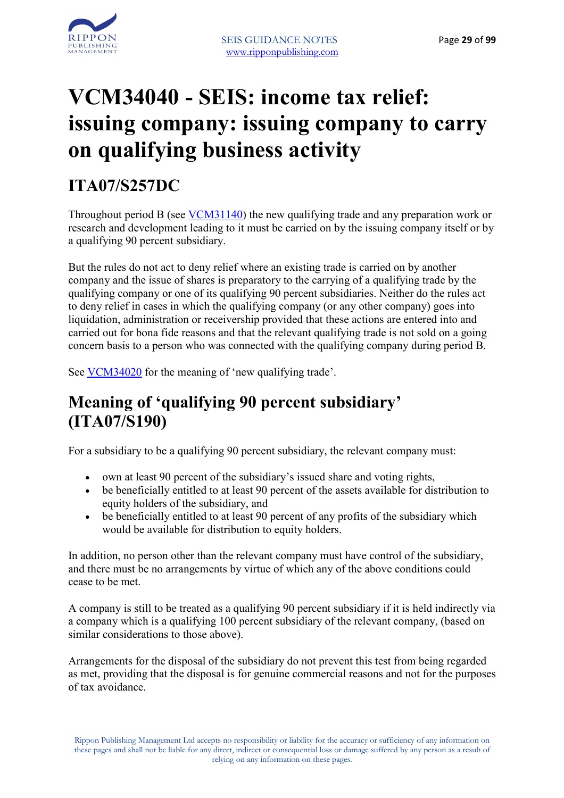

# **VCM34040 - SEIS: income tax relief: issuing company: issuing company to carry on qualifying business activity**

## **ITA07/S257DC**

Throughout period B (see VCM31140) the new qualifying trade and any preparation work or research and development leading to it must be carried on by the issuing company itself or by a qualifying 90 percent subsidiary.

But the rules do not act to deny relief where an existing trade is carried on by another company and the issue of shares is preparatory to the carrying of a qualifying trade by the qualifying company or one of its qualifying 90 percent subsidiaries. Neither do the rules act to deny relief in cases in which the qualifying company (or any other company) goes into liquidation, administration or receivership provided that these actions are entered into and carried out for bona fide reasons and that the relevant qualifying trade is not sold on a going concern basis to a person who was connected with the qualifying company during period B.

See VCM34020 for the meaning of 'new qualifying trade'.

#### **Meaning of 'qualifying 90 percent subsidiary' (ITA07/S190)**

For a subsidiary to be a qualifying 90 percent subsidiary, the relevant company must:

- own at least 90 percent of the subsidiary's issued share and voting rights,
- be beneficially entitled to at least 90 percent of the assets available for distribution to equity holders of the subsidiary, and
- be beneficially entitled to at least 90 percent of any profits of the subsidiary which would be available for distribution to equity holders.

In addition, no person other than the relevant company must have control of the subsidiary, and there must be no arrangements by virtue of which any of the above conditions could cease to be met.

A company is still to be treated as a qualifying 90 percent subsidiary if it is held indirectly via a company which is a qualifying 100 percent subsidiary of the relevant company, (based on similar considerations to those above).

Arrangements for the disposal of the subsidiary do not prevent this test from being regarded as met, providing that the disposal is for genuine commercial reasons and not for the purposes of tax avoidance.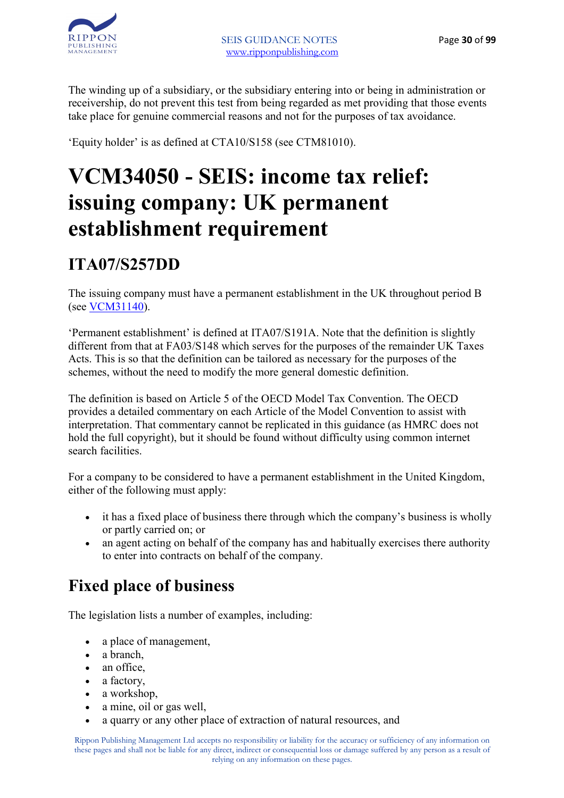

The winding up of a subsidiary, or the subsidiary entering into or being in administration or receivership, do not prevent this test from being regarded as met providing that those events take place for genuine commercial reasons and not for the purposes of tax avoidance.

'Equity holder' is as defined at CTA10/S158 (see CTM81010).

# **VCM34050 - SEIS: income tax relief: issuing company: UK permanent establishment requirement**

### **ITA07/S257DD**

The issuing company must have a permanent establishment in the UK throughout period B (see VCM31140).

'Permanent establishment' is defined at ITA07/S191A. Note that the definition is slightly different from that at FA03/S148 which serves for the purposes of the remainder UK Taxes Acts. This is so that the definition can be tailored as necessary for the purposes of the schemes, without the need to modify the more general domestic definition.

The definition is based on Article 5 of the OECD Model Tax Convention. The OECD provides a detailed commentary on each Article of the Model Convention to assist with interpretation. That commentary cannot be replicated in this guidance (as HMRC does not hold the full copyright), but it should be found without difficulty using common internet search facilities.

For a company to be considered to have a permanent establishment in the United Kingdom, either of the following must apply:

- it has a fixed place of business there through which the company's business is wholly or partly carried on; or
- an agent acting on behalf of the company has and habitually exercises there authority to enter into contracts on behalf of the company.

### **Fixed place of business**

The legislation lists a number of examples, including:

- a place of management,
- a branch,
- an office,
- a factory,
- a workshop.
- a mine, oil or gas well,
- a quarry or any other place of extraction of natural resources, and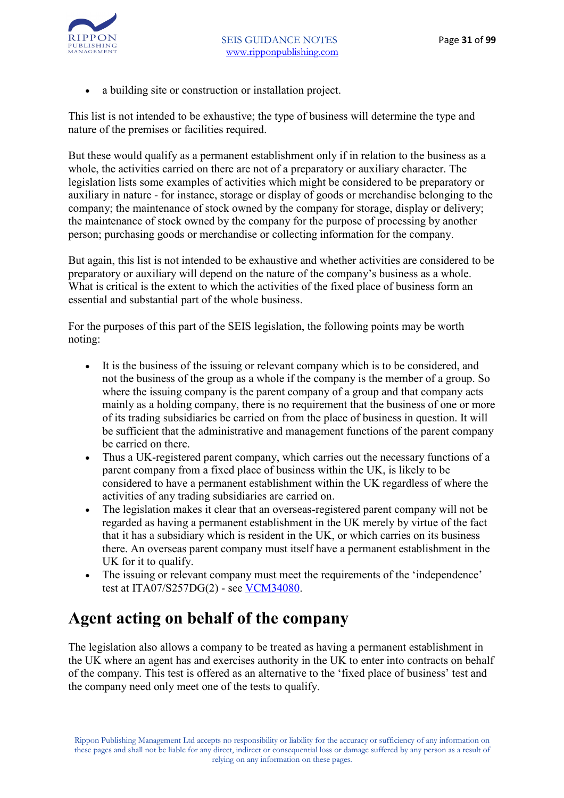• a building site or construction or installation project.

This list is not intended to be exhaustive; the type of business will determine the type and nature of the premises or facilities required.

But these would qualify as a permanent establishment only if in relation to the business as a whole, the activities carried on there are not of a preparatory or auxiliary character. The legislation lists some examples of activities which might be considered to be preparatory or auxiliary in nature - for instance, storage or display of goods or merchandise belonging to the company; the maintenance of stock owned by the company for storage, display or delivery; the maintenance of stock owned by the company for the purpose of processing by another person; purchasing goods or merchandise or collecting information for the company.

But again, this list is not intended to be exhaustive and whether activities are considered to be preparatory or auxiliary will depend on the nature of the company's business as a whole. What is critical is the extent to which the activities of the fixed place of business form an essential and substantial part of the whole business.

For the purposes of this part of the SEIS legislation, the following points may be worth noting:

- It is the business of the issuing or relevant company which is to be considered, and not the business of the group as a whole if the company is the member of a group. So where the issuing company is the parent company of a group and that company acts mainly as a holding company, there is no requirement that the business of one or more of its trading subsidiaries be carried on from the place of business in question. It will be sufficient that the administrative and management functions of the parent company be carried on there.
- Thus a UK-registered parent company, which carries out the necessary functions of a parent company from a fixed place of business within the UK, is likely to be considered to have a permanent establishment within the UK regardless of where the activities of any trading subsidiaries are carried on.
- The legislation makes it clear that an overseas-registered parent company will not be regarded as having a permanent establishment in the UK merely by virtue of the fact that it has a subsidiary which is resident in the UK, or which carries on its business there. An overseas parent company must itself have a permanent establishment in the UK for it to qualify.
- The issuing or relevant company must meet the requirements of the 'independence' test at ITA07/S257DG(2) - see VCM34080.

#### **Agent acting on behalf of the company**

The legislation also allows a company to be treated as having a permanent establishment in the UK where an agent has and exercises authority in the UK to enter into contracts on behalf of the company. This test is offered as an alternative to the 'fixed place of business' test and the company need only meet one of the tests to qualify.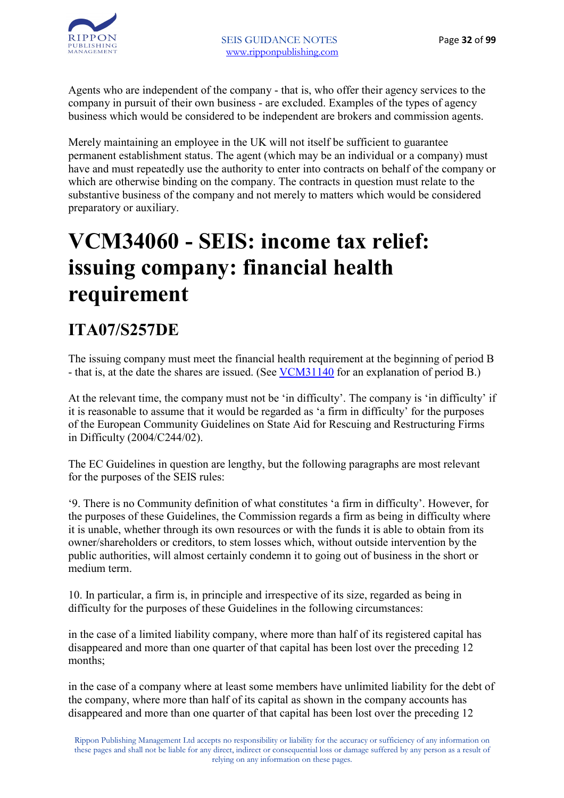Agents who are independent of the company - that is, who offer their agency services to the company in pursuit of their own business - are excluded. Examples of the types of agency business which would be considered to be independent are brokers and commission agents.

Merely maintaining an employee in the UK will not itself be sufficient to guarantee permanent establishment status. The agent (which may be an individual or a company) must have and must repeatedly use the authority to enter into contracts on behalf of the company or which are otherwise binding on the company. The contracts in question must relate to the substantive business of the company and not merely to matters which would be considered preparatory or auxiliary.

# **VCM34060 - SEIS: income tax relief: issuing company: financial health requirement**

## **ITA07/S257DE**

The issuing company must meet the financial health requirement at the beginning of period B - that is, at the date the shares are issued. (See VCM31140 for an explanation of period B.)

At the relevant time, the company must not be 'in difficulty'. The company is 'in difficulty' if it is reasonable to assume that it would be regarded as 'a firm in difficulty' for the purposes of the European Community Guidelines on State Aid for Rescuing and Restructuring Firms in Difficulty (2004/C244/02).

The EC Guidelines in question are lengthy, but the following paragraphs are most relevant for the purposes of the SEIS rules:

'9. There is no Community definition of what constitutes 'a firm in difficulty'. However, for the purposes of these Guidelines, the Commission regards a firm as being in difficulty where it is unable, whether through its own resources or with the funds it is able to obtain from its owner/shareholders or creditors, to stem losses which, without outside intervention by the public authorities, will almost certainly condemn it to going out of business in the short or medium term.

10. In particular, a firm is, in principle and irrespective of its size, regarded as being in difficulty for the purposes of these Guidelines in the following circumstances:

in the case of a limited liability company, where more than half of its registered capital has disappeared and more than one quarter of that capital has been lost over the preceding 12 months;

in the case of a company where at least some members have unlimited liability for the debt of the company, where more than half of its capital as shown in the company accounts has disappeared and more than one quarter of that capital has been lost over the preceding 12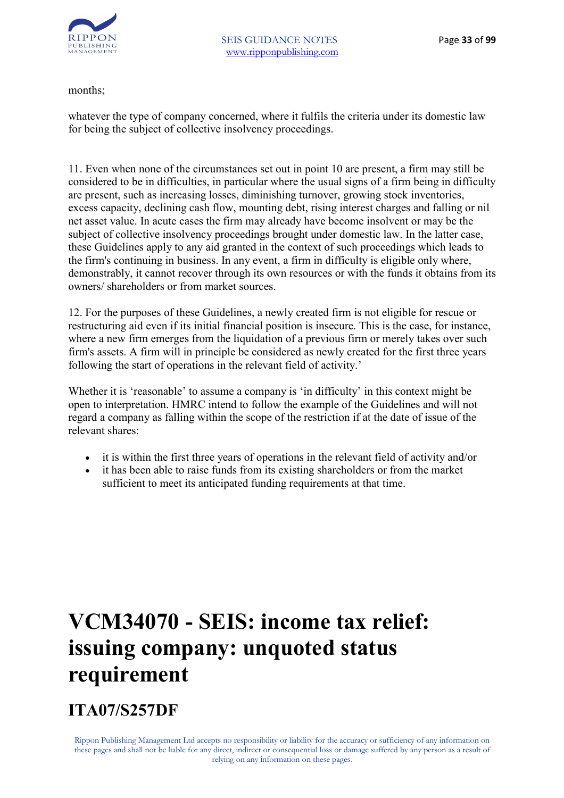

months;

whatever the type of company concerned, where it fulfils the criteria under its domestic law for being the subject of collective insolvency proceedings.

11. Even when none of the circumstances set out in point 10 are present, a firm may still be considered to be in difficulties, in particular where the usual signs of a firm being in difficulty are present, such as increasing losses, diminishing turnover, growing stock inventories, excess capacity, declining cash flow, mounting debt, rising interest charges and falling or nil net asset value. In acute cases the firm may already have become insolvent or may be the subject of collective insolvency proceedings brought under domestic law. In the latter case, these Guidelines apply to any aid granted in the context of such proceedings which leads to the firm's continuing in business. In any event, a firm in difficulty is eligible only where, demonstrably, it cannot recover through its own resources or with the funds it obtains from its owners/ shareholders or from market sources.

12. For the purposes of these Guidelines, a newly created firm is not eligible for rescue or restructuring aid even if its initial financial position is insecure. This is the case, for instance, where a new firm emerges from the liquidation of a previous firm or merely takes over such firm's assets. A firm will in principle be considered as newly created for the first three years following the start of operations in the relevant field of activity.'

Whether it is 'reasonable' to assume a company is 'in difficulty' in this context might be open to interpretation. HMRC intend to follow the example of the Guidelines and will not regard a company as falling within the scope of the restriction if at the date of issue of the relevant shares:

- it is within the first three years of operations in the relevant field of activity and/or
- it has been able to raise funds from its existing shareholders or from the market sufficient to meet its anticipated funding requirements at that time.

# **VCM34070 - SEIS: income tax relief: issuing company: unquoted status requirement**

### **ITA07/S257DF**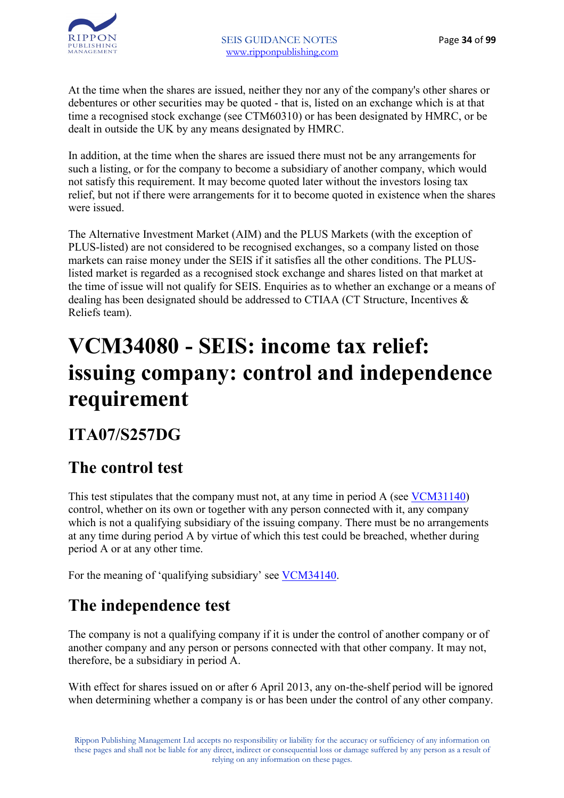

At the time when the shares are issued, neither they nor any of the company's other shares or debentures or other securities may be quoted - that is, listed on an exchange which is at that time a recognised stock exchange (see CTM60310) or has been designated by HMRC, or be dealt in outside the UK by any means designated by HMRC.

In addition, at the time when the shares are issued there must not be any arrangements for such a listing, or for the company to become a subsidiary of another company, which would not satisfy this requirement. It may become quoted later without the investors losing tax relief, but not if there were arrangements for it to become quoted in existence when the shares were issued.

The Alternative Investment Market (AIM) and the PLUS Markets (with the exception of PLUS-listed) are not considered to be recognised exchanges, so a company listed on those markets can raise money under the SEIS if it satisfies all the other conditions. The PLUSlisted market is regarded as a recognised stock exchange and shares listed on that market at the time of issue will not qualify for SEIS. Enquiries as to whether an exchange or a means of dealing has been designated should be addressed to CTIAA (CT Structure, Incentives & Reliefs team).

# **VCM34080 - SEIS: income tax relief: issuing company: control and independence requirement**

#### **ITA07/S257DG**

### **The control test**

This test stipulates that the company must not, at any time in period A (see VCM31140) control, whether on its own or together with any person connected with it, any company which is not a qualifying subsidiary of the issuing company. There must be no arrangements at any time during period A by virtue of which this test could be breached, whether during period A or at any other time.

For the meaning of 'qualifying subsidiary' see VCM34140.

### **The independence test**

The company is not a qualifying company if it is under the control of another company or of another company and any person or persons connected with that other company. It may not, therefore, be a subsidiary in period A.

With effect for shares issued on or after 6 April 2013, any on-the-shelf period will be ignored when determining whether a company is or has been under the control of any other company.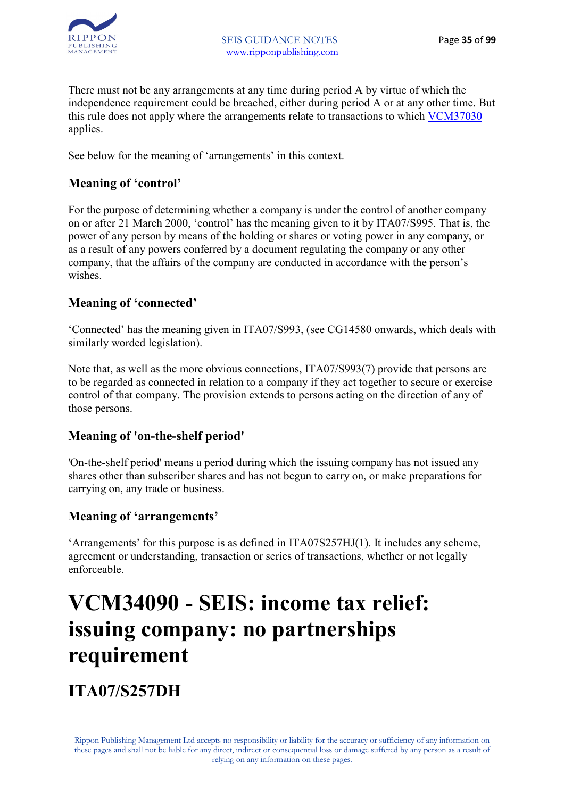

There must not be any arrangements at any time during period A by virtue of which the independence requirement could be breached, either during period A or at any other time. But this rule does not apply where the arrangements relate to transactions to which VCM37030 applies.

See below for the meaning of 'arrangements' in this context.

#### **Meaning of 'control'**

For the purpose of determining whether a company is under the control of another company on or after 21 March 2000, 'control' has the meaning given to it by ITA07/S995. That is, the power of any person by means of the holding or shares or voting power in any company, or as a result of any powers conferred by a document regulating the company or any other company, that the affairs of the company are conducted in accordance with the person's wishes.

#### **Meaning of 'connected'**

'Connected' has the meaning given in ITA07/S993, (see CG14580 onwards, which deals with similarly worded legislation).

Note that, as well as the more obvious connections, ITA07/S993(7) provide that persons are to be regarded as connected in relation to a company if they act together to secure or exercise control of that company. The provision extends to persons acting on the direction of any of those persons.

#### **Meaning of 'on-the-shelf period'**

'On-the-shelf period' means a period during which the issuing company has not issued any shares other than subscriber shares and has not begun to carry on, or make preparations for carrying on, any trade or business.

#### **Meaning of 'arrangements'**

'Arrangements' for this purpose is as defined in ITA07S257HJ(1). It includes any scheme, agreement or understanding, transaction or series of transactions, whether or not legally enforceable.

## **VCM34090 - SEIS: income tax relief: issuing company: no partnerships requirement**

**ITA07/S257DH**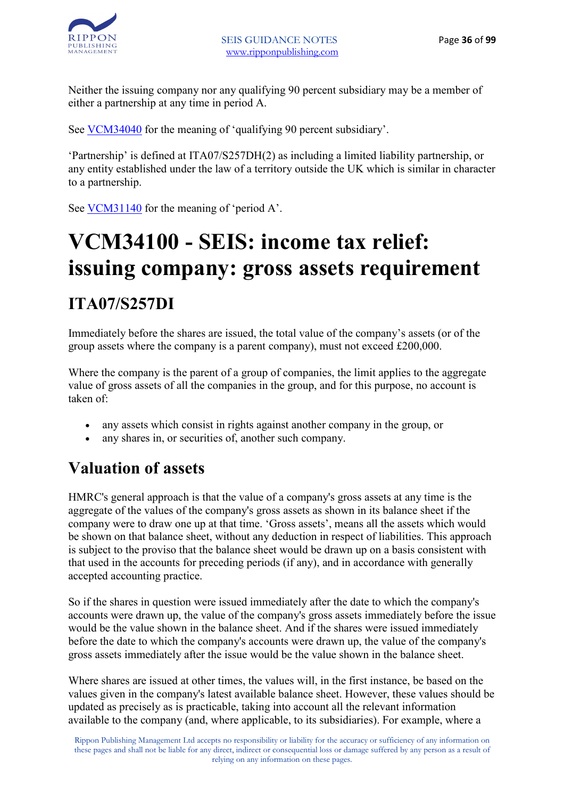

Neither the issuing company nor any qualifying 90 percent subsidiary may be a member of either a partnership at any time in period A.

See VCM34040 for the meaning of 'qualifying 90 percent subsidiary'.

'Partnership' is defined at ITA07/S257DH(2) as including a limited liability partnership, or any entity established under the law of a territory outside the UK which is similar in character to a partnership.

See VCM31140 for the meaning of 'period A'.

# **VCM34100 - SEIS: income tax relief: issuing company: gross assets requirement ITA07/S257DI**

Immediately before the shares are issued, the total value of the company's assets (or of the group assets where the company is a parent company), must not exceed £200,000.

Where the company is the parent of a group of companies, the limit applies to the aggregate value of gross assets of all the companies in the group, and for this purpose, no account is taken of:

- any assets which consist in rights against another company in the group, or
- any shares in, or securities of, another such company.

#### **Valuation of assets**

HMRC's general approach is that the value of a company's gross assets at any time is the aggregate of the values of the company's gross assets as shown in its balance sheet if the company were to draw one up at that time. 'Gross assets', means all the assets which would be shown on that balance sheet, without any deduction in respect of liabilities. This approach is subject to the proviso that the balance sheet would be drawn up on a basis consistent with that used in the accounts for preceding periods (if any), and in accordance with generally accepted accounting practice.

So if the shares in question were issued immediately after the date to which the company's accounts were drawn up, the value of the company's gross assets immediately before the issue would be the value shown in the balance sheet. And if the shares were issued immediately before the date to which the company's accounts were drawn up, the value of the company's gross assets immediately after the issue would be the value shown in the balance sheet.

Where shares are issued at other times, the values will, in the first instance, be based on the values given in the company's latest available balance sheet. However, these values should be updated as precisely as is practicable, taking into account all the relevant information available to the company (and, where applicable, to its subsidiaries). For example, where a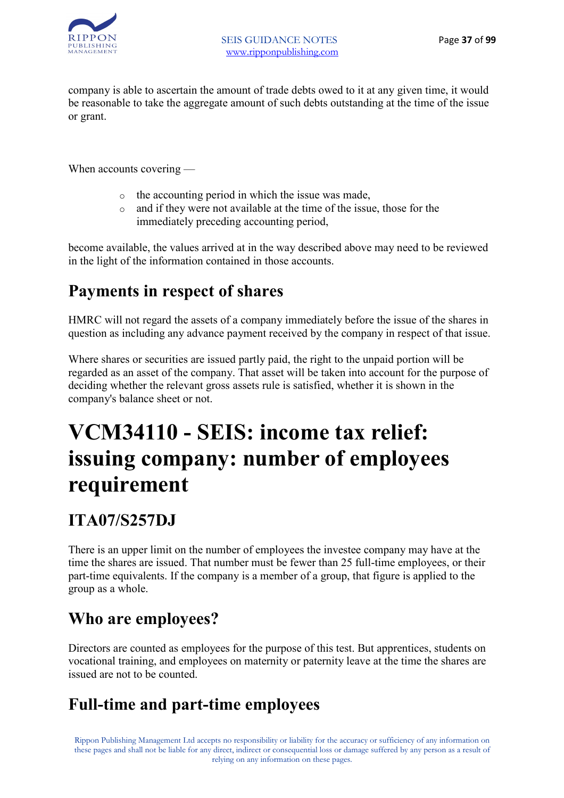

company is able to ascertain the amount of trade debts owed to it at any given time, it would be reasonable to take the aggregate amount of such debts outstanding at the time of the issue or grant.

When accounts covering —

- o the accounting period in which the issue was made,
- o and if they were not available at the time of the issue, those for the immediately preceding accounting period,

become available, the values arrived at in the way described above may need to be reviewed in the light of the information contained in those accounts.

#### **Payments in respect of shares**

HMRC will not regard the assets of a company immediately before the issue of the shares in question as including any advance payment received by the company in respect of that issue.

Where shares or securities are issued partly paid, the right to the unpaid portion will be regarded as an asset of the company. That asset will be taken into account for the purpose of deciding whether the relevant gross assets rule is satisfied, whether it is shown in the company's balance sheet or not.

### **VCM34110 - SEIS: income tax relief: issuing company: number of employees requirement**

### **ITA07/S257DJ**

There is an upper limit on the number of employees the investee company may have at the time the shares are issued. That number must be fewer than 25 full-time employees, or their part-time equivalents. If the company is a member of a group, that figure is applied to the group as a whole.

### **Who are employees?**

Directors are counted as employees for the purpose of this test. But apprentices, students on vocational training, and employees on maternity or paternity leave at the time the shares are issued are not to be counted.

#### **Full-time and part-time employees**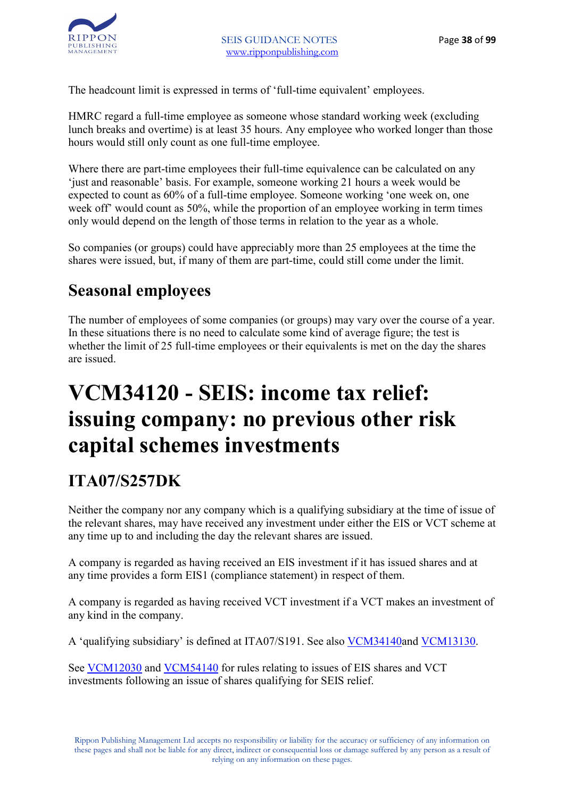

The headcount limit is expressed in terms of 'full-time equivalent' employees.

HMRC regard a full-time employee as someone whose standard working week (excluding lunch breaks and overtime) is at least 35 hours. Any employee who worked longer than those hours would still only count as one full-time employee.

Where there are part-time employees their full-time equivalence can be calculated on any 'just and reasonable' basis. For example, someone working 21 hours a week would be expected to count as 60% of a full-time employee. Someone working 'one week on, one week off' would count as 50%, while the proportion of an employee working in term times only would depend on the length of those terms in relation to the year as a whole.

So companies (or groups) could have appreciably more than 25 employees at the time the shares were issued, but, if many of them are part-time, could still come under the limit.

#### **Seasonal employees**

The number of employees of some companies (or groups) may vary over the course of a year. In these situations there is no need to calculate some kind of average figure; the test is whether the limit of 25 full-time employees or their equivalents is met on the day the shares are issued.

### **VCM34120 - SEIS: income tax relief: issuing company: no previous other risk capital schemes investments**

#### **ITA07/S257DK**

Neither the company nor any company which is a qualifying subsidiary at the time of issue of the relevant shares, may have received any investment under either the EIS or VCT scheme at any time up to and including the day the relevant shares are issued.

A company is regarded as having received an EIS investment if it has issued shares and at any time provides a form EIS1 (compliance statement) in respect of them.

A company is regarded as having received VCT investment if a VCT makes an investment of any kind in the company.

A 'qualifying subsidiary' is defined at ITA07/S191. See also VCM34140and VCM13130.

See VCM12030 and VCM54140 for rules relating to issues of EIS shares and VCT investments following an issue of shares qualifying for SEIS relief.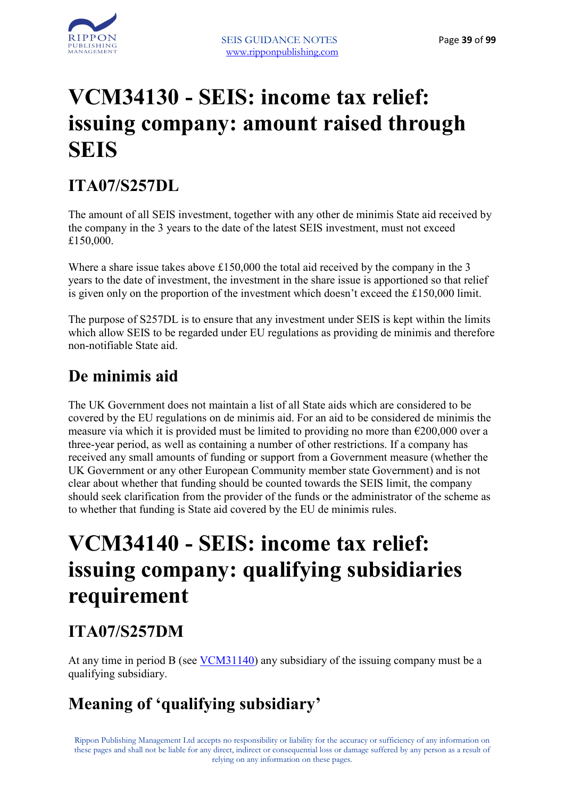

### **VCM34130 - SEIS: income tax relief: issuing company: amount raised through SEIS**

#### **ITA07/S257DL**

The amount of all SEIS investment, together with any other de minimis State aid received by the company in the 3 years to the date of the latest SEIS investment, must not exceed £150,000.

Where a share issue takes above £150,000 the total aid received by the company in the 3 years to the date of investment, the investment in the share issue is apportioned so that relief is given only on the proportion of the investment which doesn't exceed the £150,000 limit.

The purpose of S257DL is to ensure that any investment under SEIS is kept within the limits which allow SEIS to be regarded under EU regulations as providing de minimis and therefore non-notifiable State aid.

#### **De minimis aid**

The UK Government does not maintain a list of all State aids which are considered to be covered by the EU regulations on de minimis aid. For an aid to be considered de minimis the measure via which it is provided must be limited to providing no more than  $\epsilon$ 200,000 over a three-year period, as well as containing a number of other restrictions. If a company has received any small amounts of funding or support from a Government measure (whether the UK Government or any other European Community member state Government) and is not clear about whether that funding should be counted towards the SEIS limit, the company should seek clarification from the provider of the funds or the administrator of the scheme as to whether that funding is State aid covered by the EU de minimis rules.

### **VCM34140 - SEIS: income tax relief: issuing company: qualifying subsidiaries requirement**

#### **ITA07/S257DM**

At any time in period B (see VCM31140) any subsidiary of the issuing company must be a qualifying subsidiary.

### **Meaning of 'qualifying subsidiary'**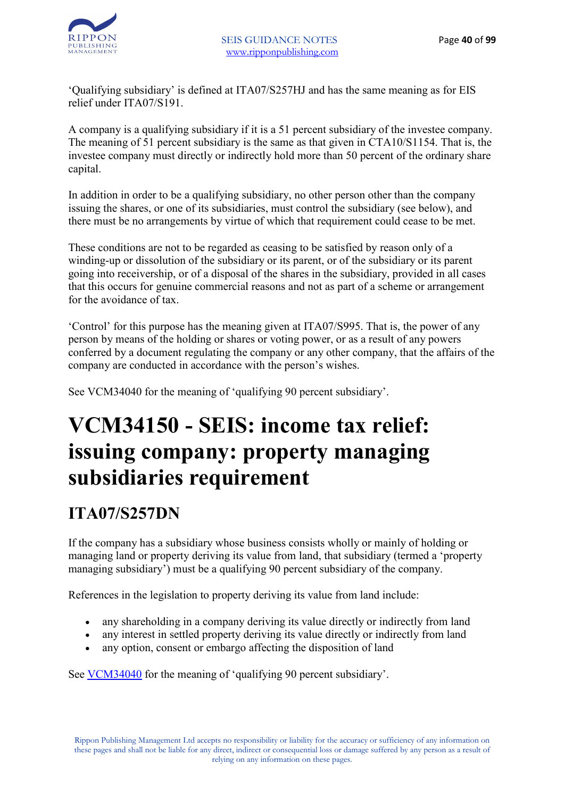

'Qualifying subsidiary' is defined at ITA07/S257HJ and has the same meaning as for EIS relief under ITA07/S191.

A company is a qualifying subsidiary if it is a 51 percent subsidiary of the investee company. The meaning of 51 percent subsidiary is the same as that given in CTA10/S1154. That is, the investee company must directly or indirectly hold more than 50 percent of the ordinary share capital.

In addition in order to be a qualifying subsidiary, no other person other than the company issuing the shares, or one of its subsidiaries, must control the subsidiary (see below), and there must be no arrangements by virtue of which that requirement could cease to be met.

These conditions are not to be regarded as ceasing to be satisfied by reason only of a winding-up or dissolution of the subsidiary or its parent, or of the subsidiary or its parent going into receivership, or of a disposal of the shares in the subsidiary, provided in all cases that this occurs for genuine commercial reasons and not as part of a scheme or arrangement for the avoidance of tax.

'Control' for this purpose has the meaning given at ITA07/S995. That is, the power of any person by means of the holding or shares or voting power, or as a result of any powers conferred by a document regulating the company or any other company, that the affairs of the company are conducted in accordance with the person's wishes.

See VCM34040 for the meaning of 'qualifying 90 percent subsidiary'.

### **VCM34150 - SEIS: income tax relief: issuing company: property managing subsidiaries requirement**

#### **ITA07/S257DN**

If the company has a subsidiary whose business consists wholly or mainly of holding or managing land or property deriving its value from land, that subsidiary (termed a 'property managing subsidiary') must be a qualifying 90 percent subsidiary of the company.

References in the legislation to property deriving its value from land include:

- any shareholding in a company deriving its value directly or indirectly from land
- any interest in settled property deriving its value directly or indirectly from land
- any option, consent or embargo affecting the disposition of land

See VCM34040 for the meaning of 'qualifying 90 percent subsidiary'.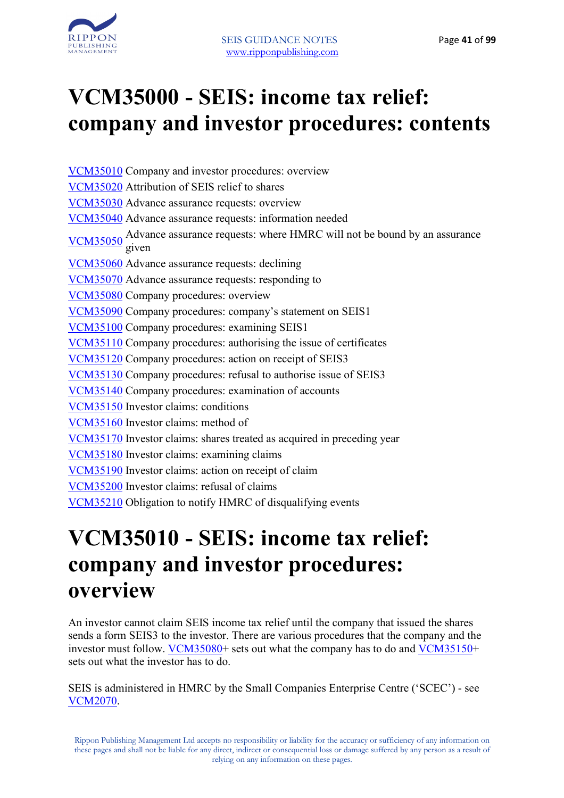

### **VCM35000 - SEIS: income tax relief: company and investor procedures: contents**

VCM35010 Company and investor procedures: overview VCM35020 Attribution of SEIS relief to shares VCM35030 Advance assurance requests: overview VCM35040 Advance assurance requests: information needed VCM35050 Advance assurance requests: where HMRC will not be bound by an assurance given VCM35060 Advance assurance requests: declining VCM35070 Advance assurance requests: responding to VCM35080 Company procedures: overview VCM35090 Company procedures: company's statement on SEIS1 VCM35100 Company procedures: examining SEIS1 VCM35110 Company procedures: authorising the issue of certificates VCM35120 Company procedures: action on receipt of SEIS3 VCM35130 Company procedures: refusal to authorise issue of SEIS3 VCM35140 Company procedures: examination of accounts VCM35150 Investor claims: conditions VCM35160 Investor claims: method of VCM35170 Investor claims: shares treated as acquired in preceding year VCM35180 Investor claims: examining claims VCM35190 Investor claims: action on receipt of claim VCM35200 Investor claims: refusal of claims VCM35210 Obligation to notify HMRC of disqualifying events

### **VCM35010 - SEIS: income tax relief: company and investor procedures: overview**

An investor cannot claim SEIS income tax relief until the company that issued the shares sends a form SEIS3 to the investor. There are various procedures that the company and the investor must follow. VCM35080+ sets out what the company has to do and VCM35150+ sets out what the investor has to do.

SEIS is administered in HMRC by the Small Companies Enterprise Centre ('SCEC') - see VCM2070.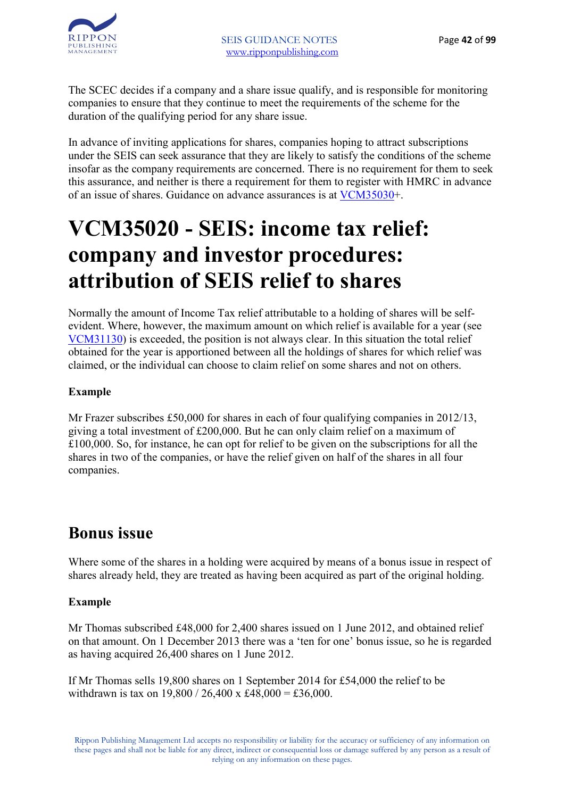

The SCEC decides if a company and a share issue qualify, and is responsible for monitoring companies to ensure that they continue to meet the requirements of the scheme for the duration of the qualifying period for any share issue.

In advance of inviting applications for shares, companies hoping to attract subscriptions under the SEIS can seek assurance that they are likely to satisfy the conditions of the scheme insofar as the company requirements are concerned. There is no requirement for them to seek this assurance, and neither is there a requirement for them to register with HMRC in advance of an issue of shares. Guidance on advance assurances is at VCM35030+.

### **VCM35020 - SEIS: income tax relief: company and investor procedures: attribution of SEIS relief to shares**

Normally the amount of Income Tax relief attributable to a holding of shares will be selfevident. Where, however, the maximum amount on which relief is available for a year (see VCM31130) is exceeded, the position is not always clear. In this situation the total relief obtained for the year is apportioned between all the holdings of shares for which relief was claimed, or the individual can choose to claim relief on some shares and not on others.

#### **Example**

Mr Frazer subscribes £50,000 for shares in each of four qualifying companies in 2012/13, giving a total investment of £200,000. But he can only claim relief on a maximum of £100,000. So, for instance, he can opt for relief to be given on the subscriptions for all the shares in two of the companies, or have the relief given on half of the shares in all four companies.

#### **Bonus issue**

Where some of the shares in a holding were acquired by means of a bonus issue in respect of shares already held, they are treated as having been acquired as part of the original holding.

#### **Example**

Mr Thomas subscribed £48,000 for 2,400 shares issued on 1 June 2012, and obtained relief on that amount. On 1 December 2013 there was a 'ten for one' bonus issue, so he is regarded as having acquired 26,400 shares on 1 June 2012.

If Mr Thomas sells 19,800 shares on 1 September 2014 for £54,000 the relief to be withdrawn is tax on  $19,800 / 26,400 \times 148,000 = \text{\textsterling}36,000$ .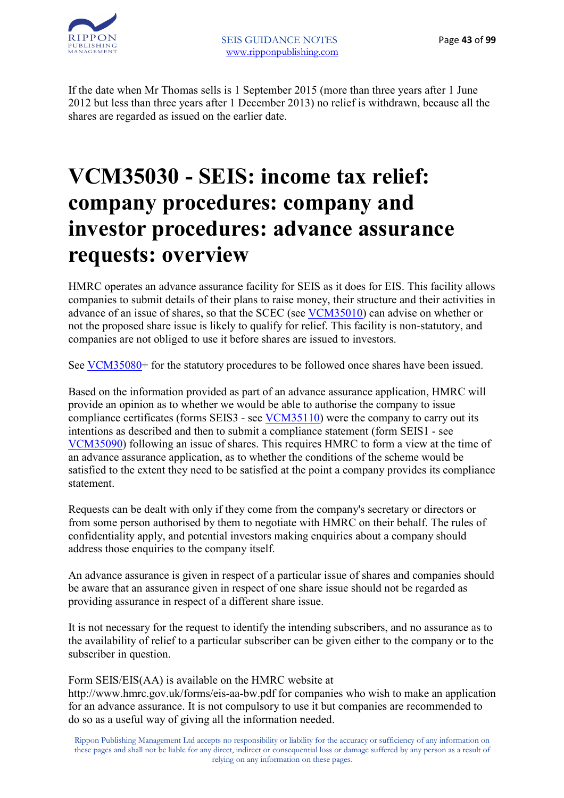

If the date when Mr Thomas sells is 1 September 2015 (more than three years after 1 June 2012 but less than three years after 1 December 2013) no relief is withdrawn, because all the shares are regarded as issued on the earlier date.

### **VCM35030 - SEIS: income tax relief: company procedures: company and investor procedures: advance assurance requests: overview**

HMRC operates an advance assurance facility for SEIS as it does for EIS. This facility allows companies to submit details of their plans to raise money, their structure and their activities in advance of an issue of shares, so that the SCEC (see VCM35010) can advise on whether or not the proposed share issue is likely to qualify for relief. This facility is non-statutory, and companies are not obliged to use it before shares are issued to investors.

See <u>VCM35080</u>+ for the statutory procedures to be followed once shares have been issued.

Based on the information provided as part of an advance assurance application, HMRC will provide an opinion as to whether we would be able to authorise the company to issue compliance certificates (forms SEIS3 - see VCM35110) were the company to carry out its intentions as described and then to submit a compliance statement (form SEIS1 - see VCM35090) following an issue of shares. This requires HMRC to form a view at the time of an advance assurance application, as to whether the conditions of the scheme would be satisfied to the extent they need to be satisfied at the point a company provides its compliance statement.

Requests can be dealt with only if they come from the company's secretary or directors or from some person authorised by them to negotiate with HMRC on their behalf. The rules of confidentiality apply, and potential investors making enquiries about a company should address those enquiries to the company itself.

An advance assurance is given in respect of a particular issue of shares and companies should be aware that an assurance given in respect of one share issue should not be regarded as providing assurance in respect of a different share issue.

It is not necessary for the request to identify the intending subscribers, and no assurance as to the availability of relief to a particular subscriber can be given either to the company or to the subscriber in question.

Form SEIS/EIS(AA) is available on the HMRC website at

http://www.hmrc.gov.uk/forms/eis-aa-bw.pdf for companies who wish to make an application for an advance assurance. It is not compulsory to use it but companies are recommended to do so as a useful way of giving all the information needed.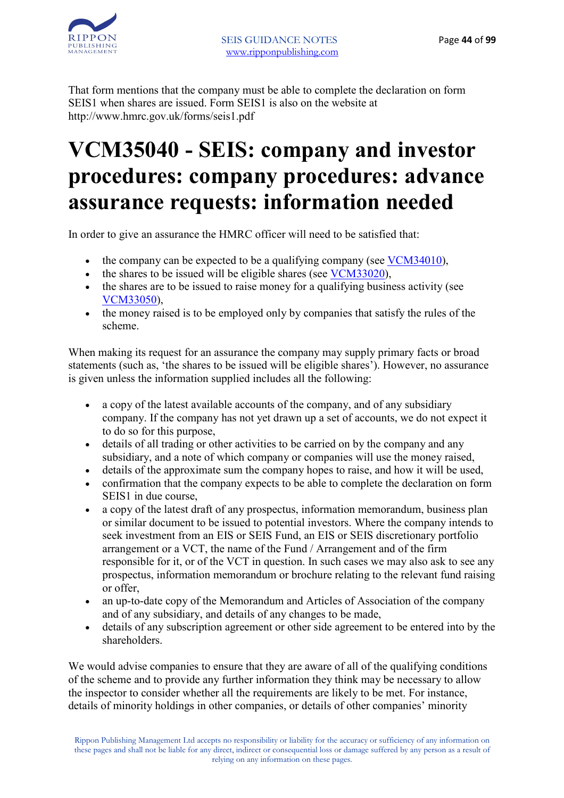That form mentions that the company must be able to complete the declaration on form SEIS1 when shares are issued. Form SEIS1 is also on the website at http://www.hmrc.gov.uk/forms/seis1.pdf

### **VCM35040 - SEIS: company and investor procedures: company procedures: advance assurance requests: information needed**

In order to give an assurance the HMRC officer will need to be satisfied that:

- the company can be expected to be a qualifying company (see  $VCM34010$ ),
- the shares to be issued will be eligible shares (see VCM33020),
- the shares are to be issued to raise money for a qualifying business activity (see VCM33050),
- the money raised is to be employed only by companies that satisfy the rules of the scheme.

When making its request for an assurance the company may supply primary facts or broad statements (such as, 'the shares to be issued will be eligible shares'). However, no assurance is given unless the information supplied includes all the following:

- a copy of the latest available accounts of the company, and of any subsidiary company. If the company has not yet drawn up a set of accounts, we do not expect it to do so for this purpose,
- details of all trading or other activities to be carried on by the company and any subsidiary, and a note of which company or companies will use the money raised,
- details of the approximate sum the company hopes to raise, and how it will be used,
- confirmation that the company expects to be able to complete the declaration on form SEIS1 in due course,
- a copy of the latest draft of any prospectus, information memorandum, business plan or similar document to be issued to potential investors. Where the company intends to seek investment from an EIS or SEIS Fund, an EIS or SEIS discretionary portfolio arrangement or a VCT, the name of the Fund / Arrangement and of the firm responsible for it, or of the VCT in question. In such cases we may also ask to see any prospectus, information memorandum or brochure relating to the relevant fund raising or offer,
- an up-to-date copy of the Memorandum and Articles of Association of the company and of any subsidiary, and details of any changes to be made,
- details of any subscription agreement or other side agreement to be entered into by the shareholders.

We would advise companies to ensure that they are aware of all of the qualifying conditions of the scheme and to provide any further information they think may be necessary to allow the inspector to consider whether all the requirements are likely to be met. For instance, details of minority holdings in other companies, or details of other companies' minority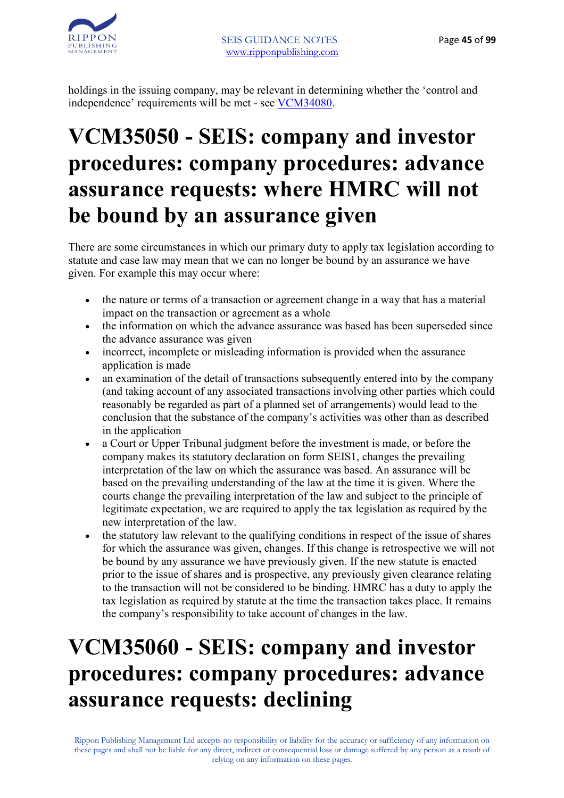holdings in the issuing company, may be relevant in determining whether the 'control and independence' requirements will be met - see VCM34080.

### **VCM35050 - SEIS: company and investor procedures: company procedures: advance assurance requests: where HMRC will not be bound by an assurance given**

There are some circumstances in which our primary duty to apply tax legislation according to statute and case law may mean that we can no longer be bound by an assurance we have given. For example this may occur where:

- the nature or terms of a transaction or agreement change in a way that has a material impact on the transaction or agreement as a whole
- the information on which the advance assurance was based has been superseded since the advance assurance was given
- incorrect, incomplete or misleading information is provided when the assurance application is made
- an examination of the detail of transactions subsequently entered into by the company (and taking account of any associated transactions involving other parties which could reasonably be regarded as part of a planned set of arrangements) would lead to the conclusion that the substance of the company's activities was other than as described in the application
- a Court or Upper Tribunal judgment before the investment is made, or before the company makes its statutory declaration on form SEIS1, changes the prevailing interpretation of the law on which the assurance was based. An assurance will be based on the prevailing understanding of the law at the time it is given. Where the courts change the prevailing interpretation of the law and subject to the principle of legitimate expectation, we are required to apply the tax legislation as required by the new interpretation of the law.
- the statutory law relevant to the qualifying conditions in respect of the issue of shares for which the assurance was given, changes. If this change is retrospective we will not be bound by any assurance we have previously given. If the new statute is enacted prior to the issue of shares and is prospective, any previously given clearance relating to the transaction will not be considered to be binding. HMRC has a duty to apply the tax legislation as required by statute at the time the transaction takes place. It remains the company's responsibility to take account of changes in the law.

# **VCM35060 - SEIS: company and investor procedures: company procedures: advance assurance requests: declining**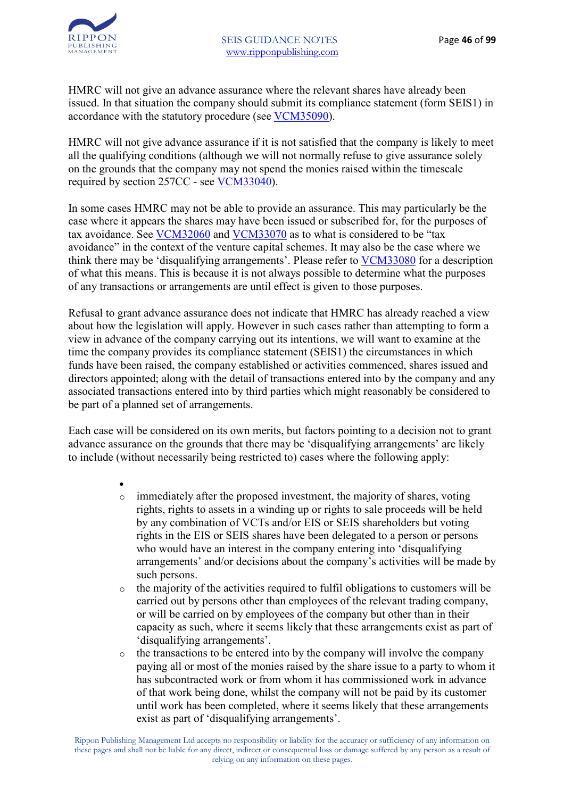HMRC will not give an advance assurance where the relevant shares have already been issued. In that situation the company should submit its compliance statement (form SEIS1) in accordance with the statutory procedure (see VCM35090).

HMRC will not give advance assurance if it is not satisfied that the company is likely to meet all the qualifying conditions (although we will not normally refuse to give assurance solely on the grounds that the company may not spend the monies raised within the timescale required by section 257CC - see VCM33040).

In some cases HMRC may not be able to provide an assurance. This may particularly be the case where it appears the shares may have been issued or subscribed for, for the purposes of tax avoidance. See VCM32060 and VCM33070 as to what is considered to be "tax avoidance" in the context of the venture capital schemes. It may also be the case where we think there may be 'disqualifying arrangements'. Please refer to VCM33080 for a description of what this means. This is because it is not always possible to determine what the purposes of any transactions or arrangements are until effect is given to those purposes.

Refusal to grant advance assurance does not indicate that HMRC has already reached a view about how the legislation will apply. However in such cases rather than attempting to form a view in advance of the company carrying out its intentions, we will want to examine at the time the company provides its compliance statement (SEIS1) the circumstances in which funds have been raised, the company established or activities commenced, shares issued and directors appointed; along with the detail of transactions entered into by the company and any associated transactions entered into by third parties which might reasonably be considered to be part of a planned set of arrangements.

Each case will be considered on its own merits, but factors pointing to a decision not to grant advance assurance on the grounds that there may be 'disqualifying arrangements' are likely to include (without necessarily being restricted to) cases where the following apply:

- immediately after the proposed investment, the majority of shares, voting rights, rights to assets in a winding up or rights to sale proceeds will be held by any combination of VCTs and/or EIS or SEIS shareholders but voting rights in the EIS or SEIS shares have been delegated to a person or persons who would have an interest in the company entering into 'disqualifying arrangements' and/or decisions about the company's activities will be made by such persons.
- o the majority of the activities required to fulfil obligations to customers will be carried out by persons other than employees of the relevant trading company, or will be carried on by employees of the company but other than in their capacity as such, where it seems likely that these arrangements exist as part of 'disqualifying arrangements'.
- o the transactions to be entered into by the company will involve the company paying all or most of the monies raised by the share issue to a party to whom it has subcontracted work or from whom it has commissioned work in advance of that work being done, whilst the company will not be paid by its customer until work has been completed, where it seems likely that these arrangements exist as part of 'disqualifying arrangements'.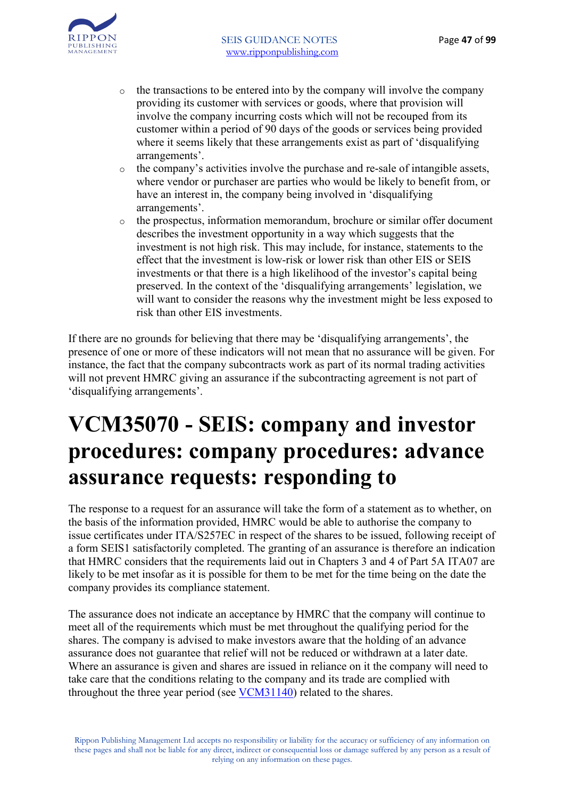- o the transactions to be entered into by the company will involve the company providing its customer with services or goods, where that provision will involve the company incurring costs which will not be recouped from its customer within a period of 90 days of the goods or services being provided where it seems likely that these arrangements exist as part of 'disqualifying arrangements'.
- o the company's activities involve the purchase and re-sale of intangible assets, where vendor or purchaser are parties who would be likely to benefit from, or have an interest in, the company being involved in 'disqualifying arrangements'.
- o the prospectus, information memorandum, brochure or similar offer document describes the investment opportunity in a way which suggests that the investment is not high risk. This may include, for instance, statements to the effect that the investment is low-risk or lower risk than other EIS or SEIS investments or that there is a high likelihood of the investor's capital being preserved. In the context of the 'disqualifying arrangements' legislation, we will want to consider the reasons why the investment might be less exposed to risk than other EIS investments.

If there are no grounds for believing that there may be 'disqualifying arrangements', the presence of one or more of these indicators will not mean that no assurance will be given. For instance, the fact that the company subcontracts work as part of its normal trading activities will not prevent HMRC giving an assurance if the subcontracting agreement is not part of 'disqualifying arrangements'.

### **VCM35070 - SEIS: company and investor procedures: company procedures: advance assurance requests: responding to**

The response to a request for an assurance will take the form of a statement as to whether, on the basis of the information provided, HMRC would be able to authorise the company to issue certificates under ITA/S257EC in respect of the shares to be issued, following receipt of a form SEIS1 satisfactorily completed. The granting of an assurance is therefore an indication that HMRC considers that the requirements laid out in Chapters 3 and 4 of Part 5A ITA07 are likely to be met insofar as it is possible for them to be met for the time being on the date the company provides its compliance statement.

The assurance does not indicate an acceptance by HMRC that the company will continue to meet all of the requirements which must be met throughout the qualifying period for the shares. The company is advised to make investors aware that the holding of an advance assurance does not guarantee that relief will not be reduced or withdrawn at a later date. Where an assurance is given and shares are issued in reliance on it the company will need to take care that the conditions relating to the company and its trade are complied with throughout the three year period (see VCM31140) related to the shares.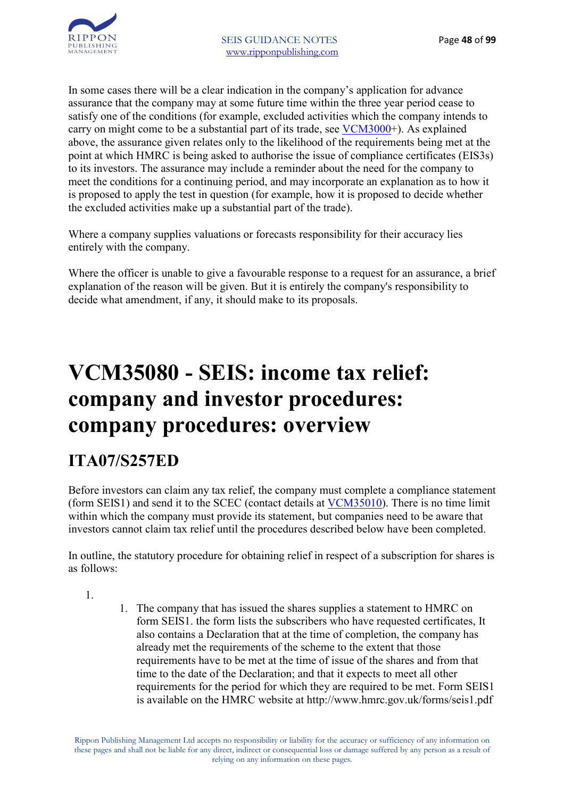In some cases there will be a clear indication in the company's application for advance assurance that the company may at some future time within the three year period cease to satisfy one of the conditions (for example, excluded activities which the company intends to carry on might come to be a substantial part of its trade, see VCM3000+). As explained above, the assurance given relates only to the likelihood of the requirements being met at the point at which HMRC is being asked to authorise the issue of compliance certificates (EIS3s) to its investors. The assurance may include a reminder about the need for the company to meet the conditions for a continuing period, and may incorporate an explanation as to how it is proposed to apply the test in question (for example, how it is proposed to decide whether the excluded activities make up a substantial part of the trade).

Where a company supplies valuations or forecasts responsibility for their accuracy lies entirely with the company.

Where the officer is unable to give a favourable response to a request for an assurance, a brief explanation of the reason will be given. But it is entirely the company's responsibility to decide what amendment, if any, it should make to its proposals.

### **VCM35080 - SEIS: income tax relief: company and investor procedures: company procedures: overview**

### **ITA07/S257ED**

Before investors can claim any tax relief, the company must complete a compliance statement (form SEIS1) and send it to the SCEC (contact details at VCM35010). There is no time limit within which the company must provide its statement, but companies need to be aware that investors cannot claim tax relief until the procedures described below have been completed.

In outline, the statutory procedure for obtaining relief in respect of a subscription for shares is as follows:

1.

1. The company that has issued the shares supplies a statement to HMRC on form SEIS1. the form lists the subscribers who have requested certificates, It also contains a Declaration that at the time of completion, the company has already met the requirements of the scheme to the extent that those requirements have to be met at the time of issue of the shares and from that time to the date of the Declaration; and that it expects to meet all other requirements for the period for which they are required to be met. Form SEIS1 is available on the HMRC website at http://www.hmrc.gov.uk/forms/seis1.pdf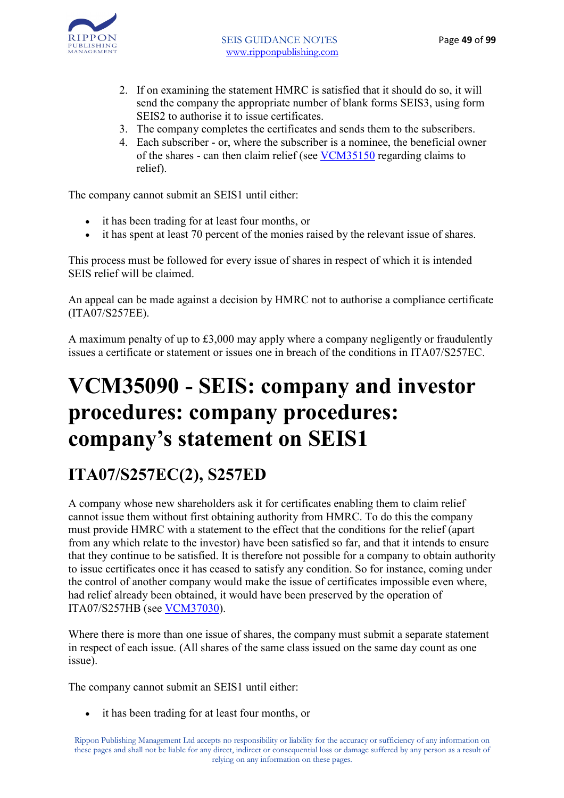

- 2. If on examining the statement HMRC is satisfied that it should do so, it will send the company the appropriate number of blank forms SEIS3, using form SEIS2 to authorise it to issue certificates.
- 3. The company completes the certificates and sends them to the subscribers.
- 4. Each subscriber or, where the subscriber is a nominee, the beneficial owner of the shares - can then claim relief (see VCM35150 regarding claims to relief).

The company cannot submit an SEIS1 until either:

- it has been trading for at least four months, or
- it has spent at least 70 percent of the monies raised by the relevant issue of shares.

This process must be followed for every issue of shares in respect of which it is intended SEIS relief will be claimed.

An appeal can be made against a decision by HMRC not to authorise a compliance certificate (ITA07/S257EE).

A maximum penalty of up to £3,000 may apply where a company negligently or fraudulently issues a certificate or statement or issues one in breach of the conditions in ITA07/S257EC.

### **VCM35090 - SEIS: company and investor procedures: company procedures: company's statement on SEIS1**

### **ITA07/S257EC(2), S257ED**

A company whose new shareholders ask it for certificates enabling them to claim relief cannot issue them without first obtaining authority from HMRC. To do this the company must provide HMRC with a statement to the effect that the conditions for the relief (apart from any which relate to the investor) have been satisfied so far, and that it intends to ensure that they continue to be satisfied. It is therefore not possible for a company to obtain authority to issue certificates once it has ceased to satisfy any condition. So for instance, coming under the control of another company would make the issue of certificates impossible even where, had relief already been obtained, it would have been preserved by the operation of ITA07/S257HB (see VCM37030).

Where there is more than one issue of shares, the company must submit a separate statement in respect of each issue. (All shares of the same class issued on the same day count as one issue).

The company cannot submit an SEIS1 until either:

• it has been trading for at least four months, or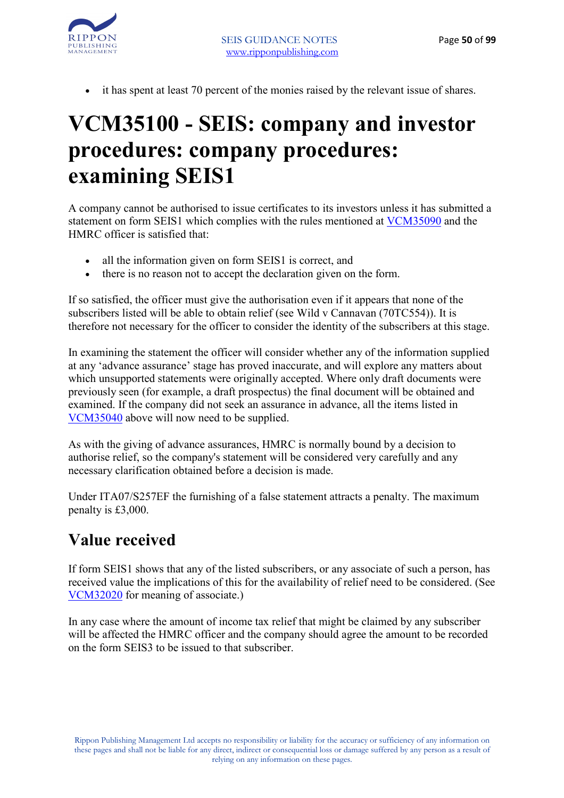

• it has spent at least 70 percent of the monies raised by the relevant issue of shares.

### **VCM35100 - SEIS: company and investor procedures: company procedures: examining SEIS1**

A company cannot be authorised to issue certificates to its investors unless it has submitted a statement on form SEIS1 which complies with the rules mentioned at VCM35090 and the HMRC officer is satisfied that:

- all the information given on form SEIS1 is correct, and
- there is no reason not to accept the declaration given on the form.

If so satisfied, the officer must give the authorisation even if it appears that none of the subscribers listed will be able to obtain relief (see Wild v Cannavan (70TC554)). It is therefore not necessary for the officer to consider the identity of the subscribers at this stage.

In examining the statement the officer will consider whether any of the information supplied at any 'advance assurance' stage has proved inaccurate, and will explore any matters about which unsupported statements were originally accepted. Where only draft documents were previously seen (for example, a draft prospectus) the final document will be obtained and examined. If the company did not seek an assurance in advance, all the items listed in VCM35040 above will now need to be supplied.

As with the giving of advance assurances, HMRC is normally bound by a decision to authorise relief, so the company's statement will be considered very carefully and any necessary clarification obtained before a decision is made.

Under ITA07/S257EF the furnishing of a false statement attracts a penalty. The maximum penalty is £3,000.

#### **Value received**

If form SEIS1 shows that any of the listed subscribers, or any associate of such a person, has received value the implications of this for the availability of relief need to be considered. (See VCM32020 for meaning of associate.)

In any case where the amount of income tax relief that might be claimed by any subscriber will be affected the HMRC officer and the company should agree the amount to be recorded on the form SEIS3 to be issued to that subscriber.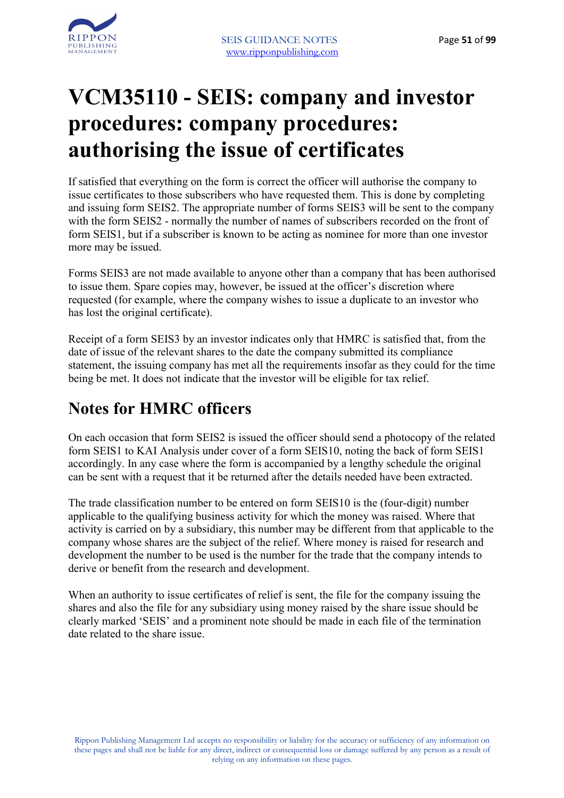

### **VCM35110 - SEIS: company and investor procedures: company procedures: authorising the issue of certificates**

If satisfied that everything on the form is correct the officer will authorise the company to issue certificates to those subscribers who have requested them. This is done by completing and issuing form SEIS2. The appropriate number of forms SEIS3 will be sent to the company with the form SEIS2 - normally the number of names of subscribers recorded on the front of form SEIS1, but if a subscriber is known to be acting as nominee for more than one investor more may be issued.

Forms SEIS3 are not made available to anyone other than a company that has been authorised to issue them. Spare copies may, however, be issued at the officer's discretion where requested (for example, where the company wishes to issue a duplicate to an investor who has lost the original certificate).

Receipt of a form SEIS3 by an investor indicates only that HMRC is satisfied that, from the date of issue of the relevant shares to the date the company submitted its compliance statement, the issuing company has met all the requirements insofar as they could for the time being be met. It does not indicate that the investor will be eligible for tax relief.

#### **Notes for HMRC officers**

On each occasion that form SEIS2 is issued the officer should send a photocopy of the related form SEIS1 to KAI Analysis under cover of a form SEIS10, noting the back of form SEIS1 accordingly. In any case where the form is accompanied by a lengthy schedule the original can be sent with a request that it be returned after the details needed have been extracted.

The trade classification number to be entered on form SEIS10 is the (four-digit) number applicable to the qualifying business activity for which the money was raised. Where that activity is carried on by a subsidiary, this number may be different from that applicable to the company whose shares are the subject of the relief. Where money is raised for research and development the number to be used is the number for the trade that the company intends to derive or benefit from the research and development.

When an authority to issue certificates of relief is sent, the file for the company issuing the shares and also the file for any subsidiary using money raised by the share issue should be clearly marked 'SEIS' and a prominent note should be made in each file of the termination date related to the share issue.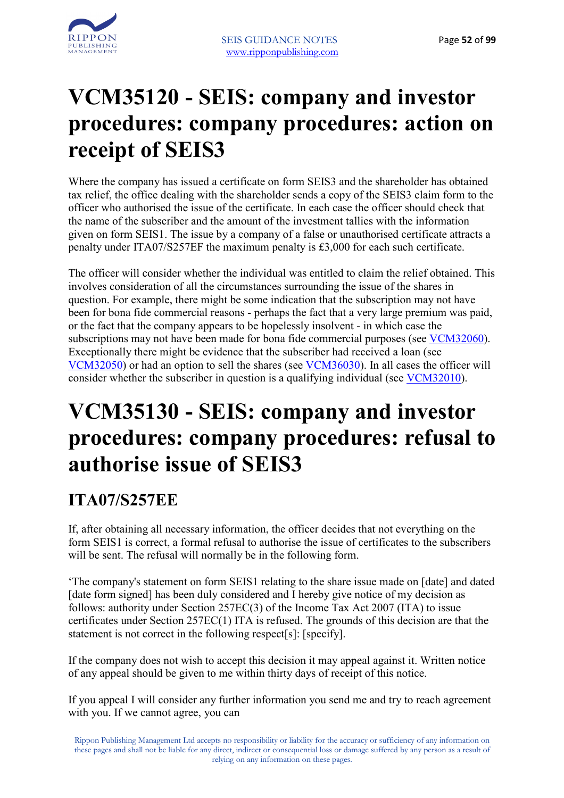

### **VCM35120 - SEIS: company and investor procedures: company procedures: action on receipt of SEIS3**

Where the company has issued a certificate on form SEIS3 and the shareholder has obtained tax relief, the office dealing with the shareholder sends a copy of the SEIS3 claim form to the officer who authorised the issue of the certificate. In each case the officer should check that the name of the subscriber and the amount of the investment tallies with the information given on form SEIS1. The issue by a company of a false or unauthorised certificate attracts a penalty under ITA07/S257EF the maximum penalty is £3,000 for each such certificate.

The officer will consider whether the individual was entitled to claim the relief obtained. This involves consideration of all the circumstances surrounding the issue of the shares in question. For example, there might be some indication that the subscription may not have been for bona fide commercial reasons - perhaps the fact that a very large premium was paid, or the fact that the company appears to be hopelessly insolvent - in which case the subscriptions may not have been made for bona fide commercial purposes (see VCM32060). Exceptionally there might be evidence that the subscriber had received a loan (see VCM32050) or had an option to sell the shares (see VCM36030). In all cases the officer will consider whether the subscriber in question is a qualifying individual (see VCM32010).

### **VCM35130 - SEIS: company and investor procedures: company procedures: refusal to authorise issue of SEIS3**

#### **ITA07/S257EE**

If, after obtaining all necessary information, the officer decides that not everything on the form SEIS1 is correct, a formal refusal to authorise the issue of certificates to the subscribers will be sent. The refusal will normally be in the following form.

'The company's statement on form SEIS1 relating to the share issue made on [date] and dated [date form signed] has been duly considered and I hereby give notice of my decision as follows: authority under Section 257EC(3) of the Income Tax Act 2007 (ITA) to issue certificates under Section 257EC(1) ITA is refused. The grounds of this decision are that the statement is not correct in the following respect[s]: [specify].

If the company does not wish to accept this decision it may appeal against it. Written notice of any appeal should be given to me within thirty days of receipt of this notice.

If you appeal I will consider any further information you send me and try to reach agreement with you. If we cannot agree, you can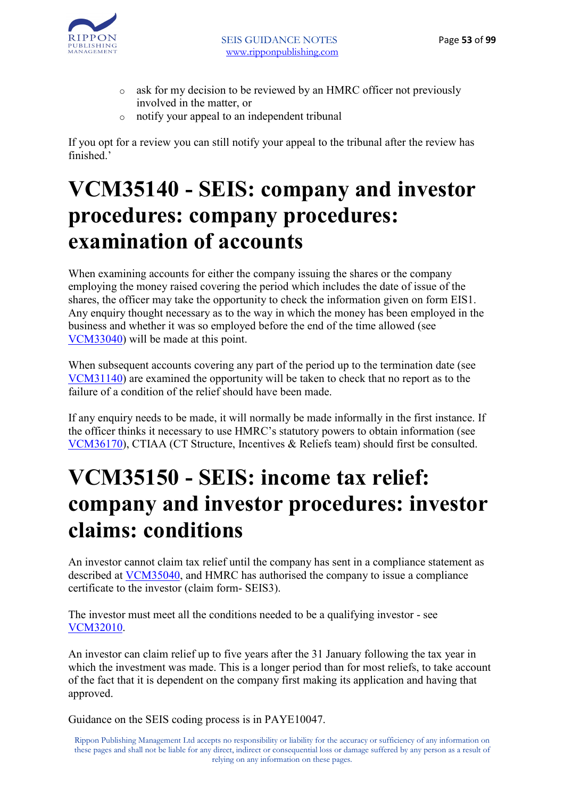

- o ask for my decision to be reviewed by an HMRC officer not previously involved in the matter, or
- o notify your appeal to an independent tribunal

If you opt for a review you can still notify your appeal to the tribunal after the review has finished<sup>'</sup>

### **VCM35140 - SEIS: company and investor procedures: company procedures: examination of accounts**

When examining accounts for either the company issuing the shares or the company employing the money raised covering the period which includes the date of issue of the shares, the officer may take the opportunity to check the information given on form EIS1. Any enquiry thought necessary as to the way in which the money has been employed in the business and whether it was so employed before the end of the time allowed (see VCM33040) will be made at this point.

When subsequent accounts covering any part of the period up to the termination date (see VCM31140) are examined the opportunity will be taken to check that no report as to the failure of a condition of the relief should have been made.

If any enquiry needs to be made, it will normally be made informally in the first instance. If the officer thinks it necessary to use HMRC's statutory powers to obtain information (see VCM36170), CTIAA (CT Structure, Incentives & Reliefs team) should first be consulted.

### **VCM35150 - SEIS: income tax relief: company and investor procedures: investor claims: conditions**

An investor cannot claim tax relief until the company has sent in a compliance statement as described at VCM35040, and HMRC has authorised the company to issue a compliance certificate to the investor (claim form- SEIS3).

The investor must meet all the conditions needed to be a qualifying investor - see VCM32010.

An investor can claim relief up to five years after the 31 January following the tax year in which the investment was made. This is a longer period than for most reliefs, to take account of the fact that it is dependent on the company first making its application and having that approved.

Guidance on the SEIS coding process is in PAYE10047.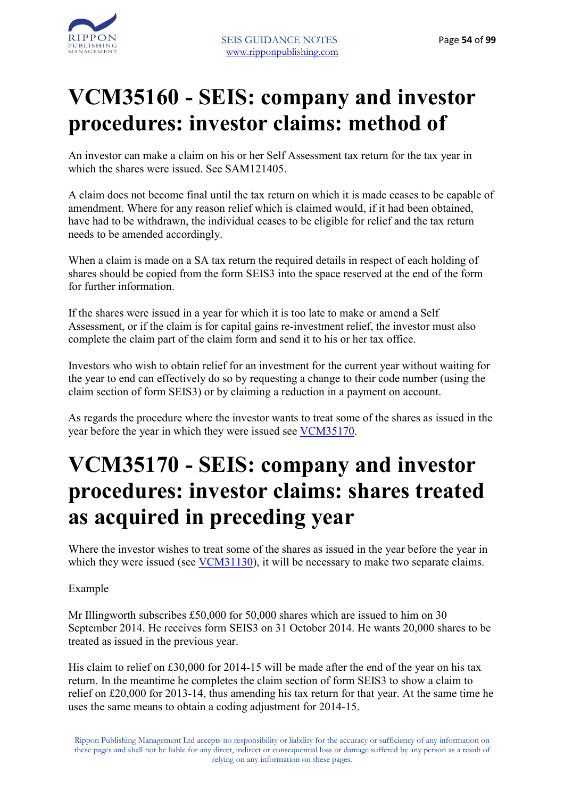# **VCM35160 - SEIS: company and investor procedures: investor claims: method of**

An investor can make a claim on his or her Self Assessment tax return for the tax year in which the shares were issued. See SAM121405.

A claim does not become final until the tax return on which it is made ceases to be capable of amendment. Where for any reason relief which is claimed would, if it had been obtained, have had to be withdrawn, the individual ceases to be eligible for relief and the tax return needs to be amended accordingly.

When a claim is made on a SA tax return the required details in respect of each holding of shares should be copied from the form SEIS3 into the space reserved at the end of the form for further information.

If the shares were issued in a year for which it is too late to make or amend a Self Assessment, or if the claim is for capital gains re-investment relief, the investor must also complete the claim part of the claim form and send it to his or her tax office.

Investors who wish to obtain relief for an investment for the current year without waiting for the year to end can effectively do so by requesting a change to their code number (using the claim section of form SEIS3) or by claiming a reduction in a payment on account.

As regards the procedure where the investor wants to treat some of the shares as issued in the year before the year in which they were issued see VCM35170.

### **VCM35170 - SEIS: company and investor procedures: investor claims: shares treated as acquired in preceding year**

Where the investor wishes to treat some of the shares as issued in the year before the year in which they were issued (see **VCM31130**), it will be necessary to make two separate claims.

Example

Mr Illingworth subscribes £50,000 for 50,000 shares which are issued to him on 30 September 2014. He receives form SEIS3 on 31 October 2014. He wants 20,000 shares to be treated as issued in the previous year.

His claim to relief on £30,000 for 2014-15 will be made after the end of the year on his tax return. In the meantime he completes the claim section of form SEIS3 to show a claim to relief on £20,000 for 2013-14, thus amending his tax return for that year. At the same time he uses the same means to obtain a coding adjustment for 2014-15.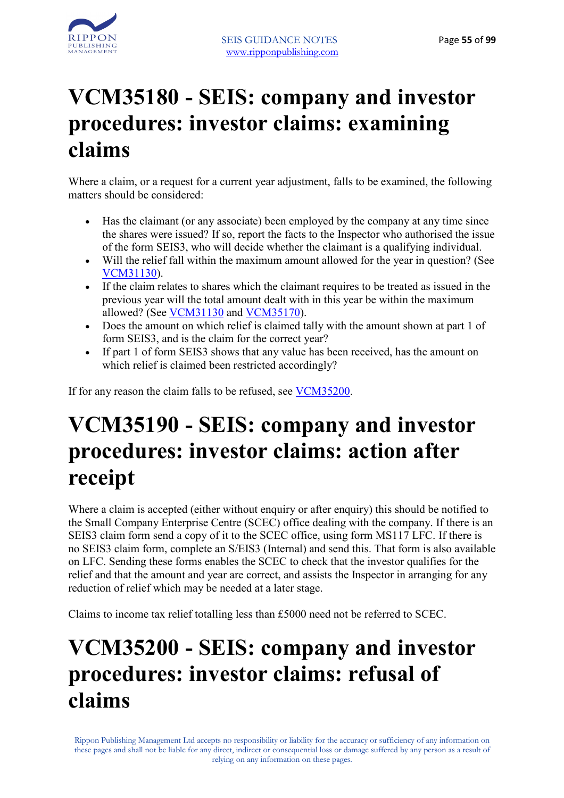

### **VCM35180 - SEIS: company and investor procedures: investor claims: examining claims**

Where a claim, or a request for a current year adjustment, falls to be examined, the following matters should be considered.

- Has the claimant (or any associate) been employed by the company at any time since the shares were issued? If so, report the facts to the Inspector who authorised the issue of the form SEIS3, who will decide whether the claimant is a qualifying individual.
- Will the relief fall within the maximum amount allowed for the year in question? (See VCM31130).
- If the claim relates to shares which the claimant requires to be treated as issued in the previous year will the total amount dealt with in this year be within the maximum allowed? (See VCM31130 and VCM35170).
- Does the amount on which relief is claimed tally with the amount shown at part 1 of form SEIS3, and is the claim for the correct year?
- If part 1 of form SEIS3 shows that any value has been received, has the amount on which relief is claimed been restricted accordingly?

If for any reason the claim falls to be refused, see VCM35200.

### **VCM35190 - SEIS: company and investor procedures: investor claims: action after receipt**

Where a claim is accepted (either without enquiry or after enquiry) this should be notified to the Small Company Enterprise Centre (SCEC) office dealing with the company. If there is an SEIS3 claim form send a copy of it to the SCEC office, using form MS117 LFC. If there is no SEIS3 claim form, complete an S/EIS3 (Internal) and send this. That form is also available on LFC. Sending these forms enables the SCEC to check that the investor qualifies for the relief and that the amount and year are correct, and assists the Inspector in arranging for any reduction of relief which may be needed at a later stage.

Claims to income tax relief totalling less than £5000 need not be referred to SCEC.

### **VCM35200 - SEIS: company and investor procedures: investor claims: refusal of claims**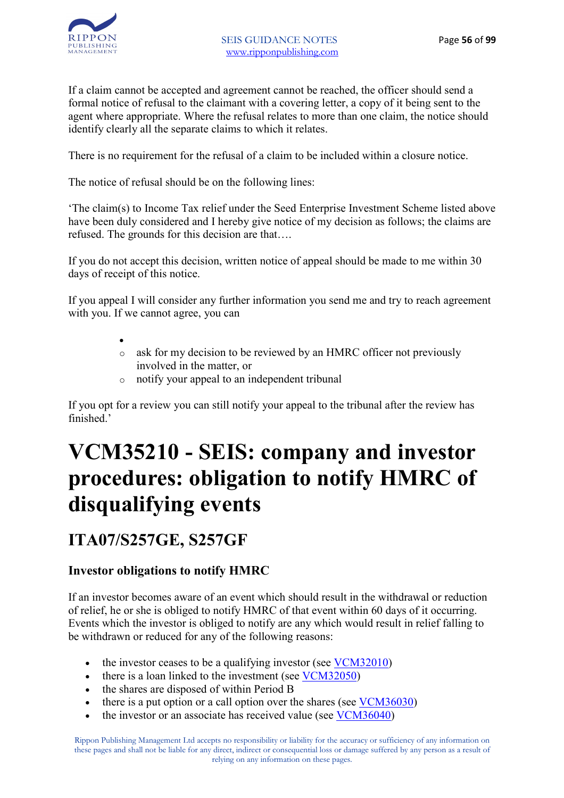

If a claim cannot be accepted and agreement cannot be reached, the officer should send a formal notice of refusal to the claimant with a covering letter, a copy of it being sent to the agent where appropriate. Where the refusal relates to more than one claim, the notice should identify clearly all the separate claims to which it relates.

There is no requirement for the refusal of a claim to be included within a closure notice.

The notice of refusal should be on the following lines:

'The claim(s) to Income Tax relief under the Seed Enterprise Investment Scheme listed above have been duly considered and I hereby give notice of my decision as follows; the claims are refused. The grounds for this decision are that….

If you do not accept this decision, written notice of appeal should be made to me within 30 days of receipt of this notice.

If you appeal I will consider any further information you send me and try to reach agreement with you. If we cannot agree, you can

- •
- o ask for my decision to be reviewed by an HMRC officer not previously involved in the matter, or
- o notify your appeal to an independent tribunal

If you opt for a review you can still notify your appeal to the tribunal after the review has finished<sup>'</sup>

# **VCM35210 - SEIS: company and investor procedures: obligation to notify HMRC of disqualifying events**

#### **ITA07/S257GE, S257GF**

#### **Investor obligations to notify HMRC**

If an investor becomes aware of an event which should result in the withdrawal or reduction of relief, he or she is obliged to notify HMRC of that event within 60 days of it occurring. Events which the investor is obliged to notify are any which would result in relief falling to be withdrawn or reduced for any of the following reasons:

- the investor ceases to be a qualifying investor (see VCM32010)
- there is a loan linked to the investment (see VCM32050)
- the shares are disposed of within Period B
- there is a put option or a call option over the shares (see VCM36030)
- the investor or an associate has received value (see VCM36040)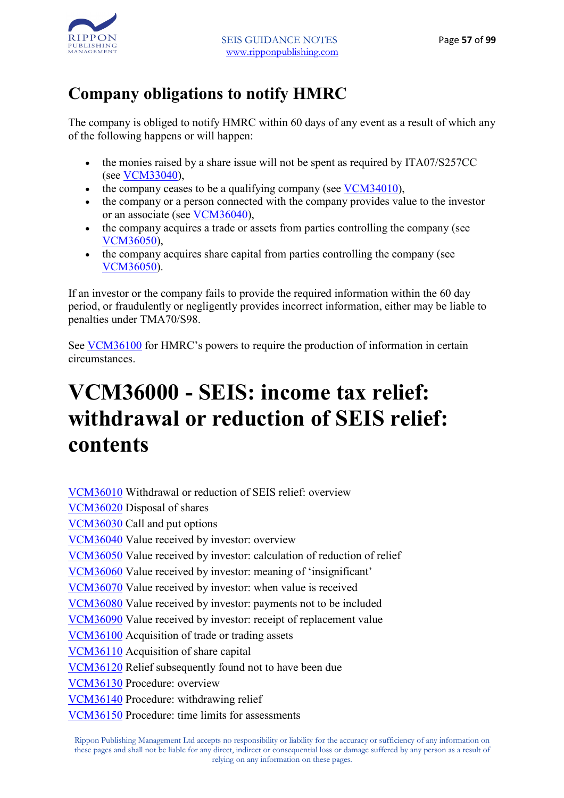

#### **Company obligations to notify HMRC**

The company is obliged to notify HMRC within 60 days of any event as a result of which any of the following happens or will happen:

- the monies raised by a share issue will not be spent as required by ITA07/S257CC (see VCM33040),
- the company ceases to be a qualifying company (see VCM34010),
- the company or a person connected with the company provides value to the investor or an associate (see VCM36040),
- the company acquires a trade or assets from parties controlling the company (see VCM36050),
- the company acquires share capital from parties controlling the company (see VCM36050).

If an investor or the company fails to provide the required information within the 60 day period, or fraudulently or negligently provides incorrect information, either may be liable to penalties under TMA70/S98.

See VCM36100 for HMRC's powers to require the production of information in certain circumstances.

### **VCM36000 - SEIS: income tax relief: withdrawal or reduction of SEIS relief: contents**

VCM36010 Withdrawal or reduction of SEIS relief: overview VCM36020 Disposal of shares VCM36030 Call and put options VCM36040 Value received by investor: overview VCM36050 Value received by investor: calculation of reduction of relief VCM36060 Value received by investor: meaning of 'insignificant' VCM36070 Value received by investor: when value is received VCM36080 Value received by investor: payments not to be included VCM36090 Value received by investor: receipt of replacement value VCM36100 Acquisition of trade or trading assets VCM36110 Acquisition of share capital VCM36120 Relief subsequently found not to have been due VCM36130 Procedure: overview VCM36140 Procedure: withdrawing relief VCM36150 Procedure: time limits for assessments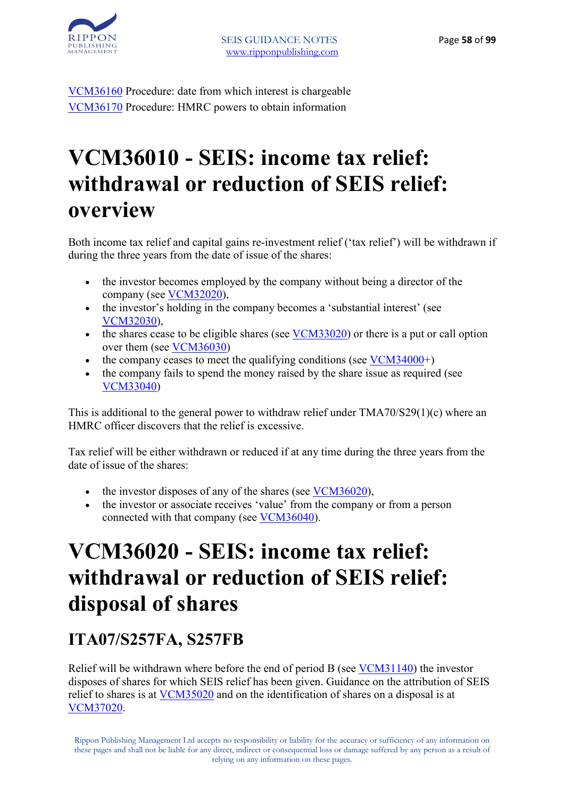

VCM36160 Procedure: date from which interest is chargeable VCM36170 Procedure: HMRC powers to obtain information

### **VCM36010 - SEIS: income tax relief: withdrawal or reduction of SEIS relief: overview**

Both income tax relief and capital gains re-investment relief ('tax relief') will be withdrawn if during the three years from the date of issue of the shares:

- the investor becomes employed by the company without being a director of the company (see VCM32020),
- the investor's holding in the company becomes a 'substantial interest' (see VCM32030),
- the shares cease to be eligible shares (see VCM33020) or there is a put or call option over them (see VCM36030)
- the company ceases to meet the qualifying conditions (see  $VCM34000+$ )
- the company fails to spend the money raised by the share issue as required (see VCM33040)

This is additional to the general power to withdraw relief under TMA70/S29(1)(c) where an HMRC officer discovers that the relief is excessive.

Tax relief will be either withdrawn or reduced if at any time during the three years from the date of issue of the shares:

- the investor disposes of any of the shares (see VCM36020),
- the investor or associate receives 'value' from the company or from a person connected with that company (see VCM36040).

### **VCM36020 - SEIS: income tax relief: withdrawal or reduction of SEIS relief: disposal of shares**

#### **ITA07/S257FA, S257FB**

Relief will be withdrawn where before the end of period B (see VCM31140) the investor disposes of shares for which SEIS relief has been given. Guidance on the attribution of SEIS relief to shares is at VCM35020 and on the identification of shares on a disposal is at VCM37020.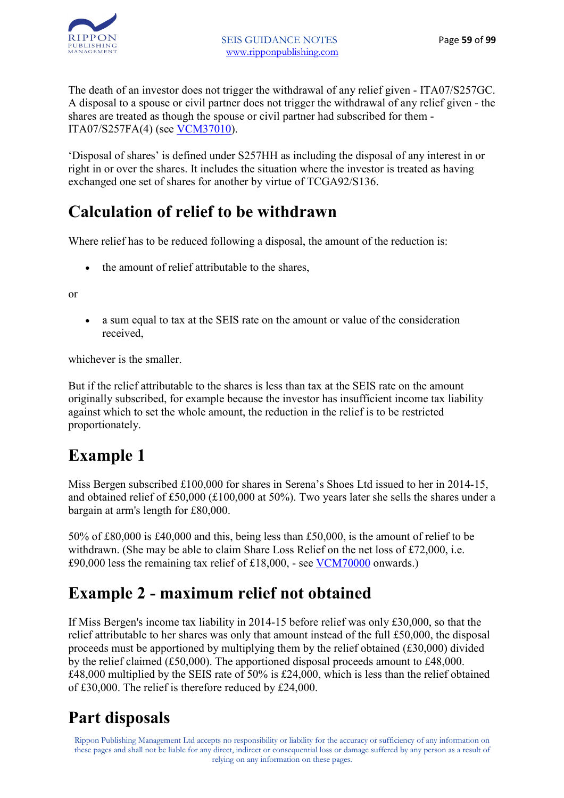

The death of an investor does not trigger the withdrawal of any relief given - ITA07/S257GC. A disposal to a spouse or civil partner does not trigger the withdrawal of any relief given - the shares are treated as though the spouse or civil partner had subscribed for them - ITA07/S257FA(4) (see VCM37010).

'Disposal of shares' is defined under S257HH as including the disposal of any interest in or right in or over the shares. It includes the situation where the investor is treated as having exchanged one set of shares for another by virtue of TCGA92/S136.

#### **Calculation of relief to be withdrawn**

Where relief has to be reduced following a disposal, the amount of the reduction is:

• the amount of relief attributable to the shares,

or

• a sum equal to tax at the SEIS rate on the amount or value of the consideration received,

whichever is the smaller.

But if the relief attributable to the shares is less than tax at the SEIS rate on the amount originally subscribed, for example because the investor has insufficient income tax liability against which to set the whole amount, the reduction in the relief is to be restricted proportionately.

#### **Example 1**

Miss Bergen subscribed £100,000 for shares in Serena's Shoes Ltd issued to her in 2014-15, and obtained relief of £50,000 (£100,000 at 50%). Two years later she sells the shares under a bargain at arm's length for £80,000.

50% of £80,000 is £40,000 and this, being less than £50,000, is the amount of relief to be withdrawn. (She may be able to claim Share Loss Relief on the net loss of £72,000, i.e. £90,000 less the remaining tax relief of £18,000, - see VCM70000 onwards.)

#### **Example 2 - maximum relief not obtained**

If Miss Bergen's income tax liability in 2014-15 before relief was only £30,000, so that the relief attributable to her shares was only that amount instead of the full £50,000, the disposal proceeds must be apportioned by multiplying them by the relief obtained  $(E30,000)$  divided by the relief claimed (£50,000). The apportioned disposal proceeds amount to £48,000. £48,000 multiplied by the SEIS rate of 50% is £24,000, which is less than the relief obtained of £30,000. The relief is therefore reduced by £24,000.

#### **Part disposals**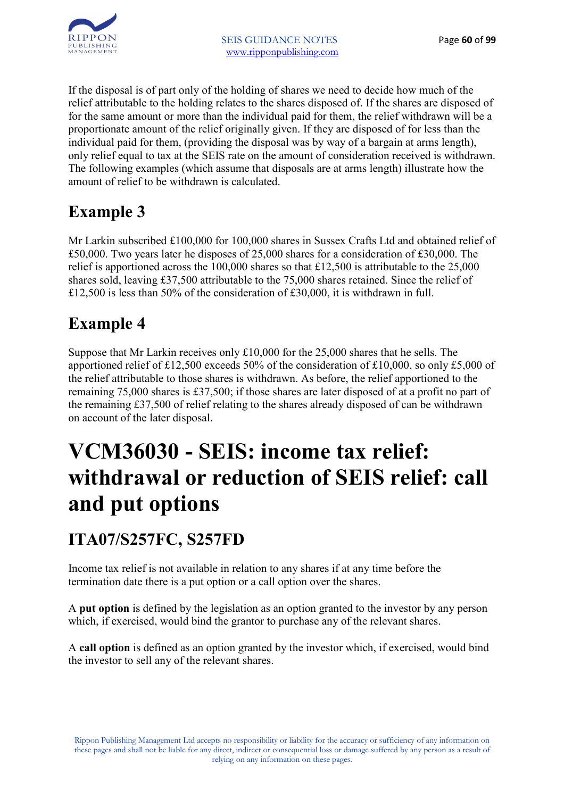

If the disposal is of part only of the holding of shares we need to decide how much of the relief attributable to the holding relates to the shares disposed of. If the shares are disposed of for the same amount or more than the individual paid for them, the relief withdrawn will be a proportionate amount of the relief originally given. If they are disposed of for less than the individual paid for them, (providing the disposal was by way of a bargain at arms length), only relief equal to tax at the SEIS rate on the amount of consideration received is withdrawn. The following examples (which assume that disposals are at arms length) illustrate how the amount of relief to be withdrawn is calculated.

#### **Example 3**

Mr Larkin subscribed £100,000 for 100,000 shares in Sussex Crafts Ltd and obtained relief of £50,000. Two years later he disposes of 25,000 shares for a consideration of £30,000. The relief is apportioned across the 100,000 shares so that £12,500 is attributable to the 25,000 shares sold, leaving £37,500 attributable to the 75,000 shares retained. Since the relief of £12,500 is less than 50% of the consideration of £30,000, it is withdrawn in full.

### **Example 4**

Suppose that Mr Larkin receives only £10,000 for the 25,000 shares that he sells. The apportioned relief of £12,500 exceeds 50% of the consideration of £10,000, so only £5,000 of the relief attributable to those shares is withdrawn. As before, the relief apportioned to the remaining 75,000 shares is £37,500; if those shares are later disposed of at a profit no part of the remaining £37,500 of relief relating to the shares already disposed of can be withdrawn on account of the later disposal.

# **VCM36030 - SEIS: income tax relief: withdrawal or reduction of SEIS relief: call and put options**

#### **ITA07/S257FC, S257FD**

Income tax relief is not available in relation to any shares if at any time before the termination date there is a put option or a call option over the shares.

A **put option** is defined by the legislation as an option granted to the investor by any person which, if exercised, would bind the grantor to purchase any of the relevant shares.

A **call option** is defined as an option granted by the investor which, if exercised, would bind the investor to sell any of the relevant shares.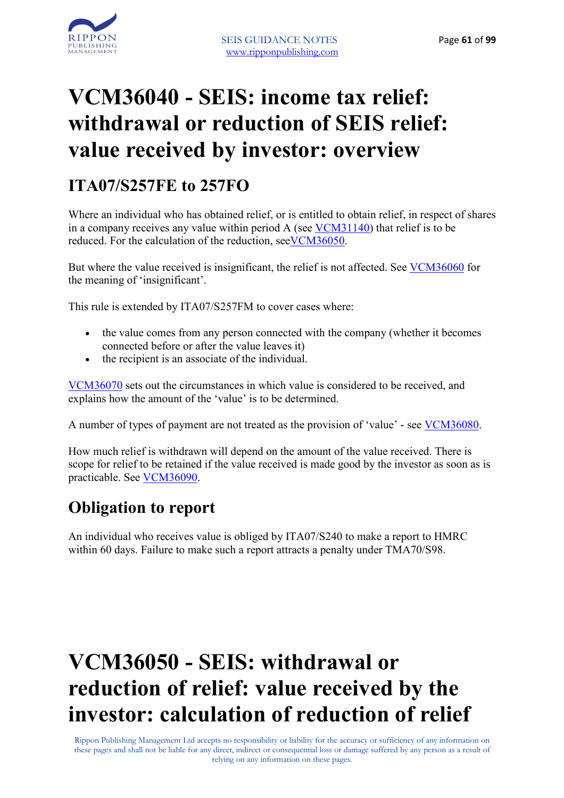

### **VCM36040 - SEIS: income tax relief: withdrawal or reduction of SEIS relief: value received by investor: overview**

#### **ITA07/S257FE to 257FO**

Where an individual who has obtained relief, or is entitled to obtain relief, in respect of shares in a company receives any value within period A (see VCM31140) that relief is to be reduced. For the calculation of the reduction, seeVCM36050.

But where the value received is insignificant, the relief is not affected. See VCM36060 for the meaning of 'insignificant'.

This rule is extended by ITA07/S257FM to cover cases where:

- the value comes from any person connected with the company (whether it becomes connected before or after the value leaves it)
- the recipient is an associate of the individual.

VCM36070 sets out the circumstances in which value is considered to be received, and explains how the amount of the 'value' is to be determined.

A number of types of payment are not treated as the provision of 'value' - see VCM36080.

How much relief is withdrawn will depend on the amount of the value received. There is scope for relief to be retained if the value received is made good by the investor as soon as is practicable. See VCM36090.

#### **Obligation to report**

An individual who receives value is obliged by ITA07/S240 to make a report to HMRC within 60 days. Failure to make such a report attracts a penalty under TMA70/S98.

## **VCM36050 - SEIS: withdrawal or reduction of relief: value received by the investor: calculation of reduction of relief**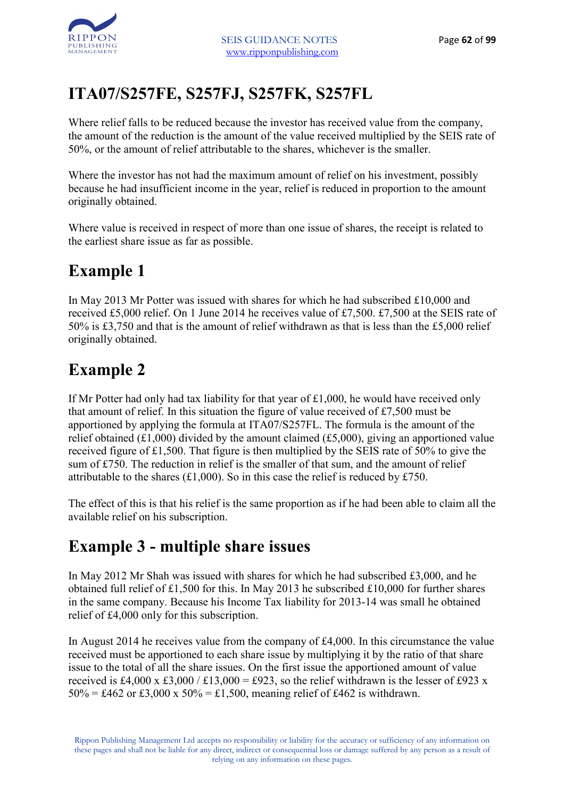### **ITA07/S257FE, S257FJ, S257FK, S257FL**

Where relief falls to be reduced because the investor has received value from the company, the amount of the reduction is the amount of the value received multiplied by the SEIS rate of 50%, or the amount of relief attributable to the shares, whichever is the smaller.

Where the investor has not had the maximum amount of relief on his investment, possibly because he had insufficient income in the year, relief is reduced in proportion to the amount originally obtained.

Where value is received in respect of more than one issue of shares, the receipt is related to the earliest share issue as far as possible.

### **Example 1**

In May 2013 Mr Potter was issued with shares for which he had subscribed £10,000 and received £5,000 relief. On 1 June 2014 he receives value of £7,500. £7,500 at the SEIS rate of 50% is £3,750 and that is the amount of relief withdrawn as that is less than the £5,000 relief originally obtained.

#### **Example 2**

If Mr Potter had only had tax liability for that year of £1,000, he would have received only that amount of relief. In this situation the figure of value received of £7,500 must be apportioned by applying the formula at ITA07/S257FL. The formula is the amount of the relief obtained (£1,000) divided by the amount claimed (£5,000), giving an apportioned value received figure of £1,500. That figure is then multiplied by the SEIS rate of 50% to give the sum of £750. The reduction in relief is the smaller of that sum, and the amount of relief attributable to the shares (£1,000). So in this case the relief is reduced by £750.

The effect of this is that his relief is the same proportion as if he had been able to claim all the available relief on his subscription.

#### **Example 3 - multiple share issues**

In May 2012 Mr Shah was issued with shares for which he had subscribed £3,000, and he obtained full relief of £1,500 for this. In May 2013 he subscribed £10,000 for further shares in the same company. Because his Income Tax liability for 2013-14 was small he obtained relief of £4,000 only for this subscription.

In August 2014 he receives value from the company of £4,000. In this circumstance the value received must be apportioned to each share issue by multiplying it by the ratio of that share issue to the total of all the share issues. On the first issue the apportioned amount of value received is £4,000 x £3,000 / £13,000 = £923, so the relief withdrawn is the lesser of £923 x  $50\% = \text{\pounds}462$  or  $\text{\pounds}3.000 \times 50\% = \text{\pounds}1.500$ , meaning relief of  $\text{\pounds}462$  is withdrawn.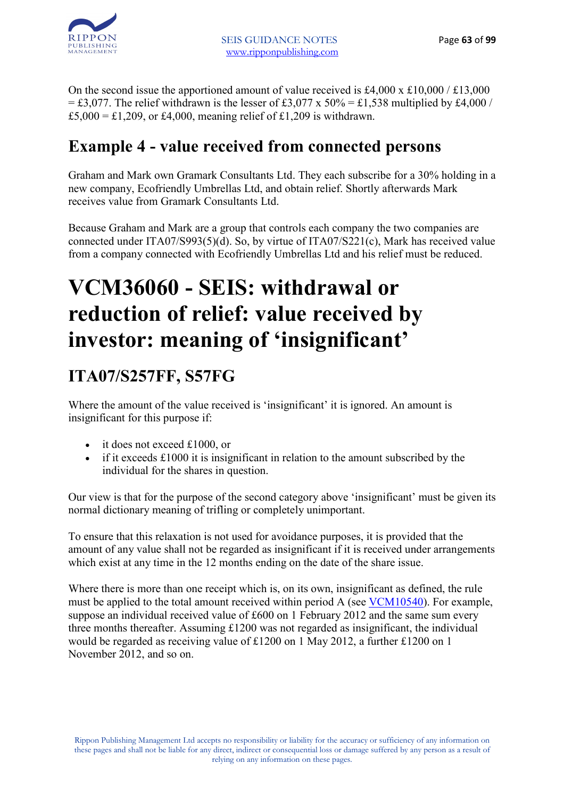

On the second issue the apportioned amount of value received is £4,000 x £10,000 / £13,000  $=$  £3,077. The relief withdrawn is the lesser of £3,077 x 50% = £1,538 multiplied by £4,000 / £5,000 = £1,209, or £4,000, meaning relief of £1,209 is withdrawn.

#### **Example 4 - value received from connected persons**

Graham and Mark own Gramark Consultants Ltd. They each subscribe for a 30% holding in a new company, Ecofriendly Umbrellas Ltd, and obtain relief. Shortly afterwards Mark receives value from Gramark Consultants Ltd.

Because Graham and Mark are a group that controls each company the two companies are connected under ITA07/S993(5)(d). So, by virtue of ITA07/S221(c), Mark has received value from a company connected with Ecofriendly Umbrellas Ltd and his relief must be reduced.

### **VCM36060 - SEIS: withdrawal or reduction of relief: value received by investor: meaning of 'insignificant'**

### **ITA07/S257FF, S57FG**

Where the amount of the value received is 'insignificant' it is ignored. An amount is insignificant for this purpose if:

- it does not exceed £1000, or
- if it exceeds £1000 it is insignificant in relation to the amount subscribed by the individual for the shares in question.

Our view is that for the purpose of the second category above 'insignificant' must be given its normal dictionary meaning of trifling or completely unimportant.

To ensure that this relaxation is not used for avoidance purposes, it is provided that the amount of any value shall not be regarded as insignificant if it is received under arrangements which exist at any time in the 12 months ending on the date of the share issue.

Where there is more than one receipt which is, on its own, insignificant as defined, the rule must be applied to the total amount received within period A (see VCM10540). For example, suppose an individual received value of £600 on 1 February 2012 and the same sum every three months thereafter. Assuming £1200 was not regarded as insignificant, the individual would be regarded as receiving value of £1200 on 1 May 2012, a further £1200 on 1 November 2012, and so on.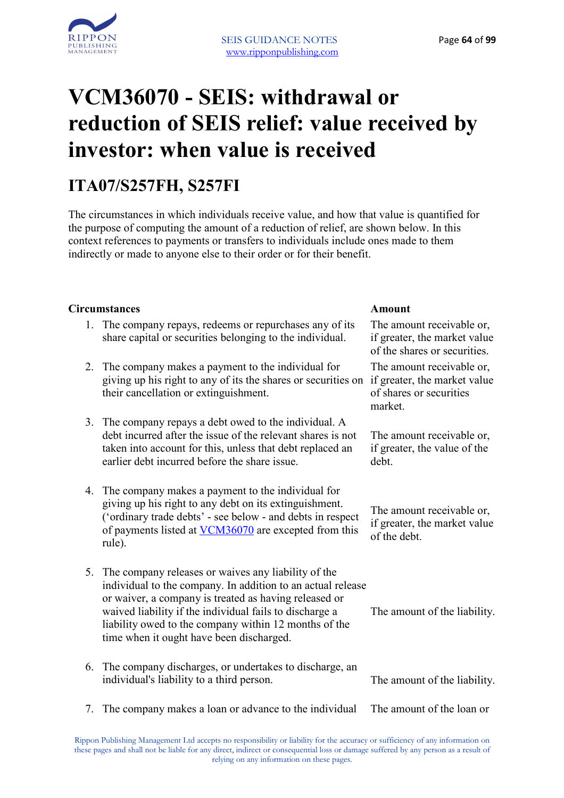

## **VCM36070 - SEIS: withdrawal or reduction of SEIS relief: value received by investor: when value is received**

#### **ITA07/S257FH, S257FI**

The circumstances in which individuals receive value, and how that value is quantified for the purpose of computing the amount of a reduction of relief, are shown below. In this context references to payments or transfers to individuals include ones made to them indirectly or made to anyone else to their order or for their benefit.

#### **Circumstances Amount**

- 1. The company repays, redeems or repurchases any of its share capital or securities belonging to the individual.
- 2. The company makes a payment to the individual for giving up his right to any of its the shares or securities on if greater, the market value their cancellation or extinguishment.
- 3. The company repays a debt owed to the individual. A debt incurred after the issue of the relevant shares is not taken into account for this, unless that debt replaced an earlier debt incurred before the share issue.
- 4. The company makes a payment to the individual for giving up his right to any debt on its extinguishment. ('ordinary trade debts' - see below - and debts in respect of payments listed at VCM36070 are excepted from this rule).
- 5. The company releases or waives any liability of the individual to the company. In addition to an actual release or waiver, a company is treated as having released or waived liability if the individual fails to discharge a liability owed to the company within 12 months of the time when it ought have been discharged.
- 6. The company discharges, or undertakes to discharge, an individual's liability to a third person. The amount of the liability.
- 7. The company makes a loan or advance to the individual The amount of the loan or

The amount receivable or, if greater, the market value of the shares or securities.

The amount receivable or, of shares or securities market.

The amount receivable or, if greater, the value of the debt.

The amount receivable or, if greater, the market value of the debt.

The amount of the liability.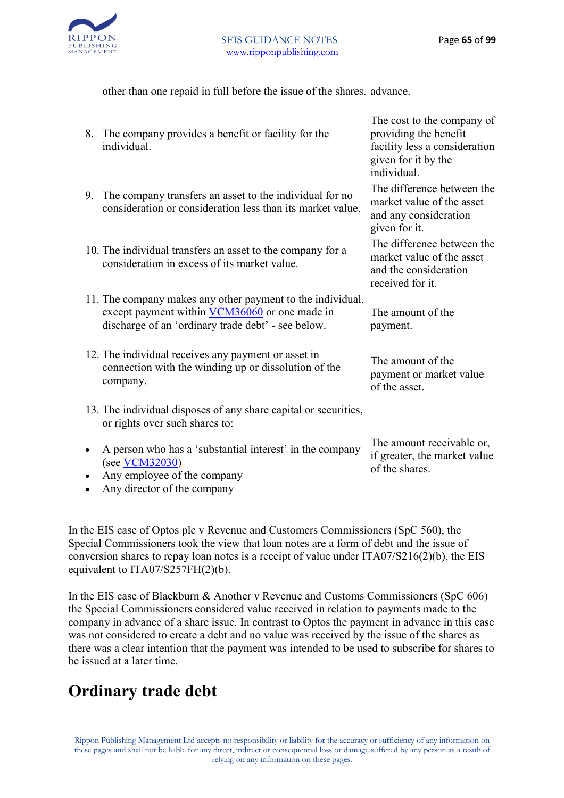

The amount receivable or, if greater, the market value

of the shares.

other than one repaid in full before the issue of the shares. advance.

- 8. The company provides a benefit or facility for the individual. The cost to the company of providing the benefit facility less a consideration given for it by the individual. 9. The company transfers an asset to the individual for no consideration or consideration less than its market value. The difference between the market value of the asset and any consideration given for it. 10. The individual transfers an asset to the company for a consideration in excess of its market value. The difference between the market value of the asset and the consideration received for it. 11. The company makes any other payment to the individual, except payment within VCM36060 or one made in discharge of an 'ordinary trade debt' - see below. The amount of the payment. 12. The individual receives any payment or asset in connection with the winding up or dissolution of the company. The amount of the payment or market value of the asset. 13. The individual disposes of any share capital or securities, or rights over such shares to:
- A person who has a 'substantial interest' in the company (see VCM32030)
- Any employee of the company
- Any director of the company

In the EIS case of Optos plc v Revenue and Customers Commissioners (SpC 560), the Special Commissioners took the view that loan notes are a form of debt and the issue of conversion shares to repay loan notes is a receipt of value under ITA07/S216(2)(b), the EIS equivalent to ITA07/S257FH(2)(b).

In the EIS case of Blackburn & Another v Revenue and Customs Commissioners (SpC 606) the Special Commissioners considered value received in relation to payments made to the company in advance of a share issue. In contrast to Optos the payment in advance in this case was not considered to create a debt and no value was received by the issue of the shares as there was a clear intention that the payment was intended to be used to subscribe for shares to be issued at a later time.

#### **Ordinary trade debt**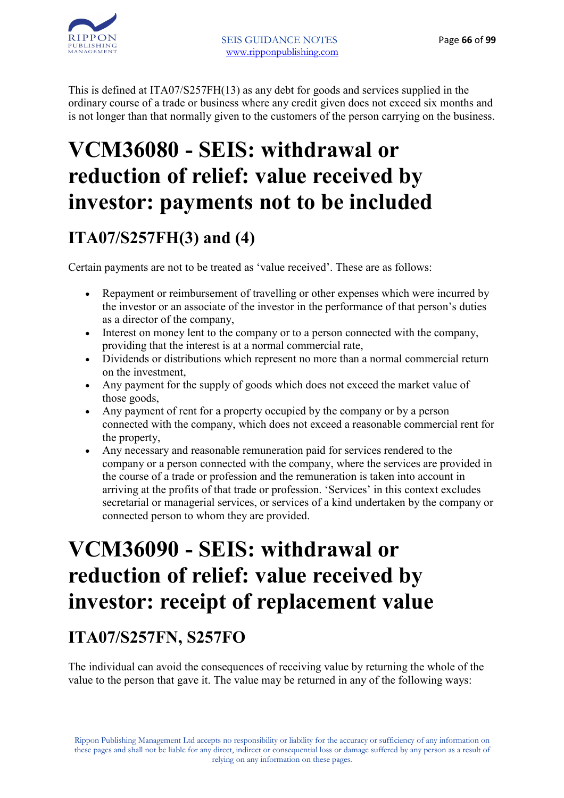

This is defined at ITA07/S257FH(13) as any debt for goods and services supplied in the ordinary course of a trade or business where any credit given does not exceed six months and is not longer than that normally given to the customers of the person carrying on the business.

### **VCM36080 - SEIS: withdrawal or reduction of relief: value received by investor: payments not to be included**

### **ITA07/S257FH(3) and (4)**

Certain payments are not to be treated as 'value received'. These are as follows:

- Repayment or reimbursement of travelling or other expenses which were incurred by the investor or an associate of the investor in the performance of that person's duties as a director of the company,
- Interest on money lent to the company or to a person connected with the company, providing that the interest is at a normal commercial rate,
- Dividends or distributions which represent no more than a normal commercial return on the investment,
- Any payment for the supply of goods which does not exceed the market value of those goods,
- Any payment of rent for a property occupied by the company or by a person connected with the company, which does not exceed a reasonable commercial rent for the property,
- Any necessary and reasonable remuneration paid for services rendered to the company or a person connected with the company, where the services are provided in the course of a trade or profession and the remuneration is taken into account in arriving at the profits of that trade or profession. 'Services' in this context excludes secretarial or managerial services, or services of a kind undertaken by the company or connected person to whom they are provided.

### **VCM36090 - SEIS: withdrawal or reduction of relief: value received by investor: receipt of replacement value**

#### **ITA07/S257FN, S257FO**

The individual can avoid the consequences of receiving value by returning the whole of the value to the person that gave it. The value may be returned in any of the following ways: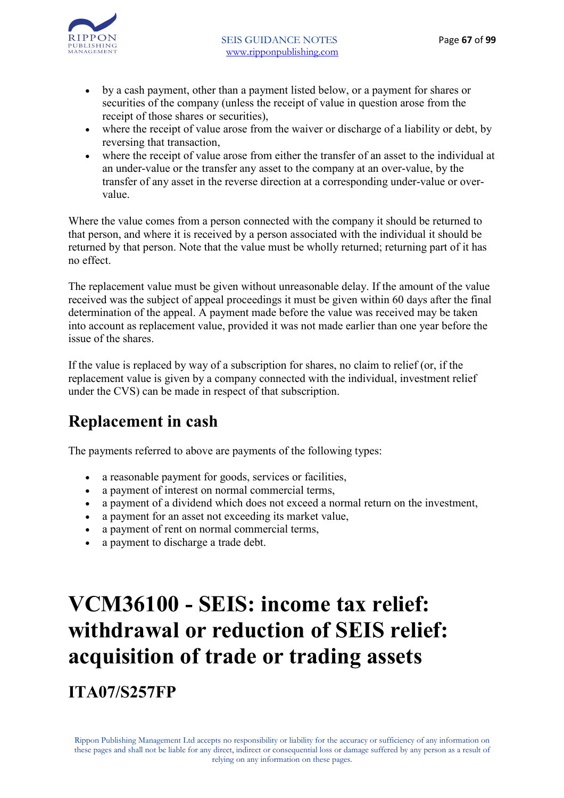



- by a cash payment, other than a payment listed below, or a payment for shares or securities of the company (unless the receipt of value in question arose from the receipt of those shares or securities),
- where the receipt of value arose from the waiver or discharge of a liability or debt, by reversing that transaction,
- where the receipt of value arose from either the transfer of an asset to the individual at an under-value or the transfer any asset to the company at an over-value, by the transfer of any asset in the reverse direction at a corresponding under-value or overvalue.

Where the value comes from a person connected with the company it should be returned to that person, and where it is received by a person associated with the individual it should be returned by that person. Note that the value must be wholly returned; returning part of it has no effect.

The replacement value must be given without unreasonable delay. If the amount of the value received was the subject of appeal proceedings it must be given within 60 days after the final determination of the appeal. A payment made before the value was received may be taken into account as replacement value, provided it was not made earlier than one year before the issue of the shares.

If the value is replaced by way of a subscription for shares, no claim to relief (or, if the replacement value is given by a company connected with the individual, investment relief under the CVS) can be made in respect of that subscription.

#### **Replacement in cash**

The payments referred to above are payments of the following types:

- a reasonable payment for goods, services or facilities,
- a payment of interest on normal commercial terms,
- a payment of a dividend which does not exceed a normal return on the investment,
- a payment for an asset not exceeding its market value,
- a payment of rent on normal commercial terms,
- a payment to discharge a trade debt.

# **VCM36100 - SEIS: income tax relief: withdrawal or reduction of SEIS relief: acquisition of trade or trading assets**

**ITA07/S257FP**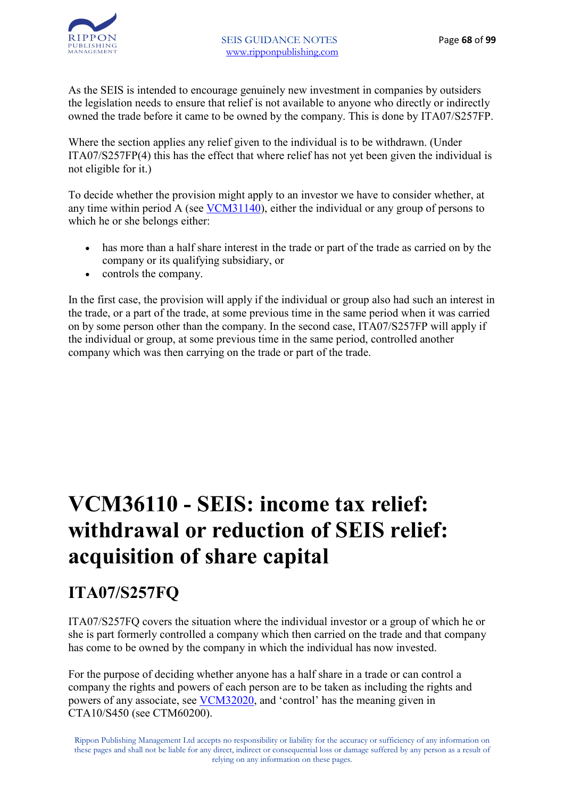

As the SEIS is intended to encourage genuinely new investment in companies by outsiders the legislation needs to ensure that relief is not available to anyone who directly or indirectly owned the trade before it came to be owned by the company. This is done by ITA07/S257FP.

Where the section applies any relief given to the individual is to be withdrawn. (Under ITA07/S257FP(4) this has the effect that where relief has not yet been given the individual is not eligible for it.)

To decide whether the provision might apply to an investor we have to consider whether, at any time within period A (see VCM31140), either the individual or any group of persons to which he or she belongs either:

- has more than a half share interest in the trade or part of the trade as carried on by the company or its qualifying subsidiary, or
- controls the company.

In the first case, the provision will apply if the individual or group also had such an interest in the trade, or a part of the trade, at some previous time in the same period when it was carried on by some person other than the company. In the second case, ITA07/S257FP will apply if the individual or group, at some previous time in the same period, controlled another company which was then carrying on the trade or part of the trade.

### **VCM36110 - SEIS: income tax relief: withdrawal or reduction of SEIS relief: acquisition of share capital**

#### **ITA07/S257FQ**

ITA07/S257FQ covers the situation where the individual investor or a group of which he or she is part formerly controlled a company which then carried on the trade and that company has come to be owned by the company in which the individual has now invested.

For the purpose of deciding whether anyone has a half share in a trade or can control a company the rights and powers of each person are to be taken as including the rights and powers of any associate, see VCM32020, and 'control' has the meaning given in CTA10/S450 (see CTM60200).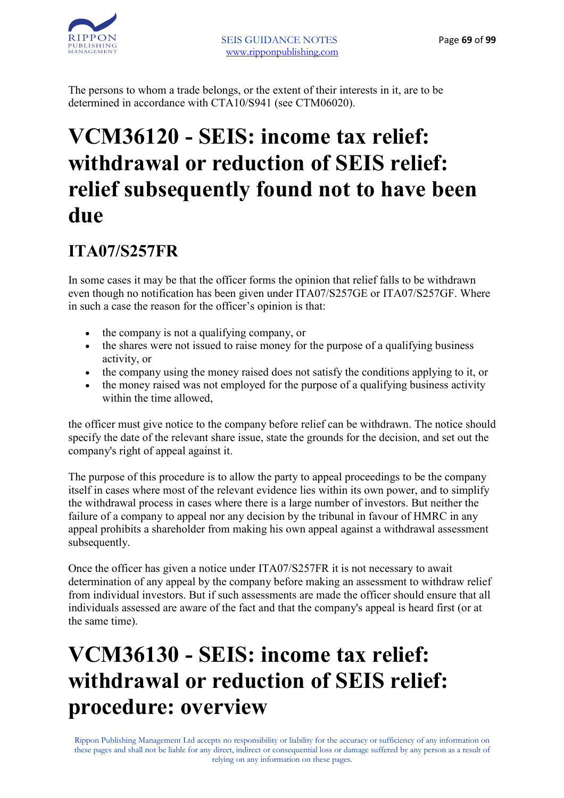The persons to whom a trade belongs, or the extent of their interests in it, are to be determined in accordance with CTA10/S941 (see CTM06020).

### **VCM36120 - SEIS: income tax relief: withdrawal or reduction of SEIS relief: relief subsequently found not to have been due**

#### **ITA07/S257FR**

In some cases it may be that the officer forms the opinion that relief falls to be withdrawn even though no notification has been given under ITA07/S257GE or ITA07/S257GF. Where in such a case the reason for the officer's opinion is that:

- the company is not a qualifying company, or
- the shares were not issued to raise money for the purpose of a qualifying business activity, or
- the company using the money raised does not satisfy the conditions applying to it, or
- the money raised was not employed for the purpose of a qualifying business activity within the time allowed,

the officer must give notice to the company before relief can be withdrawn. The notice should specify the date of the relevant share issue, state the grounds for the decision, and set out the company's right of appeal against it.

The purpose of this procedure is to allow the party to appeal proceedings to be the company itself in cases where most of the relevant evidence lies within its own power, and to simplify the withdrawal process in cases where there is a large number of investors. But neither the failure of a company to appeal nor any decision by the tribunal in favour of HMRC in any appeal prohibits a shareholder from making his own appeal against a withdrawal assessment subsequently.

Once the officer has given a notice under ITA07/S257FR it is not necessary to await determination of any appeal by the company before making an assessment to withdraw relief from individual investors. But if such assessments are made the officer should ensure that all individuals assessed are aware of the fact and that the company's appeal is heard first (or at the same time).

### **VCM36130 - SEIS: income tax relief: withdrawal or reduction of SEIS relief: procedure: overview**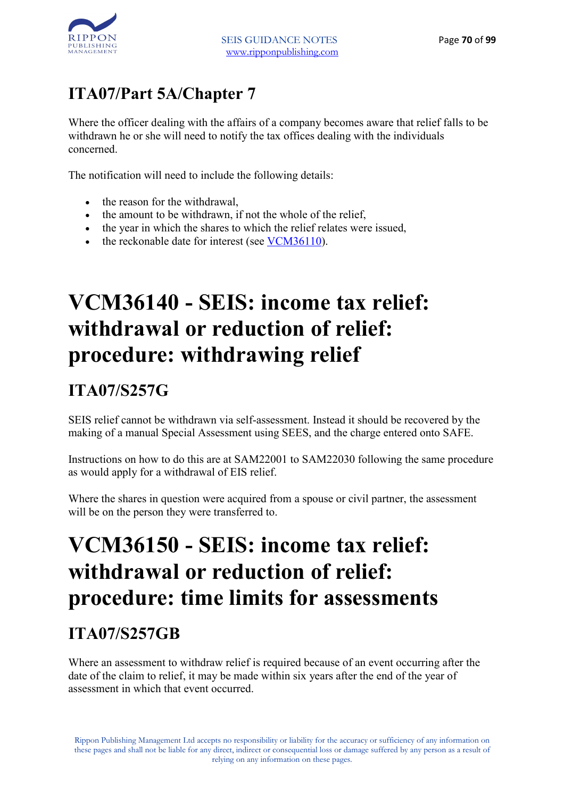

#### **ITA07/Part 5A/Chapter 7**

Where the officer dealing with the affairs of a company becomes aware that relief falls to be withdrawn he or she will need to notify the tax offices dealing with the individuals concerned.

The notification will need to include the following details:

- the reason for the withdrawal,
- the amount to be withdrawn, if not the whole of the relief,
- the year in which the shares to which the relief relates were issued,
- the reckonable date for interest (see VCM36110).

### **VCM36140 - SEIS: income tax relief: withdrawal or reduction of relief: procedure: withdrawing relief**

### **ITA07/S257G**

SEIS relief cannot be withdrawn via self-assessment. Instead it should be recovered by the making of a manual Special Assessment using SEES, and the charge entered onto SAFE.

Instructions on how to do this are at SAM22001 to SAM22030 following the same procedure as would apply for a withdrawal of EIS relief.

Where the shares in question were acquired from a spouse or civil partner, the assessment will be on the person they were transferred to.

### **VCM36150 - SEIS: income tax relief: withdrawal or reduction of relief: procedure: time limits for assessments**

#### **ITA07/S257GB**

Where an assessment to withdraw relief is required because of an event occurring after the date of the claim to relief, it may be made within six years after the end of the year of assessment in which that event occurred.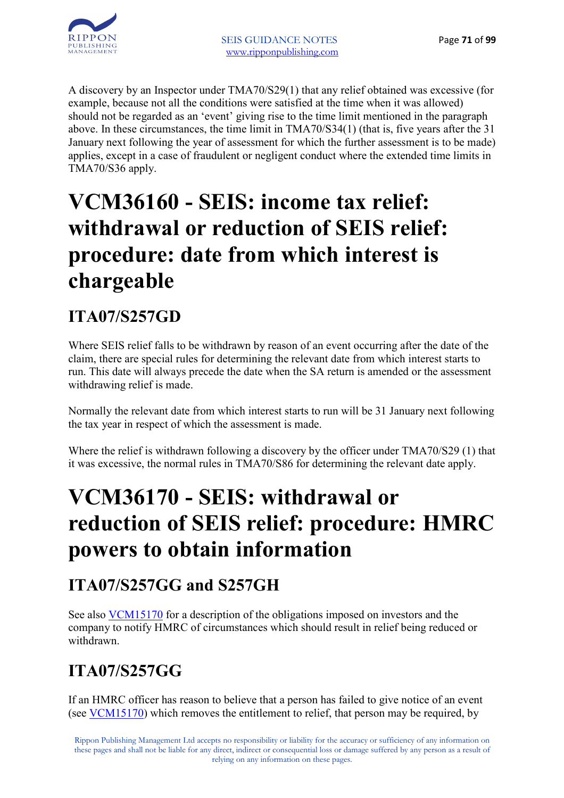

A discovery by an Inspector under TMA70/S29(1) that any relief obtained was excessive (for example, because not all the conditions were satisfied at the time when it was allowed) should not be regarded as an 'event' giving rise to the time limit mentioned in the paragraph above. In these circumstances, the time limit in TMA70/S34(1) (that is, five years after the 31 January next following the year of assessment for which the further assessment is to be made) applies, except in a case of fraudulent or negligent conduct where the extended time limits in TMA70/S36 apply.

### **VCM36160 - SEIS: income tax relief: withdrawal or reduction of SEIS relief: procedure: date from which interest is chargeable**

#### **ITA07/S257GD**

Where SEIS relief falls to be withdrawn by reason of an event occurring after the date of the claim, there are special rules for determining the relevant date from which interest starts to run. This date will always precede the date when the SA return is amended or the assessment withdrawing relief is made.

Normally the relevant date from which interest starts to run will be 31 January next following the tax year in respect of which the assessment is made.

Where the relief is withdrawn following a discovery by the officer under TMA70/S29 (1) that it was excessive, the normal rules in TMA70/S86 for determining the relevant date apply.

### **VCM36170 - SEIS: withdrawal or reduction of SEIS relief: procedure: HMRC powers to obtain information**

#### **ITA07/S257GG and S257GH**

See also VCM15170 for a description of the obligations imposed on investors and the company to notify HMRC of circumstances which should result in relief being reduced or withdrawn.

### **ITA07/S257GG**

If an HMRC officer has reason to believe that a person has failed to give notice of an event (see VCM15170) which removes the entitlement to relief, that person may be required, by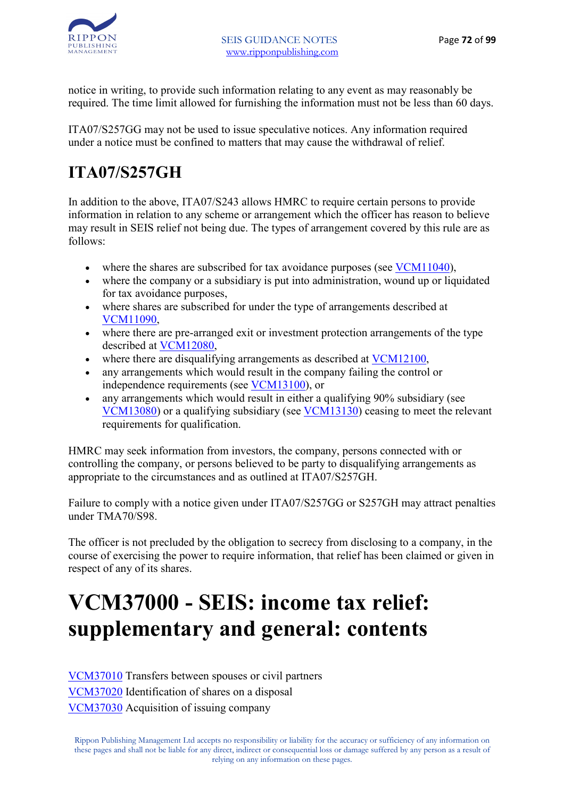

notice in writing, to provide such information relating to any event as may reasonably be required. The time limit allowed for furnishing the information must not be less than 60 days.

ITA07/S257GG may not be used to issue speculative notices. Any information required under a notice must be confined to matters that may cause the withdrawal of relief.

### **ITA07/S257GH**

In addition to the above, ITA07/S243 allows HMRC to require certain persons to provide information in relation to any scheme or arrangement which the officer has reason to believe may result in SEIS relief not being due. The types of arrangement covered by this rule are as follows:

- where the shares are subscribed for tax avoidance purposes (see VCM11040).
- where the company or a subsidiary is put into administration, wound up or liquidated for tax avoidance purposes,
- where shares are subscribed for under the type of arrangements described at VCM11090,
- where there are pre-arranged exit or investment protection arrangements of the type described at VCM12080,
- where there are disqualifying arrangements as described at VCM12100,
- any arrangements which would result in the company failing the control or independence requirements (see VCM13100), or
- any arrangements which would result in either a qualifying 90% subsidiary (see VCM13080) or a qualifying subsidiary (see VCM13130) ceasing to meet the relevant requirements for qualification.

HMRC may seek information from investors, the company, persons connected with or controlling the company, or persons believed to be party to disqualifying arrangements as appropriate to the circumstances and as outlined at ITA07/S257GH.

Failure to comply with a notice given under ITA07/S257GG or S257GH may attract penalties under TMA70/S98.

The officer is not precluded by the obligation to secrecy from disclosing to a company, in the course of exercising the power to require information, that relief has been claimed or given in respect of any of its shares.

## **VCM37000 - SEIS: income tax relief: supplementary and general: contents**

VCM37010 Transfers between spouses or civil partners VCM37020 Identification of shares on a disposal VCM37030 Acquisition of issuing company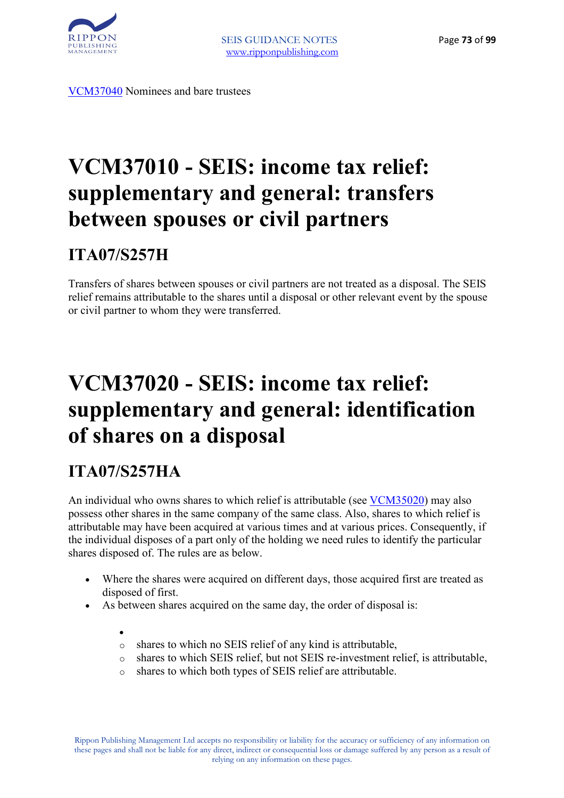

VCM37040 Nominees and bare trustees

# **VCM37010 - SEIS: income tax relief: supplementary and general: transfers between spouses or civil partners**

### **ITA07/S257H**

Transfers of shares between spouses or civil partners are not treated as a disposal. The SEIS relief remains attributable to the shares until a disposal or other relevant event by the spouse or civil partner to whom they were transferred.

# **VCM37020 - SEIS: income tax relief: supplementary and general: identification of shares on a disposal**

### **ITA07/S257HA**

An individual who owns shares to which relief is attributable (see VCM35020) may also possess other shares in the same company of the same class. Also, shares to which relief is attributable may have been acquired at various times and at various prices. Consequently, if the individual disposes of a part only of the holding we need rules to identify the particular shares disposed of. The rules are as below.

- Where the shares were acquired on different days, those acquired first are treated as disposed of first.
- As between shares acquired on the same day, the order of disposal is:

•

- shares to which no SEIS relief of any kind is attributable,
- o shares to which SEIS relief, but not SEIS re-investment relief, is attributable,
- o shares to which both types of SEIS relief are attributable.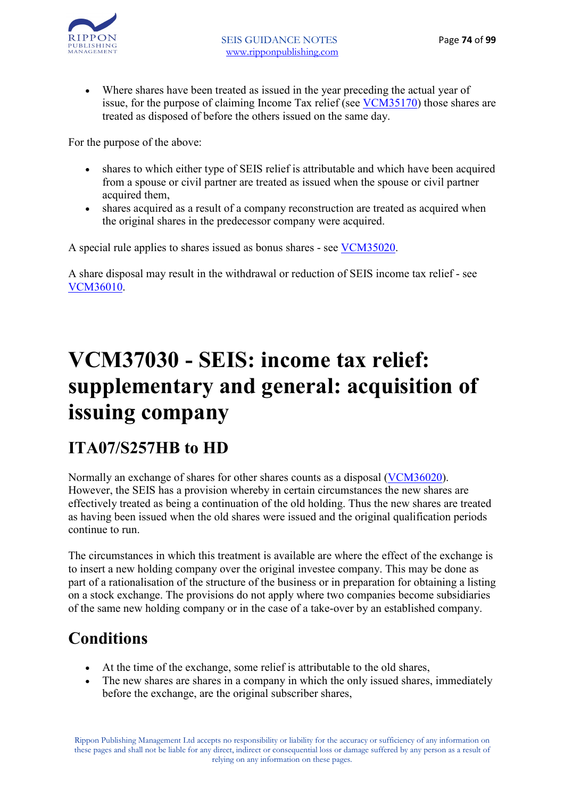

• Where shares have been treated as issued in the year preceding the actual year of issue, for the purpose of claiming Income Tax relief (see VCM35170) those shares are treated as disposed of before the others issued on the same day.

For the purpose of the above:

- shares to which either type of SEIS relief is attributable and which have been acquired from a spouse or civil partner are treated as issued when the spouse or civil partner acquired them,
- shares acquired as a result of a company reconstruction are treated as acquired when the original shares in the predecessor company were acquired.

A special rule applies to shares issued as bonus shares - see VCM35020.

A share disposal may result in the withdrawal or reduction of SEIS income tax relief - see VCM36010.

# **VCM37030 - SEIS: income tax relief: supplementary and general: acquisition of issuing company**

### **ITA07/S257HB to HD**

Normally an exchange of shares for other shares counts as a disposal (VCM36020). However, the SEIS has a provision whereby in certain circumstances the new shares are effectively treated as being a continuation of the old holding. Thus the new shares are treated as having been issued when the old shares were issued and the original qualification periods continue to run.

The circumstances in which this treatment is available are where the effect of the exchange is to insert a new holding company over the original investee company. This may be done as part of a rationalisation of the structure of the business or in preparation for obtaining a listing on a stock exchange. The provisions do not apply where two companies become subsidiaries of the same new holding company or in the case of a take-over by an established company.

### **Conditions**

- At the time of the exchange, some relief is attributable to the old shares,
- The new shares are shares in a company in which the only issued shares, immediately before the exchange, are the original subscriber shares,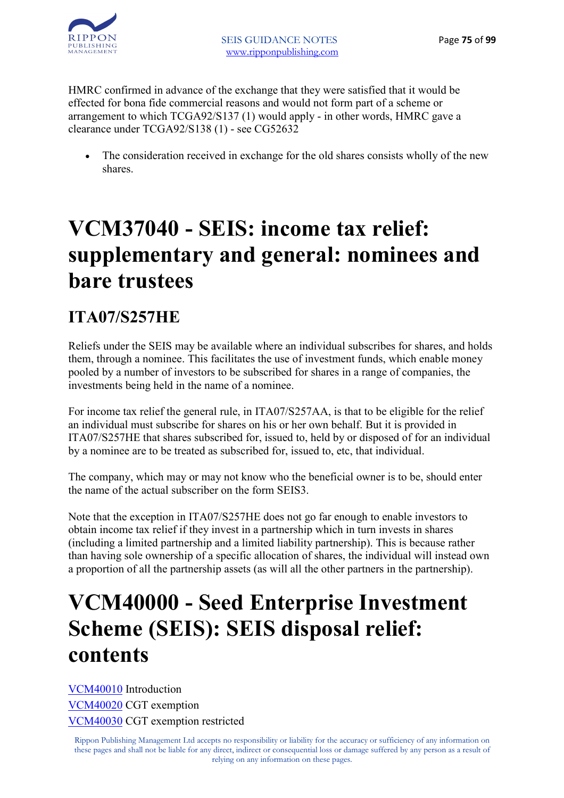

HMRC confirmed in advance of the exchange that they were satisfied that it would be effected for bona fide commercial reasons and would not form part of a scheme or arrangement to which TCGA92/S137 (1) would apply - in other words, HMRC gave a clearance under TCGA92/S138 (1) - see CG52632

• The consideration received in exchange for the old shares consists wholly of the new shares.

# **VCM37040 - SEIS: income tax relief: supplementary and general: nominees and bare trustees**

### **ITA07/S257HE**

Reliefs under the SEIS may be available where an individual subscribes for shares, and holds them, through a nominee. This facilitates the use of investment funds, which enable money pooled by a number of investors to be subscribed for shares in a range of companies, the investments being held in the name of a nominee.

For income tax relief the general rule, in ITA07/S257AA, is that to be eligible for the relief an individual must subscribe for shares on his or her own behalf. But it is provided in ITA07/S257HE that shares subscribed for, issued to, held by or disposed of for an individual by a nominee are to be treated as subscribed for, issued to, etc, that individual.

The company, which may or may not know who the beneficial owner is to be, should enter the name of the actual subscriber on the form SEIS3.

Note that the exception in ITA07/S257HE does not go far enough to enable investors to obtain income tax relief if they invest in a partnership which in turn invests in shares (including a limited partnership and a limited liability partnership). This is because rather than having sole ownership of a specific allocation of shares, the individual will instead own a proportion of all the partnership assets (as will all the other partners in the partnership).

### **VCM40000 - Seed Enterprise Investment Scheme (SEIS): SEIS disposal relief: contents**

VCM40010 Introduction VCM40020 CGT exemption VCM40030 CGT exemption restricted

Rippon Publishing Management Ltd accepts no responsibility or liability for the accuracy or sufficiency of any information on these pages and shall not be liable for any direct, indirect or consequential loss or damage suffered by any person as a result of relying on any information on these pages.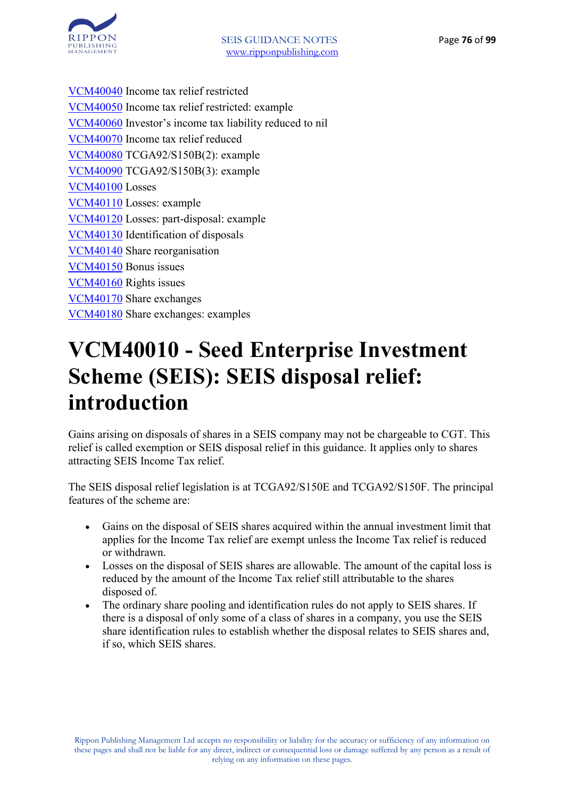

VCM40040 Income tax relief restricted VCM40050 Income tax relief restricted: example VCM40060 Investor's income tax liability reduced to nil VCM40070 Income tax relief reduced VCM40080 TCGA92/S150B(2): example VCM40090 TCGA92/S150B(3): example VCM40100 Losses VCM40110 Losses: example VCM40120 Losses: part-disposal: example VCM40130 Identification of disposals VCM40140 Share reorganisation VCM40150 Bonus issues VCM40160 Rights issues VCM40170 Share exchanges VCM40180 Share exchanges: examples

## **VCM40010 - Seed Enterprise Investment Scheme (SEIS): SEIS disposal relief: introduction**

Gains arising on disposals of shares in a SEIS company may not be chargeable to CGT. This relief is called exemption or SEIS disposal relief in this guidance. It applies only to shares attracting SEIS Income Tax relief.

The SEIS disposal relief legislation is at TCGA92/S150E and TCGA92/S150F. The principal features of the scheme are:

- Gains on the disposal of SEIS shares acquired within the annual investment limit that applies for the Income Tax relief are exempt unless the Income Tax relief is reduced or withdrawn.
- Losses on the disposal of SEIS shares are allowable. The amount of the capital loss is reduced by the amount of the Income Tax relief still attributable to the shares disposed of.
- The ordinary share pooling and identification rules do not apply to SEIS shares. If there is a disposal of only some of a class of shares in a company, you use the SEIS share identification rules to establish whether the disposal relates to SEIS shares and, if so, which SEIS shares.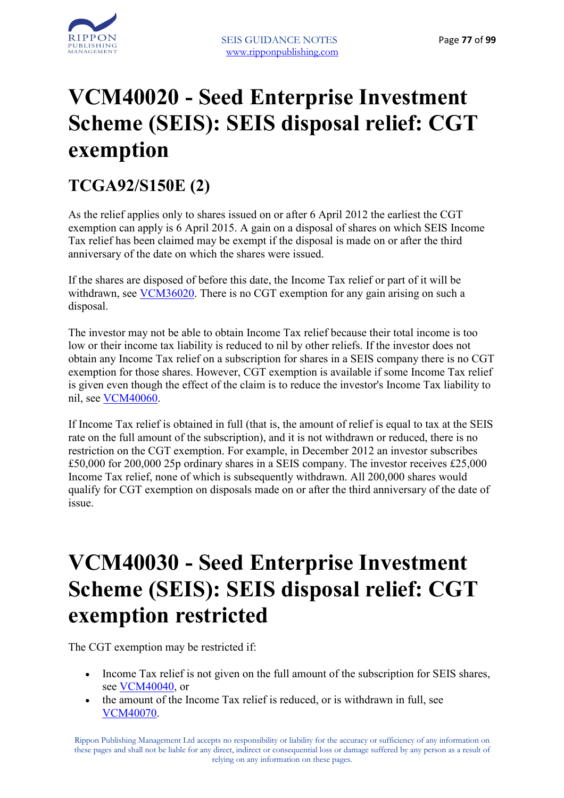

## **VCM40020 - Seed Enterprise Investment Scheme (SEIS): SEIS disposal relief: CGT exemption**

### **TCGA92/S150E (2)**

As the relief applies only to shares issued on or after 6 April 2012 the earliest the CGT exemption can apply is 6 April 2015. A gain on a disposal of shares on which SEIS Income Tax relief has been claimed may be exempt if the disposal is made on or after the third anniversary of the date on which the shares were issued.

If the shares are disposed of before this date, the Income Tax relief or part of it will be withdrawn, see VCM36020. There is no CGT exemption for any gain arising on such a disposal.

The investor may not be able to obtain Income Tax relief because their total income is too low or their income tax liability is reduced to nil by other reliefs. If the investor does not obtain any Income Tax relief on a subscription for shares in a SEIS company there is no CGT exemption for those shares. However, CGT exemption is available if some Income Tax relief is given even though the effect of the claim is to reduce the investor's Income Tax liability to nil, see VCM40060.

If Income Tax relief is obtained in full (that is, the amount of relief is equal to tax at the SEIS rate on the full amount of the subscription), and it is not withdrawn or reduced, there is no restriction on the CGT exemption. For example, in December 2012 an investor subscribes £50,000 for 200,000 25p ordinary shares in a SEIS company. The investor receives £25,000 Income Tax relief, none of which is subsequently withdrawn. All 200,000 shares would qualify for CGT exemption on disposals made on or after the third anniversary of the date of issue.

## **VCM40030 - Seed Enterprise Investment Scheme (SEIS): SEIS disposal relief: CGT exemption restricted**

The CGT exemption may be restricted if:

- Income Tax relief is not given on the full amount of the subscription for SEIS shares, see VCM40040, or
- the amount of the Income Tax relief is reduced, or is withdrawn in full, see VCM40070.

Rippon Publishing Management Ltd accepts no responsibility or liability for the accuracy or sufficiency of any information on these pages and shall not be liable for any direct, indirect or consequential loss or damage suffered by any person as a result of relying on any information on these pages.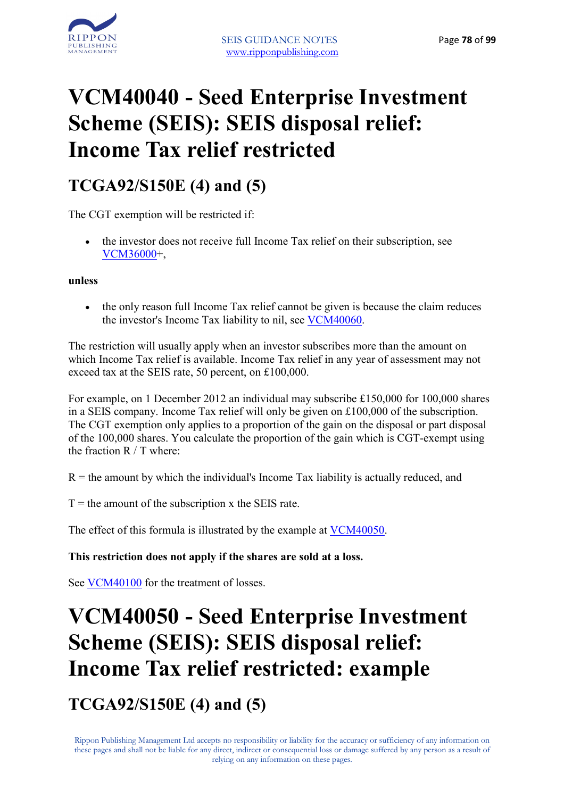

# **VCM40040 - Seed Enterprise Investment Scheme (SEIS): SEIS disposal relief: Income Tax relief restricted**

### **TCGA92/S150E (4) and (5)**

The CGT exemption will be restricted if:

• the investor does not receive full Income Tax relief on their subscription, see VCM36000+,

**unless**

• the only reason full Income Tax relief cannot be given is because the claim reduces the investor's Income Tax liability to nil, see VCM40060.

The restriction will usually apply when an investor subscribes more than the amount on which Income Tax relief is available. Income Tax relief in any year of assessment may not exceed tax at the SEIS rate, 50 percent, on £100,000.

For example, on 1 December 2012 an individual may subscribe £150,000 for 100,000 shares in a SEIS company. Income Tax relief will only be given on  $£100,000$  of the subscription. The CGT exemption only applies to a proportion of the gain on the disposal or part disposal of the 100,000 shares. You calculate the proportion of the gain which is CGT-exempt using the fraction R / T where:

 $R =$  the amount by which the individual's Income Tax liability is actually reduced, and

 $T =$  the amount of the subscription x the SEIS rate.

The effect of this formula is illustrated by the example at VCM40050.

#### **This restriction does not apply if the shares are sold at a loss.**

See VCM40100 for the treatment of losses.

# **VCM40050 - Seed Enterprise Investment Scheme (SEIS): SEIS disposal relief: Income Tax relief restricted: example**

**TCGA92/S150E (4) and (5)**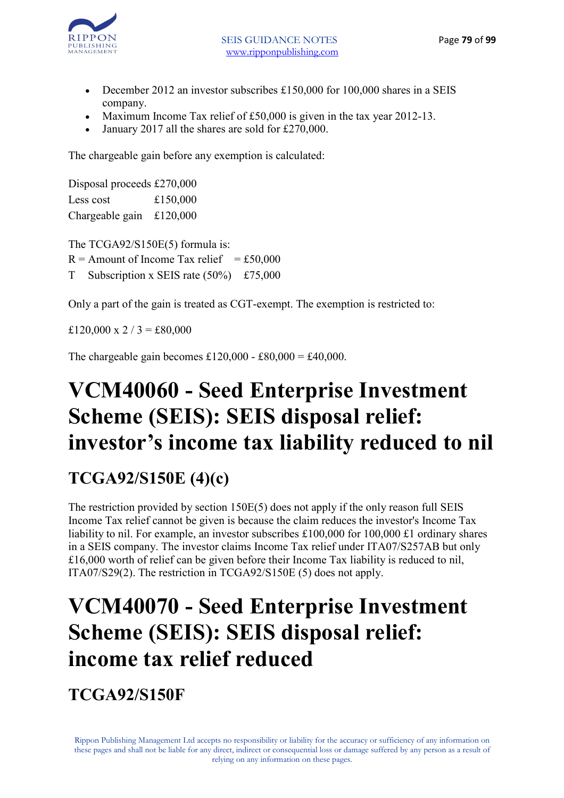

- December 2012 an investor subscribes £150,000 for 100,000 shares in a SEIS company.
- Maximum Income Tax relief of £50,000 is given in the tax year 2012-13.
- January 2017 all the shares are sold for £270,000.

The chargeable gain before any exemption is calculated:

Disposal proceeds £270,000 Less cost £150,000 Chargeable gain £120,000

The TCGA92/S150E(5) formula is:  $R =$  Amount of Income Tax relief = £50,000 T Subscription x SEIS rate (50%) £75,000

Only a part of the gain is treated as CGT-exempt. The exemption is restricted to:

£120,000 x 2 / 3 = £80,000

The chargeable gain becomes £120,000 - £80,000 = £40,000.

## **VCM40060 - Seed Enterprise Investment Scheme (SEIS): SEIS disposal relief: investor's income tax liability reduced to nil**

### **TCGA92/S150E (4)(c)**

The restriction provided by section 150E(5) does not apply if the only reason full SEIS Income Tax relief cannot be given is because the claim reduces the investor's Income Tax liability to nil. For example, an investor subscribes £100,000 for 100,000 £1 ordinary shares in a SEIS company. The investor claims Income Tax relief under ITA07/S257AB but only £16,000 worth of relief can be given before their Income Tax liability is reduced to nil, ITA07/S29(2). The restriction in TCGA92/S150E (5) does not apply.

### **VCM40070 - Seed Enterprise Investment Scheme (SEIS): SEIS disposal relief: income tax relief reduced**

**TCGA92/S150F**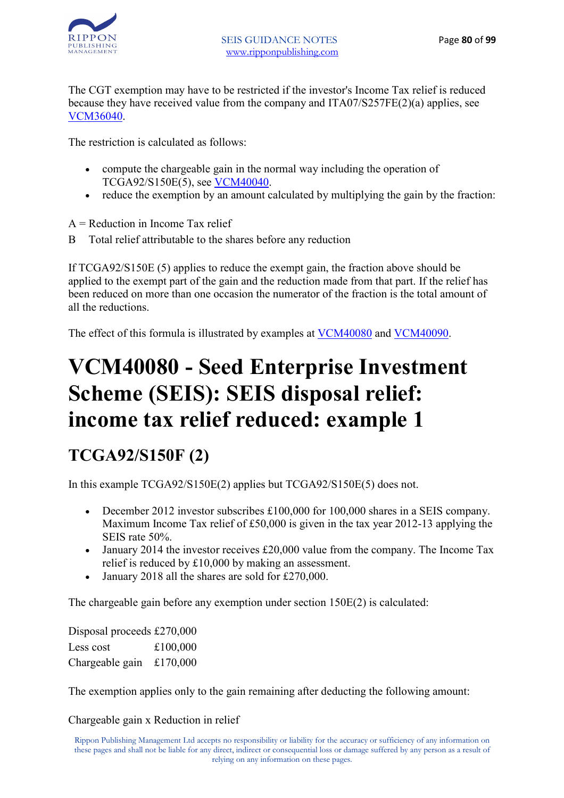

The CGT exemption may have to be restricted if the investor's Income Tax relief is reduced because they have received value from the company and ITA07/S257FE(2)(a) applies, see VCM36040.

The restriction is calculated as follows:

- compute the chargeable gain in the normal way including the operation of TCGA92/S150E(5), see VCM40040.
- reduce the exemption by an amount calculated by multiplying the gain by the fraction:

 $A =$  Reduction in Income Tax relief

B Total relief attributable to the shares before any reduction

If TCGA92/S150E (5) applies to reduce the exempt gain, the fraction above should be applied to the exempt part of the gain and the reduction made from that part. If the relief has been reduced on more than one occasion the numerator of the fraction is the total amount of all the reductions.

The effect of this formula is illustrated by examples at  $VCM40080$  and  $VCM40090$ .</u></u>

# **VCM40080 - Seed Enterprise Investment Scheme (SEIS): SEIS disposal relief: income tax relief reduced: example 1**

### **TCGA92/S150F (2)**

In this example TCGA92/S150E(2) applies but TCGA92/S150E(5) does not.

- December 2012 investor subscribes £100,000 for 100,000 shares in a SEIS company. Maximum Income Tax relief of £50,000 is given in the tax year 2012-13 applying the SEIS rate 50%.
- January 2014 the investor receives £20,000 value from the company. The Income Tax relief is reduced by £10,000 by making an assessment.
- January 2018 all the shares are sold for £270,000.

The chargeable gain before any exemption under section 150E(2) is calculated:

Disposal proceeds £270,000 Less cost  $£100,000$ Chargeable gain £170,000

The exemption applies only to the gain remaining after deducting the following amount:

Chargeable gain x Reduction in relief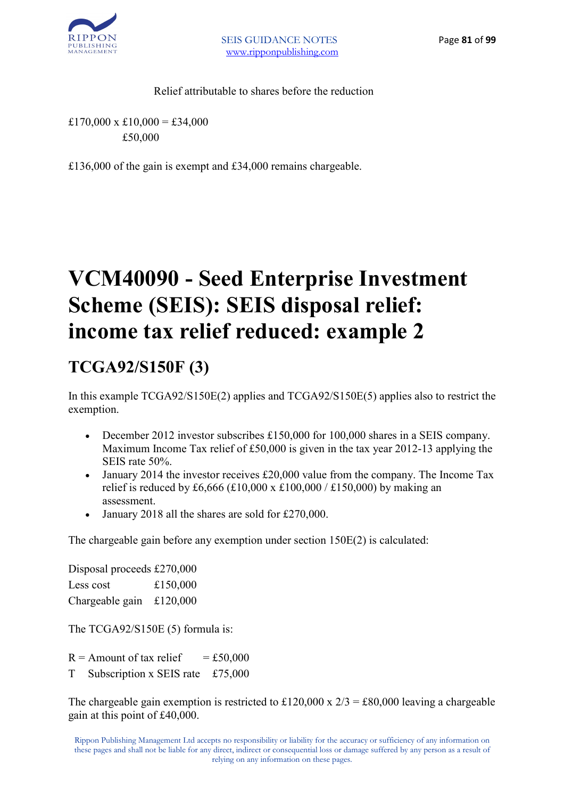

Relief attributable to shares before the reduction

 $£170,000 \times £10,000 = £34,000$ £50,000

£136,000 of the gain is exempt and £34,000 remains chargeable.

# **VCM40090 - Seed Enterprise Investment Scheme (SEIS): SEIS disposal relief: income tax relief reduced: example 2**

### **TCGA92/S150F (3)**

In this example TCGA92/S150E(2) applies and TCGA92/S150E(5) applies also to restrict the exemption.

- December 2012 investor subscribes £150,000 for 100,000 shares in a SEIS company. Maximum Income Tax relief of £50,000 is given in the tax year 2012-13 applying the SEIS rate 50%.
- January 2014 the investor receives £20,000 value from the company. The Income Tax relief is reduced by £6,666 (£10,000 x £100,000 / £150,000) by making an assessment.
- January 2018 all the shares are sold for £270,000.

The chargeable gain before any exemption under section 150E(2) is calculated:

Disposal proceeds £270,000 Less cost £150,000 Chargeable gain £120,000

The TCGA92/S150E (5) formula is:

 $R =$  Amount of tax relief  $= £50,000$ 

T Subscription x SEIS rate £75,000

The chargeable gain exemption is restricted to £120,000 x  $2/3 = £80,000$  leaving a chargeable gain at this point of £40,000.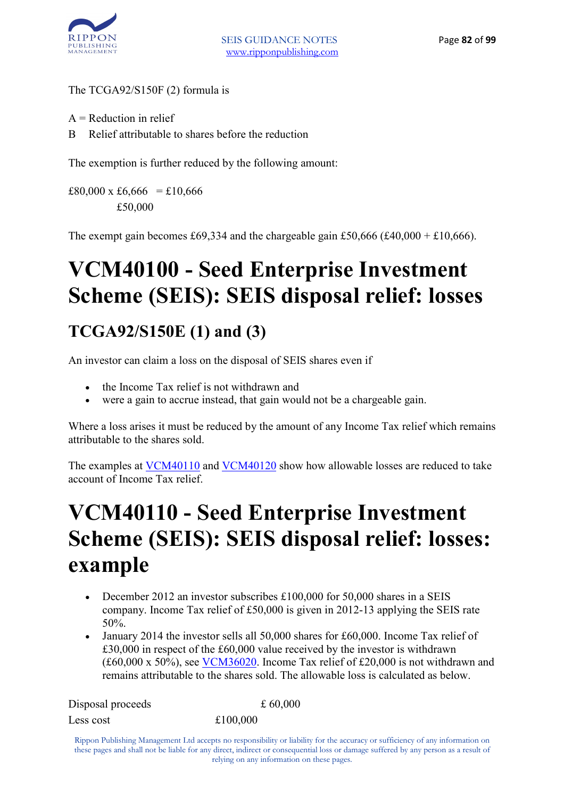

#### The TCGA92/S150F (2) formula is

- $A =$  Reduction in relief
- B Relief attributable to shares before the reduction

The exemption is further reduced by the following amount:

£80,000 x £6,666 = £10,666 £50,000

The exempt gain becomes £69,334 and the chargeable gain £50,666 (£40,000 + £10,666).

# **VCM40100 - Seed Enterprise Investment Scheme (SEIS): SEIS disposal relief: losses**

### **TCGA92/S150E (1) and (3)**

An investor can claim a loss on the disposal of SEIS shares even if

- the Income Tax relief is not withdrawn and
- were a gain to accrue instead, that gain would not be a chargeable gain.

Where a loss arises it must be reduced by the amount of any Income Tax relief which remains attributable to the shares sold.

The examples at VCM40110 and VCM40120 show how allowable losses are reduced to take account of Income Tax relief.

# **VCM40110 - Seed Enterprise Investment Scheme (SEIS): SEIS disposal relief: losses: example**

- December 2012 an investor subscribes £100,000 for 50,000 shares in a SEIS company. Income Tax relief of £50,000 is given in 2012-13 applying the SEIS rate 50%.
- January 2014 the investor sells all 50,000 shares for £60,000. Income Tax relief of £30,000 in respect of the £60,000 value received by the investor is withdrawn (£60,000 x 50%), see VCM36020. Income Tax relief of £20,000 is not withdrawn and remains attributable to the shares sold. The allowable loss is calculated as below.

| Disposal proceeds | £ 60,000 |
|-------------------|----------|
| Less cost         | £100,000 |

Rippon Publishing Management Ltd accepts no responsibility or liability for the accuracy or sufficiency of any information on these pages and shall not be liable for any direct, indirect or consequential loss or damage suffered by any person as a result of relying on any information on these pages.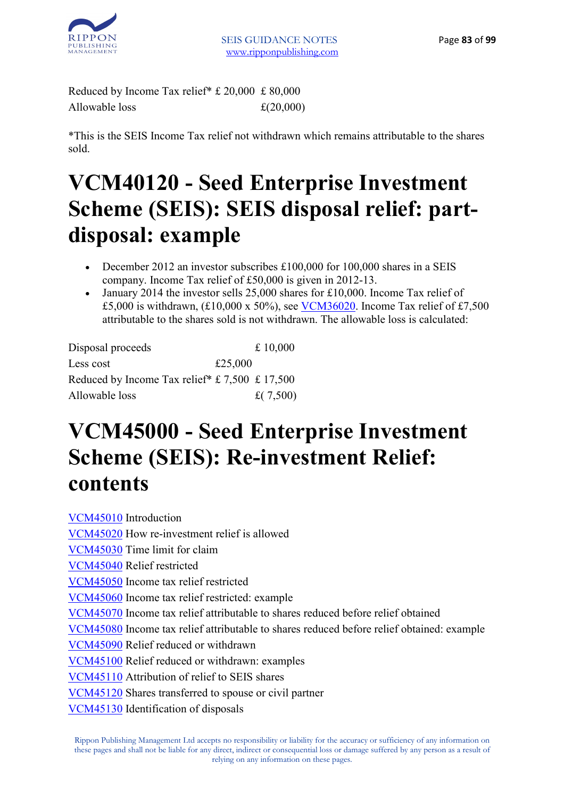

Reduced by Income Tax relief\* £ 20,000 £ 80,000 Allowable loss  $\pounds(20,000)$ 

\*This is the SEIS Income Tax relief not withdrawn which remains attributable to the shares sold.

# **VCM40120 - Seed Enterprise Investment Scheme (SEIS): SEIS disposal relief: partdisposal: example**

- December 2012 an investor subscribes £100,000 for 100,000 shares in a SEIS company. Income Tax relief of £50,000 is given in 2012-13.
- January 2014 the investor sells 25,000 shares for £10,000. Income Tax relief of £5,000 is withdrawn, (£10,000 x 50%), see VCM36020. Income Tax relief of £7,500 attributable to the shares sold is not withdrawn. The allowable loss is calculated:

| Disposal proceeds                              |         | £ 10,000    |
|------------------------------------------------|---------|-------------|
| Less cost                                      | £25,000 |             |
| Reduced by Income Tax relief* £ 7,500 £ 17,500 |         |             |
| Allowable loss                                 |         | £ $(7,500)$ |

### **VCM45000 - Seed Enterprise Investment Scheme (SEIS): Re-investment Relief: contents**

VCM45010 Introduction VCM45020 How re-investment relief is allowed VCM45030 Time limit for claim VCM45040 Relief restricted VCM45050 Income tax relief restricted VCM45060 Income tax relief restricted: example VCM45070 Income tax relief attributable to shares reduced before relief obtained VCM45080 Income tax relief attributable to shares reduced before relief obtained: example VCM45090 Relief reduced or withdrawn VCM45100 Relief reduced or withdrawn: examples VCM45110 Attribution of relief to SEIS shares VCM45120 Shares transferred to spouse or civil partner VCM45130 Identification of disposals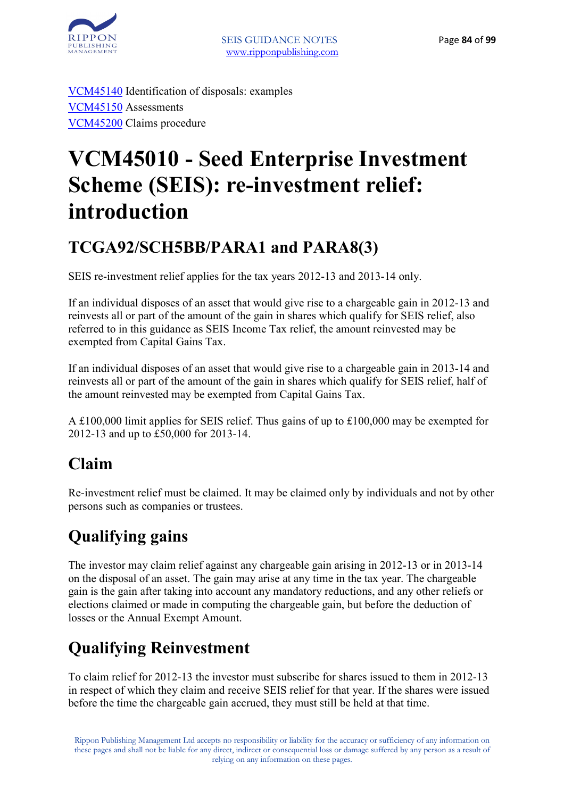

VCM45140 Identification of disposals: examples VCM45150 Assessments VCM45200 Claims procedure

# **VCM45010 - Seed Enterprise Investment Scheme (SEIS): re-investment relief: introduction**

### **TCGA92/SCH5BB/PARA1 and PARA8(3)**

SEIS re-investment relief applies for the tax years 2012-13 and 2013-14 only.

If an individual disposes of an asset that would give rise to a chargeable gain in 2012-13 and reinvests all or part of the amount of the gain in shares which qualify for SEIS relief, also referred to in this guidance as SEIS Income Tax relief, the amount reinvested may be exempted from Capital Gains Tax.

If an individual disposes of an asset that would give rise to a chargeable gain in 2013-14 and reinvests all or part of the amount of the gain in shares which qualify for SEIS relief, half of the amount reinvested may be exempted from Capital Gains Tax.

A £100,000 limit applies for SEIS relief. Thus gains of up to £100,000 may be exempted for 2012-13 and up to £50,000 for 2013-14.

### **Claim**

Re-investment relief must be claimed. It may be claimed only by individuals and not by other persons such as companies or trustees.

### **Qualifying gains**

The investor may claim relief against any chargeable gain arising in 2012-13 or in 2013-14 on the disposal of an asset. The gain may arise at any time in the tax year. The chargeable gain is the gain after taking into account any mandatory reductions, and any other reliefs or elections claimed or made in computing the chargeable gain, but before the deduction of losses or the Annual Exempt Amount.

### **Qualifying Reinvestment**

To claim relief for 2012-13 the investor must subscribe for shares issued to them in 2012-13 in respect of which they claim and receive SEIS relief for that year. If the shares were issued before the time the chargeable gain accrued, they must still be held at that time.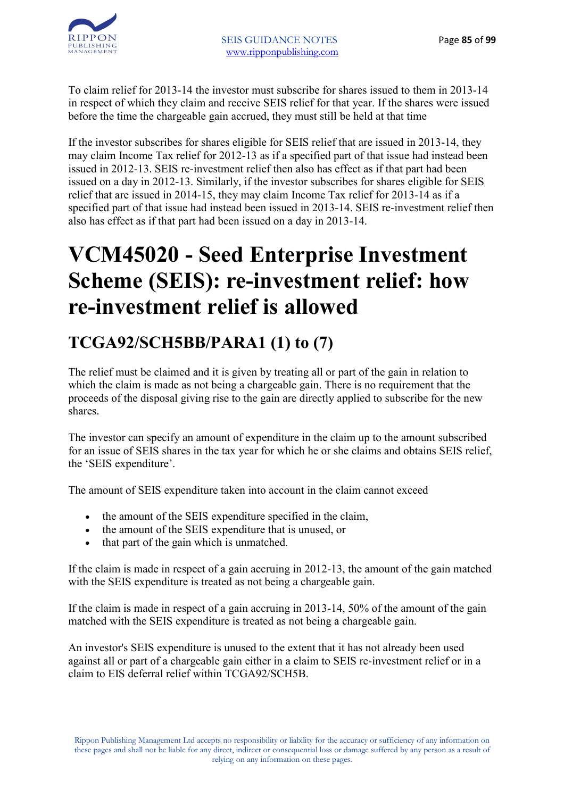

To claim relief for 2013-14 the investor must subscribe for shares issued to them in 2013-14 in respect of which they claim and receive SEIS relief for that year. If the shares were issued before the time the chargeable gain accrued, they must still be held at that time

If the investor subscribes for shares eligible for SEIS relief that are issued in 2013-14, they may claim Income Tax relief for 2012-13 as if a specified part of that issue had instead been issued in 2012-13. SEIS re-investment relief then also has effect as if that part had been issued on a day in 2012-13. Similarly, if the investor subscribes for shares eligible for SEIS relief that are issued in 2014-15, they may claim Income Tax relief for 2013-14 as if a specified part of that issue had instead been issued in 2013-14. SEIS re-investment relief then also has effect as if that part had been issued on a day in 2013-14.

# **VCM45020 - Seed Enterprise Investment Scheme (SEIS): re-investment relief: how re-investment relief is allowed**

### **TCGA92/SCH5BB/PARA1 (1) to (7)**

The relief must be claimed and it is given by treating all or part of the gain in relation to which the claim is made as not being a chargeable gain. There is no requirement that the proceeds of the disposal giving rise to the gain are directly applied to subscribe for the new shares.

The investor can specify an amount of expenditure in the claim up to the amount subscribed for an issue of SEIS shares in the tax year for which he or she claims and obtains SEIS relief, the 'SEIS expenditure'.

The amount of SEIS expenditure taken into account in the claim cannot exceed

- the amount of the SEIS expenditure specified in the claim,
- the amount of the SEIS expenditure that is unused, or
- that part of the gain which is unmatched.

If the claim is made in respect of a gain accruing in 2012-13, the amount of the gain matched with the SEIS expenditure is treated as not being a chargeable gain.

If the claim is made in respect of a gain accruing in 2013-14, 50% of the amount of the gain matched with the SEIS expenditure is treated as not being a chargeable gain.

An investor's SEIS expenditure is unused to the extent that it has not already been used against all or part of a chargeable gain either in a claim to SEIS re-investment relief or in a claim to EIS deferral relief within TCGA92/SCH5B.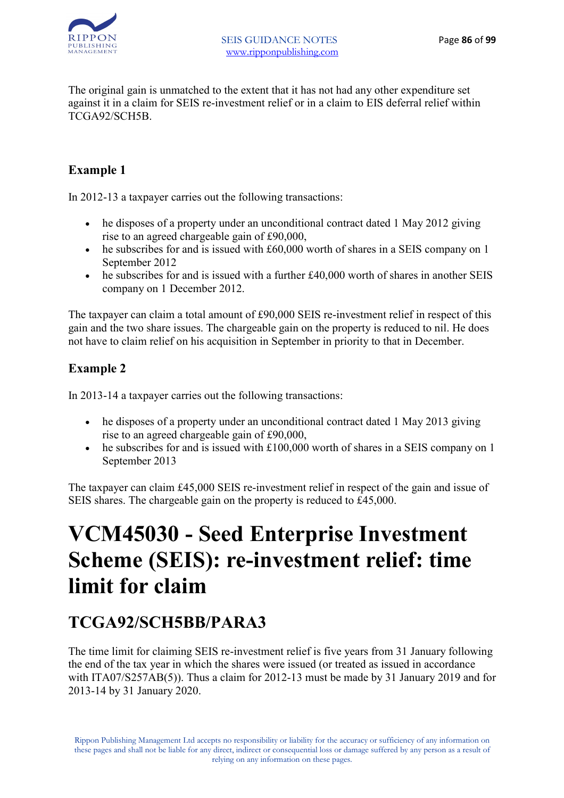

The original gain is unmatched to the extent that it has not had any other expenditure set against it in a claim for SEIS re-investment relief or in a claim to EIS deferral relief within TCGA92/SCH5B.

#### **Example 1**

In 2012-13 a taxpayer carries out the following transactions:

- he disposes of a property under an unconditional contract dated 1 May 2012 giving rise to an agreed chargeable gain of £90,000,
- he subscribes for and is issued with £60,000 worth of shares in a SEIS company on 1 September 2012
- he subscribes for and is issued with a further £40,000 worth of shares in another SEIS company on 1 December 2012.

The taxpayer can claim a total amount of £90,000 SEIS re-investment relief in respect of this gain and the two share issues. The chargeable gain on the property is reduced to nil. He does not have to claim relief on his acquisition in September in priority to that in December.

#### **Example 2**

In 2013-14 a taxpayer carries out the following transactions:

- he disposes of a property under an unconditional contract dated 1 May 2013 giving rise to an agreed chargeable gain of £90,000,
- he subscribes for and is issued with £100,000 worth of shares in a SEIS company on 1 September 2013

The taxpayer can claim £45,000 SEIS re-investment relief in respect of the gain and issue of SEIS shares. The chargeable gain on the property is reduced to £45,000.

### **VCM45030 - Seed Enterprise Investment Scheme (SEIS): re-investment relief: time limit for claim**

### **TCGA92/SCH5BB/PARA3**

The time limit for claiming SEIS re-investment relief is five years from 31 January following the end of the tax year in which the shares were issued (or treated as issued in accordance with ITA07/S257AB(5)). Thus a claim for 2012-13 must be made by 31 January 2019 and for 2013-14 by 31 January 2020.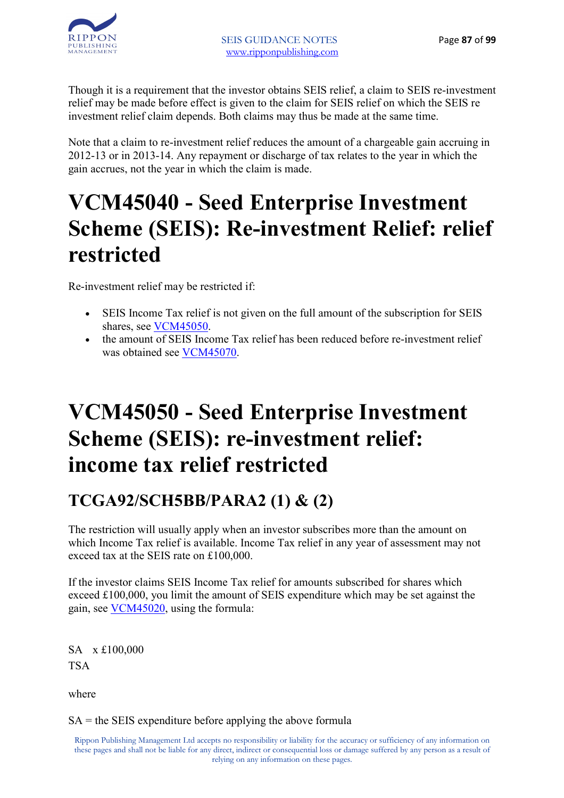

Though it is a requirement that the investor obtains SEIS relief, a claim to SEIS re-investment relief may be made before effect is given to the claim for SEIS relief on which the SEIS re investment relief claim depends. Both claims may thus be made at the same time.

Note that a claim to re-investment relief reduces the amount of a chargeable gain accruing in 2012-13 or in 2013-14. Any repayment or discharge of tax relates to the year in which the gain accrues, not the year in which the claim is made.

## **VCM45040 - Seed Enterprise Investment Scheme (SEIS): Re-investment Relief: relief restricted**

Re-investment relief may be restricted if:

- SEIS Income Tax relief is not given on the full amount of the subscription for SEIS shares, see VCM45050.
- the amount of SEIS Income Tax relief has been reduced before re-investment relief was obtained see VCM45070.

## **VCM45050 - Seed Enterprise Investment Scheme (SEIS): re-investment relief: income tax relief restricted**

### **TCGA92/SCH5BB/PARA2 (1) & (2)**

The restriction will usually apply when an investor subscribes more than the amount on which Income Tax relief is available. Income Tax relief in any year of assessment may not exceed tax at the SEIS rate on £100,000

If the investor claims SEIS Income Tax relief for amounts subscribed for shares which exceed £100,000, you limit the amount of SEIS expenditure which may be set against the gain, see VCM45020, using the formula:

SA x £100,000 **TSA** 

where

SA = the SEIS expenditure before applying the above formula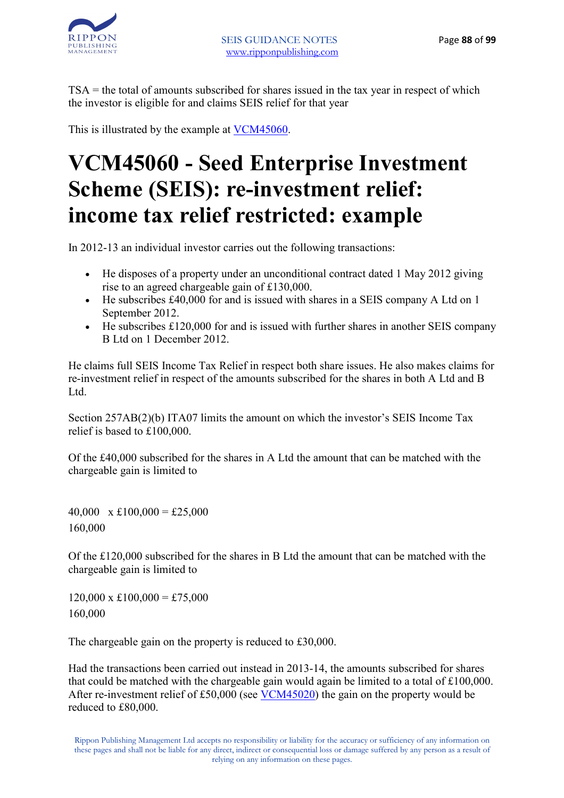TSA = the total of amounts subscribed for shares issued in the tax year in respect of which the investor is eligible for and claims SEIS relief for that year

This is illustrated by the example at VCM45060.

# **VCM45060 - Seed Enterprise Investment Scheme (SEIS): re-investment relief: income tax relief restricted: example**

In 2012-13 an individual investor carries out the following transactions:

- He disposes of a property under an unconditional contract dated 1 May 2012 giving rise to an agreed chargeable gain of £130,000.
- He subscribes £40,000 for and is issued with shares in a SEIS company A Ltd on 1 September 2012.
- He subscribes £120,000 for and is issued with further shares in another SEIS company B Ltd on 1 December 2012.

He claims full SEIS Income Tax Relief in respect both share issues. He also makes claims for re-investment relief in respect of the amounts subscribed for the shares in both A Ltd and B L<sub>td</sub>

Section 257AB(2)(b) ITA07 limits the amount on which the investor's SEIS Income Tax relief is based to £100,000.

Of the £40,000 subscribed for the shares in A Ltd the amount that can be matched with the chargeable gain is limited to

40,000  $x \pounds 100,000 = \pounds 25,000$ 160,000

Of the £120,000 subscribed for the shares in B Ltd the amount that can be matched with the chargeable gain is limited to

 $120,000 \times \text{\pounds}100,000 = \text{\pounds}75,000$ 160,000

The chargeable gain on the property is reduced to £30,000.

Had the transactions been carried out instead in 2013-14, the amounts subscribed for shares that could be matched with the chargeable gain would again be limited to a total of £100,000. After re-investment relief of £50,000 (see VCM45020) the gain on the property would be reduced to £80,000.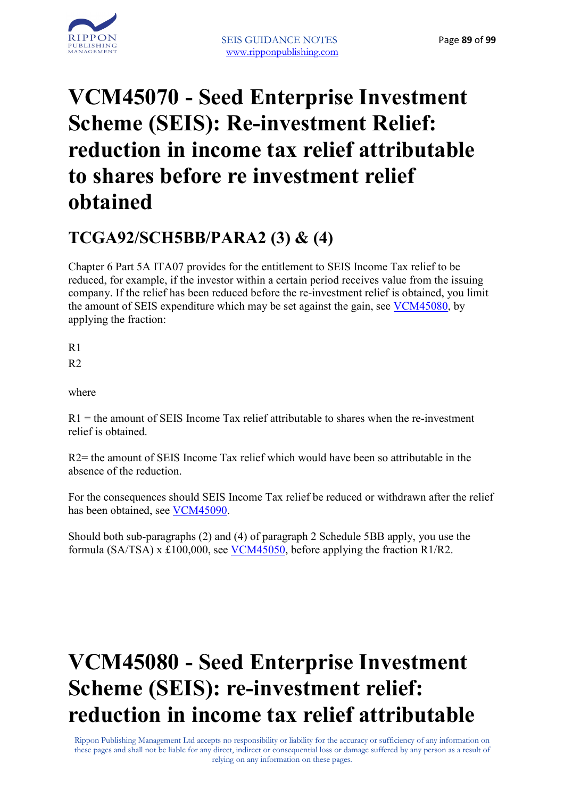



# **VCM45070 - Seed Enterprise Investment Scheme (SEIS): Re-investment Relief: reduction in income tax relief attributable to shares before re investment relief obtained**

### **TCGA92/SCH5BB/PARA2 (3) & (4)**

Chapter 6 Part 5A ITA07 provides for the entitlement to SEIS Income Tax relief to be reduced, for example, if the investor within a certain period receives value from the issuing company. If the relief has been reduced before the re-investment relief is obtained, you limit the amount of SEIS expenditure which may be set against the gain, see VCM45080, by applying the fraction:

R1  $R<sub>2</sub>$ 

where

 $R1$  = the amount of SEIS Income Tax relief attributable to shares when the re-investment relief is obtained.

R2= the amount of SEIS Income Tax relief which would have been so attributable in the absence of the reduction.

For the consequences should SEIS Income Tax relief be reduced or withdrawn after the relief has been obtained, see VCM45090.

Should both sub-paragraphs (2) and (4) of paragraph 2 Schedule 5BB apply, you use the formula (SA/TSA) x £100,000, see VCM45050, before applying the fraction R1/R2.

# **VCM45080 - Seed Enterprise Investment Scheme (SEIS): re-investment relief: reduction in income tax relief attributable**

Rippon Publishing Management Ltd accepts no responsibility or liability for the accuracy or sufficiency of any information on these pages and shall not be liable for any direct, indirect or consequential loss or damage suffered by any person as a result of relying on any information on these pages.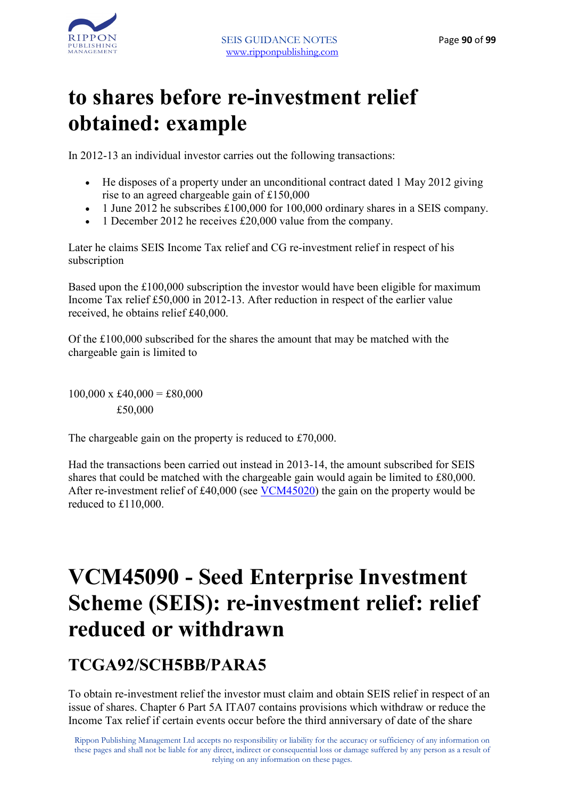

## **to shares before re-investment relief obtained: example**

In 2012-13 an individual investor carries out the following transactions:

- He disposes of a property under an unconditional contract dated 1 May 2012 giving rise to an agreed chargeable gain of £150,000
- 1 June 2012 he subscribes £100,000 for 100,000 ordinary shares in a SEIS company.
- 1 December 2012 he receives £20,000 value from the company.

Later he claims SEIS Income Tax relief and CG re-investment relief in respect of his subscription

Based upon the £100,000 subscription the investor would have been eligible for maximum Income Tax relief £50,000 in 2012-13. After reduction in respect of the earlier value received, he obtains relief £40,000.

Of the £100,000 subscribed for the shares the amount that may be matched with the chargeable gain is limited to

 $100,000 \times \text{\pounds}40,000 = \text{\pounds}80,000$ £50,000

The chargeable gain on the property is reduced to £70,000.

Had the transactions been carried out instead in 2013-14, the amount subscribed for SEIS shares that could be matched with the chargeable gain would again be limited to £80,000. After re-investment relief of £40,000 (see VCM45020) the gain on the property would be reduced to £110,000.

## **VCM45090 - Seed Enterprise Investment Scheme (SEIS): re-investment relief: relief reduced or withdrawn**

### **TCGA92/SCH5BB/PARA5**

To obtain re-investment relief the investor must claim and obtain SEIS relief in respect of an issue of shares. Chapter 6 Part 5A ITA07 contains provisions which withdraw or reduce the Income Tax relief if certain events occur before the third anniversary of date of the share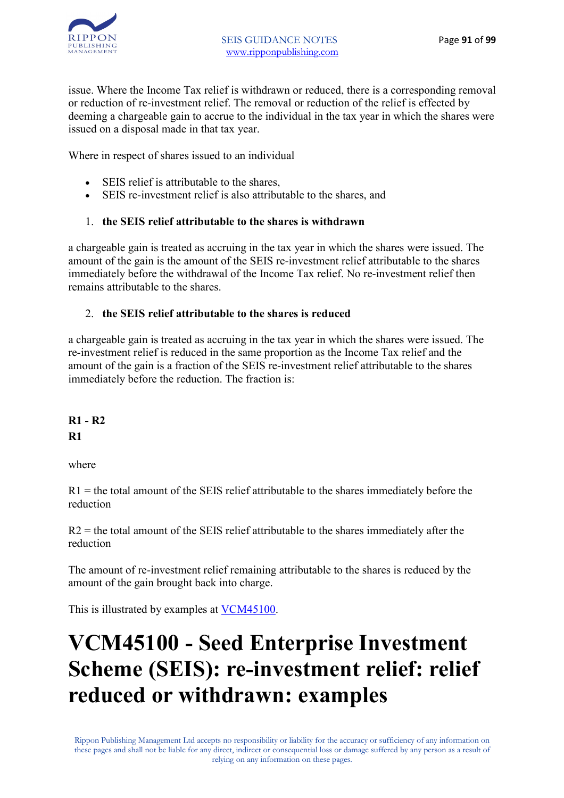

issue. Where the Income Tax relief is withdrawn or reduced, there is a corresponding removal or reduction of re-investment relief. The removal or reduction of the relief is effected by deeming a chargeable gain to accrue to the individual in the tax year in which the shares were issued on a disposal made in that tax year.

Where in respect of shares issued to an individual

- SEIS relief is attributable to the shares,
- SEIS re-investment relief is also attributable to the shares, and

#### 1. **the SEIS relief attributable to the shares is withdrawn**

a chargeable gain is treated as accruing in the tax year in which the shares were issued. The amount of the gain is the amount of the SEIS re-investment relief attributable to the shares immediately before the withdrawal of the Income Tax relief. No re-investment relief then remains attributable to the shares.

#### 2. **the SEIS relief attributable to the shares is reduced**

a chargeable gain is treated as accruing in the tax year in which the shares were issued. The re-investment relief is reduced in the same proportion as the Income Tax relief and the amount of the gain is a fraction of the SEIS re-investment relief attributable to the shares immediately before the reduction. The fraction is:

**R1 - R2 R1**

where

 $R1$  = the total amount of the SEIS relief attributable to the shares immediately before the reduction

 $R2$  = the total amount of the SEIS relief attributable to the shares immediately after the reduction

The amount of re-investment relief remaining attributable to the shares is reduced by the amount of the gain brought back into charge.

This is illustrated by examples at VCM45100.

# **VCM45100 - Seed Enterprise Investment Scheme (SEIS): re-investment relief: relief reduced or withdrawn: examples**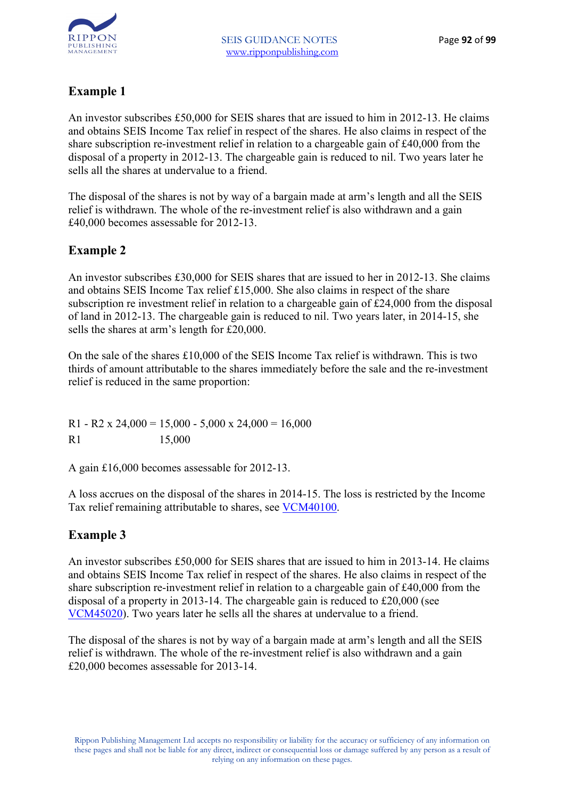

#### **Example 1**

An investor subscribes £50,000 for SEIS shares that are issued to him in 2012-13. He claims and obtains SEIS Income Tax relief in respect of the shares. He also claims in respect of the share subscription re-investment relief in relation to a chargeable gain of £40,000 from the disposal of a property in 2012-13. The chargeable gain is reduced to nil. Two years later he sells all the shares at undervalue to a friend.

The disposal of the shares is not by way of a bargain made at arm's length and all the SEIS relief is withdrawn. The whole of the re-investment relief is also withdrawn and a gain £40,000 becomes assessable for 2012-13.

#### **Example 2**

An investor subscribes £30,000 for SEIS shares that are issued to her in 2012-13. She claims and obtains SEIS Income Tax relief £15,000. She also claims in respect of the share subscription re investment relief in relation to a chargeable gain of £24,000 from the disposal of land in 2012-13. The chargeable gain is reduced to nil. Two years later, in 2014-15, she sells the shares at arm's length for £20,000.

On the sale of the shares £10,000 of the SEIS Income Tax relief is withdrawn. This is two thirds of amount attributable to the shares immediately before the sale and the re-investment relief is reduced in the same proportion:

R1 - R2 x 24,000 = 15,000 - 5,000 x 24,000 = 16,000 R1 15,000

A gain £16,000 becomes assessable for 2012-13.

A loss accrues on the disposal of the shares in 2014-15. The loss is restricted by the Income Tax relief remaining attributable to shares, see VCM40100.

#### **Example 3**

An investor subscribes £50,000 for SEIS shares that are issued to him in 2013-14. He claims and obtains SEIS Income Tax relief in respect of the shares. He also claims in respect of the share subscription re-investment relief in relation to a chargeable gain of £40,000 from the disposal of a property in 2013-14. The chargeable gain is reduced to £20,000 (see VCM45020). Two years later he sells all the shares at undervalue to a friend.

The disposal of the shares is not by way of a bargain made at arm's length and all the SEIS relief is withdrawn. The whole of the re-investment relief is also withdrawn and a gain £20,000 becomes assessable for 2013-14.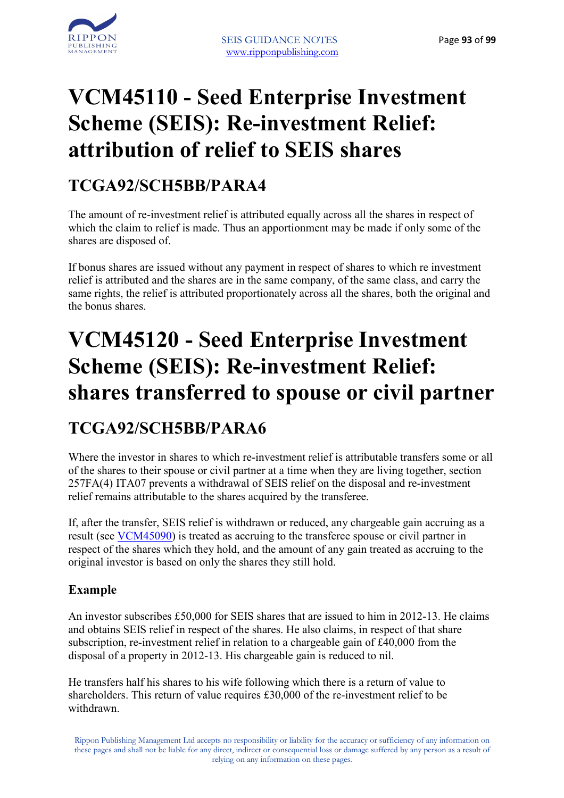

## **VCM45110 - Seed Enterprise Investment Scheme (SEIS): Re-investment Relief: attribution of relief to SEIS shares**

### **TCGA92/SCH5BB/PARA4**

The amount of re-investment relief is attributed equally across all the shares in respect of which the claim to relief is made. Thus an apportionment may be made if only some of the shares are disposed of.

If bonus shares are issued without any payment in respect of shares to which re investment relief is attributed and the shares are in the same company, of the same class, and carry the same rights, the relief is attributed proportionately across all the shares, both the original and the bonus shares.

## **VCM45120 - Seed Enterprise Investment Scheme (SEIS): Re-investment Relief: shares transferred to spouse or civil partner**

### **TCGA92/SCH5BB/PARA6**

Where the investor in shares to which re-investment relief is attributable transfers some or all of the shares to their spouse or civil partner at a time when they are living together, section 257FA(4) ITA07 prevents a withdrawal of SEIS relief on the disposal and re-investment relief remains attributable to the shares acquired by the transferee.

If, after the transfer, SEIS relief is withdrawn or reduced, any chargeable gain accruing as a result (see VCM45090) is treated as accruing to the transferee spouse or civil partner in respect of the shares which they hold, and the amount of any gain treated as accruing to the original investor is based on only the shares they still hold.

#### **Example**

An investor subscribes £50,000 for SEIS shares that are issued to him in 2012-13. He claims and obtains SEIS relief in respect of the shares. He also claims, in respect of that share subscription, re-investment relief in relation to a chargeable gain of £40,000 from the disposal of a property in 2012-13. His chargeable gain is reduced to nil.

He transfers half his shares to his wife following which there is a return of value to shareholders. This return of value requires £30,000 of the re-investment relief to be withdrawn.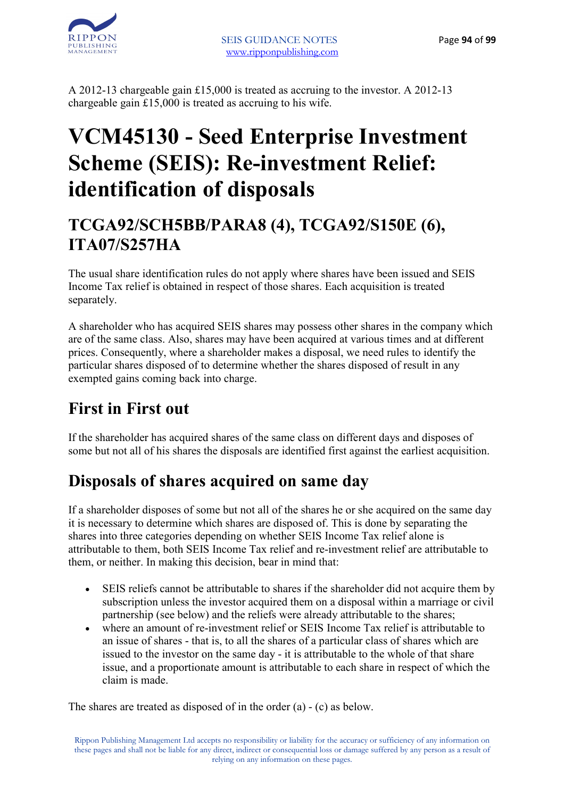

A 2012-13 chargeable gain £15,000 is treated as accruing to the investor. A 2012-13 chargeable gain £15,000 is treated as accruing to his wife.

### **VCM45130 - Seed Enterprise Investment Scheme (SEIS): Re-investment Relief: identification of disposals**

### **TCGA92/SCH5BB/PARA8 (4), TCGA92/S150E (6), ITA07/S257HA**

The usual share identification rules do not apply where shares have been issued and SEIS Income Tax relief is obtained in respect of those shares. Each acquisition is treated separately.

A shareholder who has acquired SEIS shares may possess other shares in the company which are of the same class. Also, shares may have been acquired at various times and at different prices. Consequently, where a shareholder makes a disposal, we need rules to identify the particular shares disposed of to determine whether the shares disposed of result in any exempted gains coming back into charge.

### **First in First out**

If the shareholder has acquired shares of the same class on different days and disposes of some but not all of his shares the disposals are identified first against the earliest acquisition.

### **Disposals of shares acquired on same day**

If a shareholder disposes of some but not all of the shares he or she acquired on the same day it is necessary to determine which shares are disposed of. This is done by separating the shares into three categories depending on whether SEIS Income Tax relief alone is attributable to them, both SEIS Income Tax relief and re-investment relief are attributable to them, or neither. In making this decision, bear in mind that:

- SEIS reliefs cannot be attributable to shares if the shareholder did not acquire them by subscription unless the investor acquired them on a disposal within a marriage or civil partnership (see below) and the reliefs were already attributable to the shares;
- where an amount of re-investment relief or SEIS Income Tax relief is attributable to an issue of shares - that is, to all the shares of a particular class of shares which are issued to the investor on the same day - it is attributable to the whole of that share issue, and a proportionate amount is attributable to each share in respect of which the claim is made.

The shares are treated as disposed of in the order (a) - (c) as below.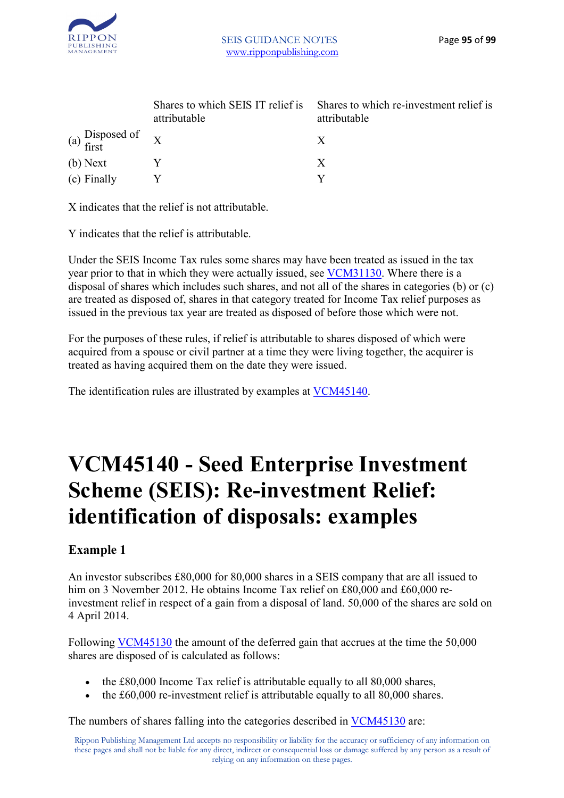

|                     | Shares to which SEIS IT relief is<br>attributable | Shares to which re-investment relief is<br>attributable |
|---------------------|---------------------------------------------------|---------------------------------------------------------|
| (a) Disposed of $X$ |                                                   |                                                         |
| (b) Next            |                                                   | X                                                       |
| (c) Finally         |                                                   |                                                         |

X indicates that the relief is not attributable.

Y indicates that the relief is attributable.

Under the SEIS Income Tax rules some shares may have been treated as issued in the tax year prior to that in which they were actually issued, see VCM31130. Where there is a disposal of shares which includes such shares, and not all of the shares in categories (b) or (c) are treated as disposed of, shares in that category treated for Income Tax relief purposes as issued in the previous tax year are treated as disposed of before those which were not.

For the purposes of these rules, if relief is attributable to shares disposed of which were acquired from a spouse or civil partner at a time they were living together, the acquirer is treated as having acquired them on the date they were issued.

The identification rules are illustrated by examples at VCM45140.

## **VCM45140 - Seed Enterprise Investment Scheme (SEIS): Re-investment Relief: identification of disposals: examples**

#### **Example 1**

An investor subscribes £80,000 for 80,000 shares in a SEIS company that are all issued to him on 3 November 2012. He obtains Income Tax relief on £80,000 and £60,000 reinvestment relief in respect of a gain from a disposal of land. 50,000 of the shares are sold on 4 April 2014.

Following VCM45130 the amount of the deferred gain that accrues at the time the 50,000 shares are disposed of is calculated as follows:

- the £80,000 Income Tax relief is attributable equally to all 80,000 shares,
- the £60,000 re-investment relief is attributable equally to all 80,000 shares.

The numbers of shares falling into the categories described in VCM45130 are: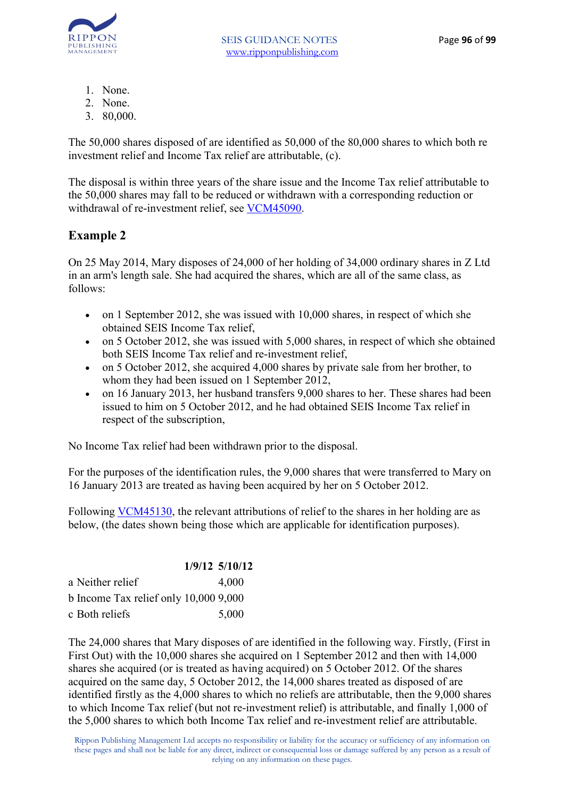

- 1. None.
- 2. None.
- 3. 80,000.

The 50,000 shares disposed of are identified as 50,000 of the 80,000 shares to which both re investment relief and Income Tax relief are attributable, (c).

The disposal is within three years of the share issue and the Income Tax relief attributable to the 50,000 shares may fall to be reduced or withdrawn with a corresponding reduction or withdrawal of re-investment relief, see VCM45090.

#### **Example 2**

On 25 May 2014, Mary disposes of 24,000 of her holding of 34,000 ordinary shares in Z Ltd in an arm's length sale. She had acquired the shares, which are all of the same class, as follows:

- on 1 September 2012, she was issued with 10,000 shares, in respect of which she obtained SEIS Income Tax relief,
- on 5 October 2012, she was issued with 5,000 shares, in respect of which she obtained both SEIS Income Tax relief and re-investment relief,
- on 5 October 2012, she acquired 4,000 shares by private sale from her brother, to whom they had been issued on 1 September 2012.
- on 16 January 2013, her husband transfers 9,000 shares to her. These shares had been issued to him on 5 October 2012, and he had obtained SEIS Income Tax relief in respect of the subscription,

No Income Tax relief had been withdrawn prior to the disposal.

For the purposes of the identification rules, the 9,000 shares that were transferred to Mary on 16 January 2013 are treated as having been acquired by her on 5 October 2012.

Following VCM45130, the relevant attributions of relief to the shares in her holding are as below, (the dates shown being those which are applicable for identification purposes).

|                                        | $1/9/12$ 5/10/12 |
|----------------------------------------|------------------|
| a Neither relief                       | 4,000            |
| b Income Tax relief only $10,0009,000$ |                  |
| c Both reliefs                         | 5,000            |

The 24,000 shares that Mary disposes of are identified in the following way. Firstly, (First in First Out) with the 10,000 shares she acquired on 1 September 2012 and then with 14,000 shares she acquired (or is treated as having acquired) on 5 October 2012. Of the shares acquired on the same day, 5 October 2012, the 14,000 shares treated as disposed of are identified firstly as the 4,000 shares to which no reliefs are attributable, then the 9,000 shares to which Income Tax relief (but not re-investment relief) is attributable, and finally 1,000 of the 5,000 shares to which both Income Tax relief and re-investment relief are attributable.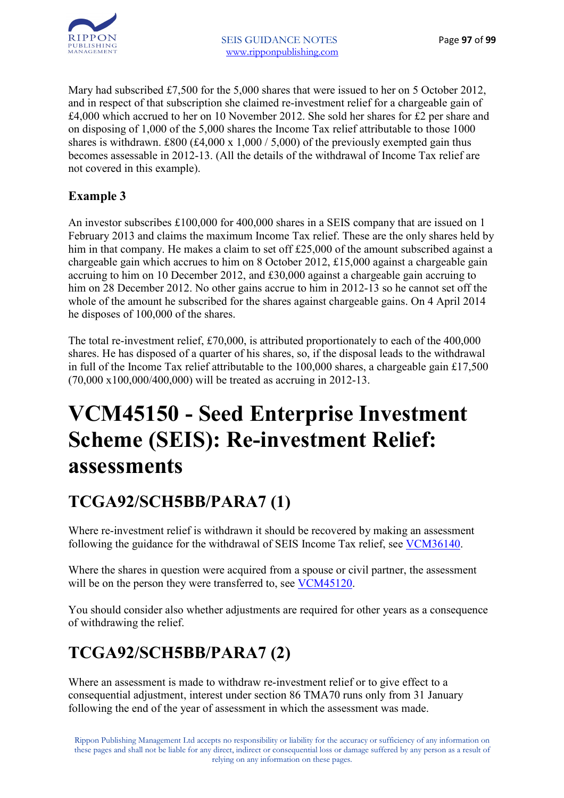

Mary had subscribed £7,500 for the 5,000 shares that were issued to her on 5 October 2012, and in respect of that subscription she claimed re-investment relief for a chargeable gain of £4,000 which accrued to her on 10 November 2012. She sold her shares for £2 per share and on disposing of 1,000 of the 5,000 shares the Income Tax relief attributable to those 1000 shares is withdrawn. £800 (£4,000 x 1,000 / 5,000) of the previously exempted gain thus becomes assessable in 2012-13. (All the details of the withdrawal of Income Tax relief are not covered in this example).

#### **Example 3**

An investor subscribes £100,000 for 400,000 shares in a SEIS company that are issued on 1 February 2013 and claims the maximum Income Tax relief. These are the only shares held by him in that company. He makes a claim to set off £25,000 of the amount subscribed against a chargeable gain which accrues to him on 8 October 2012, £15,000 against a chargeable gain accruing to him on 10 December 2012, and £30,000 against a chargeable gain accruing to him on 28 December 2012. No other gains accrue to him in 2012-13 so he cannot set off the whole of the amount he subscribed for the shares against chargeable gains. On 4 April 2014 he disposes of 100,000 of the shares.

The total re-investment relief, £70,000, is attributed proportionately to each of the 400,000 shares. He has disposed of a quarter of his shares, so, if the disposal leads to the withdrawal in full of the Income Tax relief attributable to the 100,000 shares, a chargeable gain £17,500 (70,000 x100,000/400,000) will be treated as accruing in 2012-13.

### **VCM45150 - Seed Enterprise Investment Scheme (SEIS): Re-investment Relief: assessments**

### **TCGA92/SCH5BB/PARA7 (1)**

Where re-investment relief is withdrawn it should be recovered by making an assessment following the guidance for the withdrawal of SEIS Income Tax relief, see VCM36140.

Where the shares in question were acquired from a spouse or civil partner, the assessment will be on the person they were transferred to, see VCM45120.

You should consider also whether adjustments are required for other years as a consequence of withdrawing the relief.

### **TCGA92/SCH5BB/PARA7 (2)**

Where an assessment is made to withdraw re-investment relief or to give effect to a consequential adjustment, interest under section 86 TMA70 runs only from 31 January following the end of the year of assessment in which the assessment was made.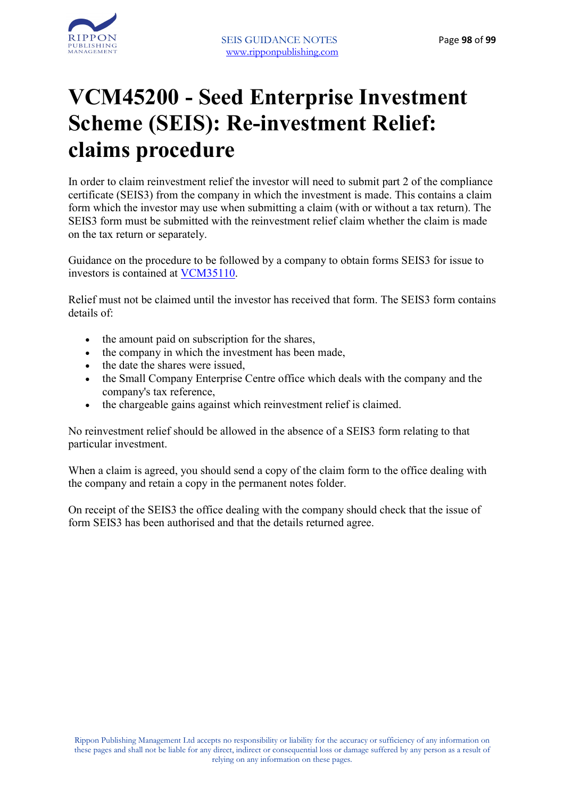



### **VCM45200 - Seed Enterprise Investment Scheme (SEIS): Re-investment Relief: claims procedure**

In order to claim reinvestment relief the investor will need to submit part 2 of the compliance certificate (SEIS3) from the company in which the investment is made. This contains a claim form which the investor may use when submitting a claim (with or without a tax return). The SEIS3 form must be submitted with the reinvestment relief claim whether the claim is made on the tax return or separately.

Guidance on the procedure to be followed by a company to obtain forms SEIS3 for issue to investors is contained at VCM35110.

Relief must not be claimed until the investor has received that form. The SEIS3 form contains details of:

- the amount paid on subscription for the shares,
- the company in which the investment has been made,
- the date the shares were issued,
- the Small Company Enterprise Centre office which deals with the company and the company's tax reference,
- the chargeable gains against which reinvestment relief is claimed.

No reinvestment relief should be allowed in the absence of a SEIS3 form relating to that particular investment.

When a claim is agreed, you should send a copy of the claim form to the office dealing with the company and retain a copy in the permanent notes folder.

On receipt of the SEIS3 the office dealing with the company should check that the issue of form SEIS3 has been authorised and that the details returned agree.